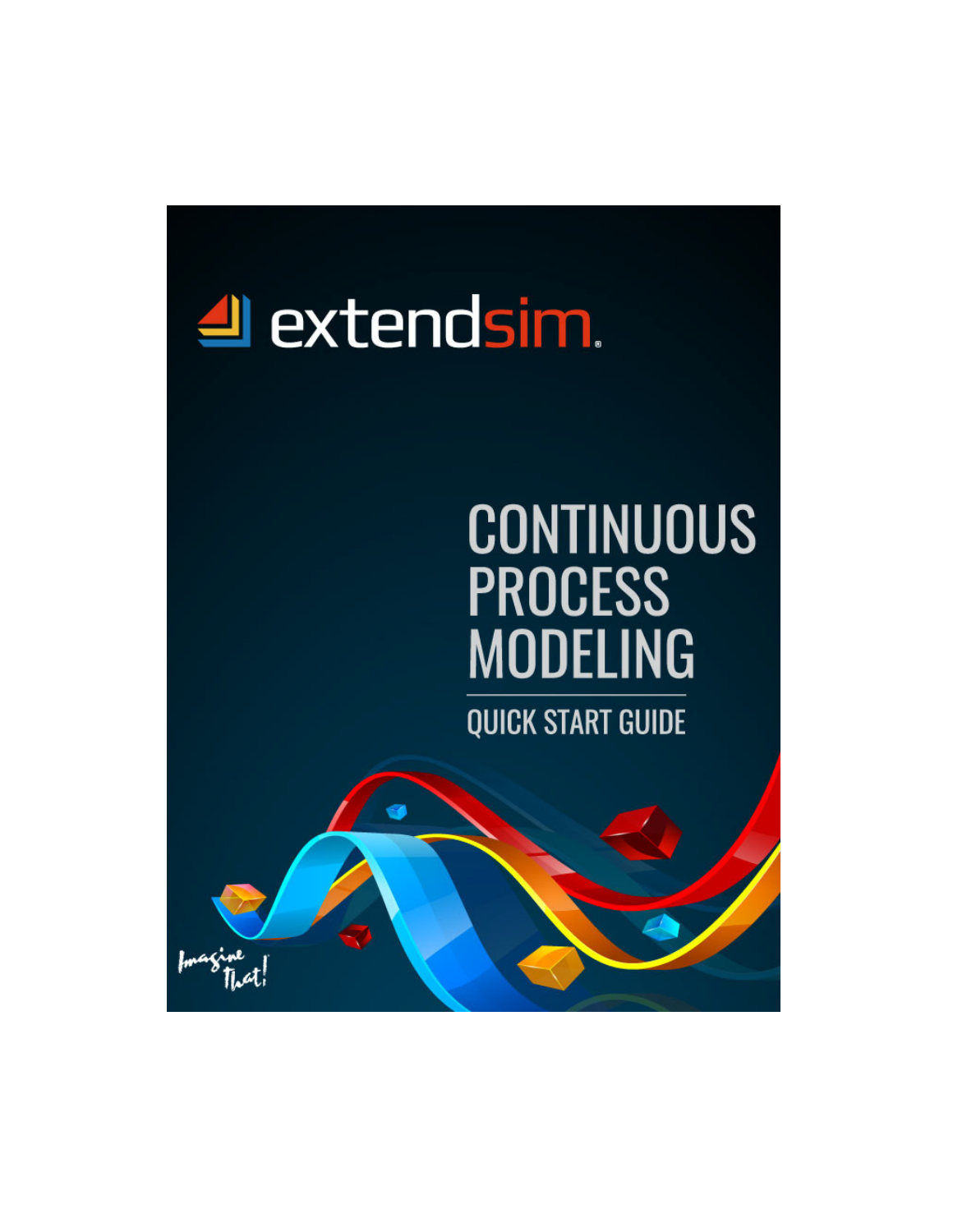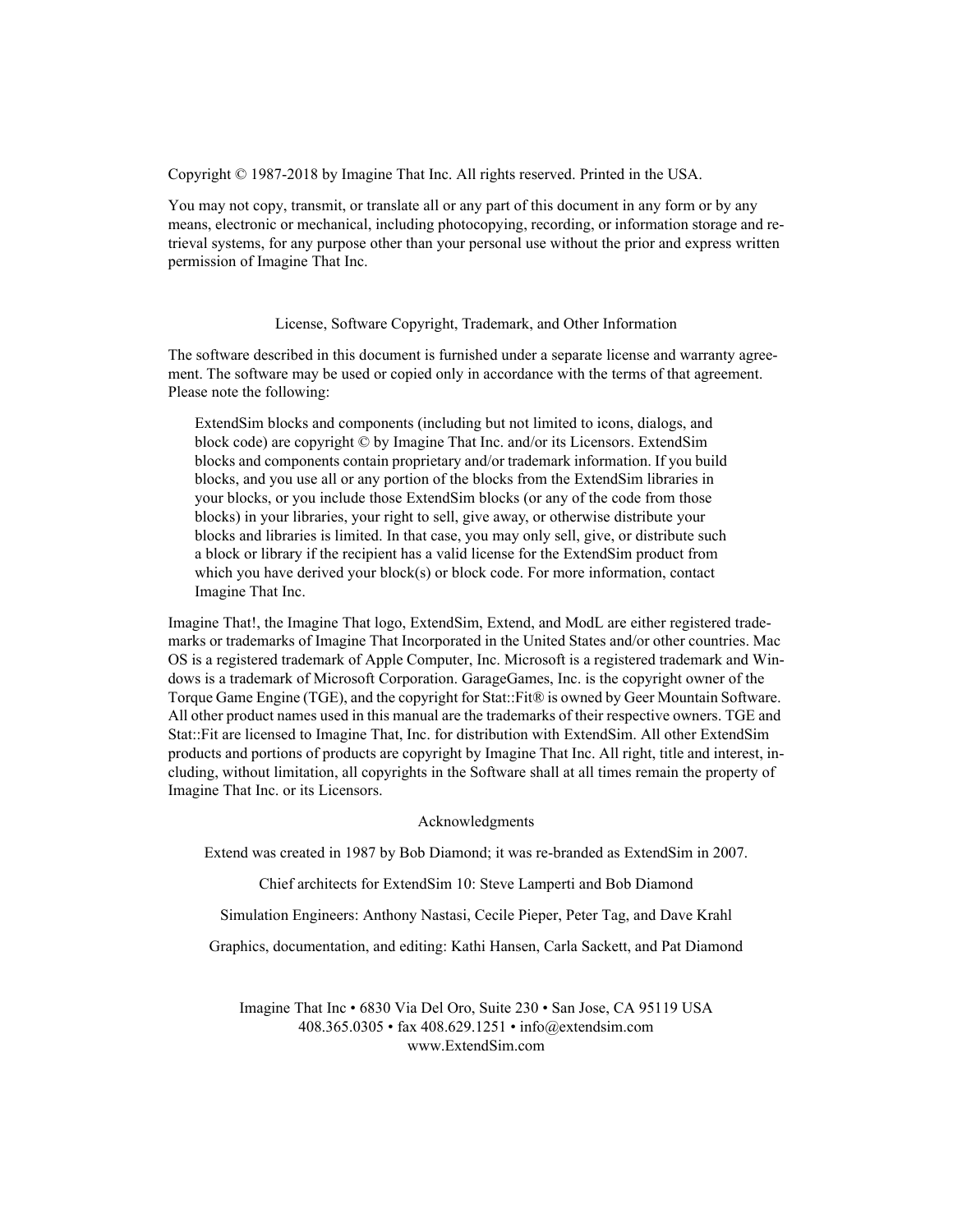Copyright © 1987-2018 by Imagine That Inc. All rights reserved. Printed in the USA.

You may not copy, transmit, or translate all or any part of this document in any form or by any means, electronic or mechanical, including photocopying, recording, or information storage and retrieval systems, for any purpose other than your personal use without the prior and express written permission of Imagine That Inc.

#### License, Software Copyright, Trademark, and Other Information

The software described in this document is furnished under a separate license and warranty agreement. The software may be used or copied only in accordance with the terms of that agreement. Please note the following:

ExtendSim blocks and components (including but not limited to icons, dialogs, and block code) are copyright © by Imagine That Inc. and/or its Licensors. ExtendSim blocks and components contain proprietary and/or trademark information. If you build blocks, and you use all or any portion of the blocks from the ExtendSim libraries in your blocks, or you include those ExtendSim blocks (or any of the code from those blocks) in your libraries, your right to sell, give away, or otherwise distribute your blocks and libraries is limited. In that case, you may only sell, give, or distribute such a block or library if the recipient has a valid license for the ExtendSim product from which you have derived your block(s) or block code. For more information, contact Imagine That Inc.

Imagine That!, the Imagine That logo, ExtendSim, Extend, and ModL are either registered trademarks or trademarks of Imagine That Incorporated in the United States and/or other countries. Mac OS is a registered trademark of Apple Computer, Inc. Microsoft is a registered trademark and Windows is a trademark of Microsoft Corporation. GarageGames, Inc. is the copyright owner of the Torque Game Engine (TGE), and the copyright for Stat::Fit® is owned by Geer Mountain Software. All other product names used in this manual are the trademarks of their respective owners. TGE and Stat::Fit are licensed to Imagine That, Inc. for distribution with ExtendSim. All other ExtendSim products and portions of products are copyright by Imagine That Inc. All right, title and interest, including, without limitation, all copyrights in the Software shall at all times remain the property of Imagine That Inc. or its Licensors.

#### Acknowledgments

Extend was created in 1987 by Bob Diamond; it was re-branded as ExtendSim in 2007.

Chief architects for ExtendSim 10: Steve Lamperti and Bob Diamond

Simulation Engineers: Anthony Nastasi, Cecile Pieper, Peter Tag, and Dave Krahl

Graphics, documentation, and editing: Kathi Hansen, Carla Sackett, and Pat Diamond

Imagine That Inc • 6830 Via Del Oro, Suite 230 • San Jose, CA 95119 USA 408.365.0305 • fax 408.629.1251 • info@extendsim.com www.ExtendSim.com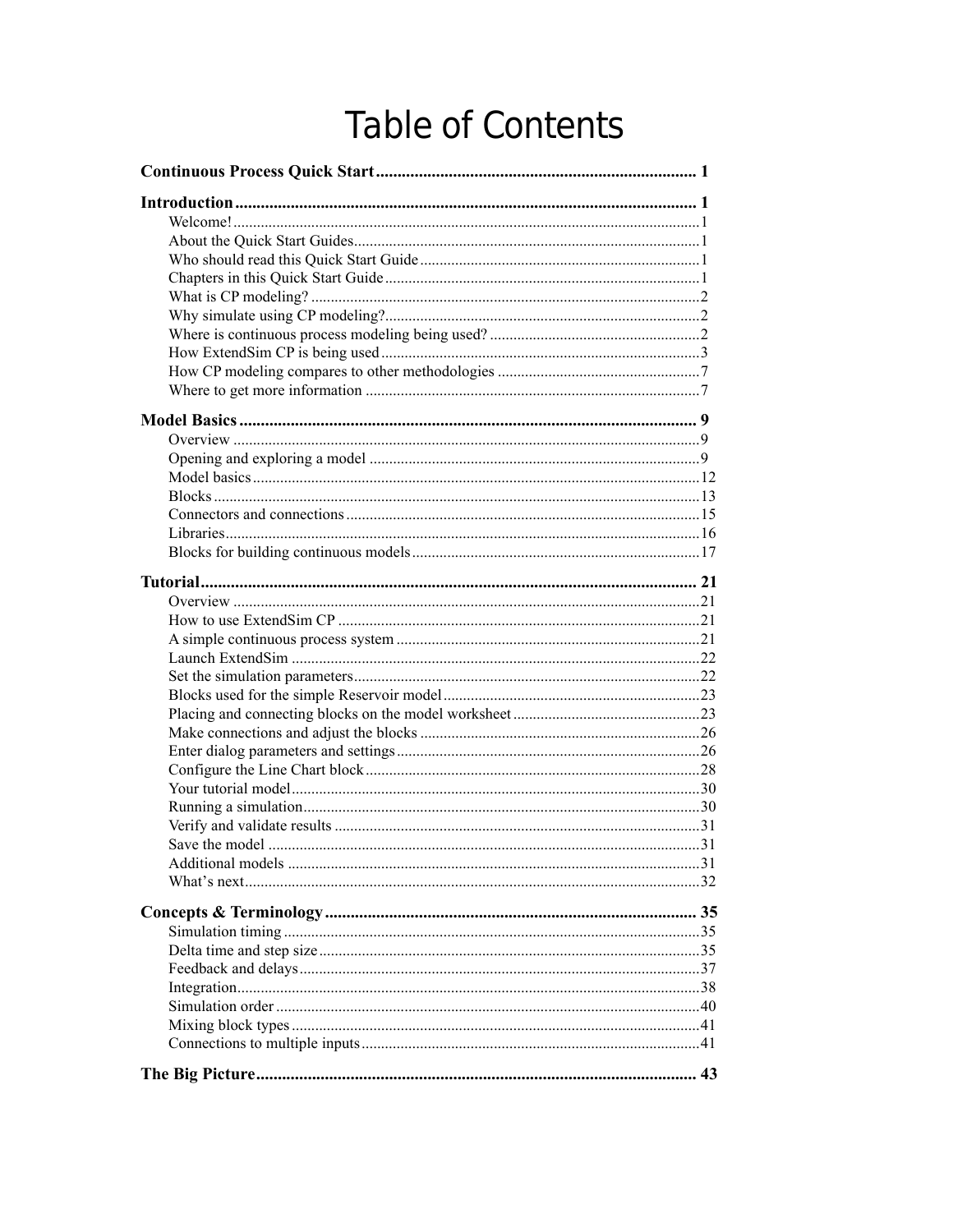# **Table of Contents**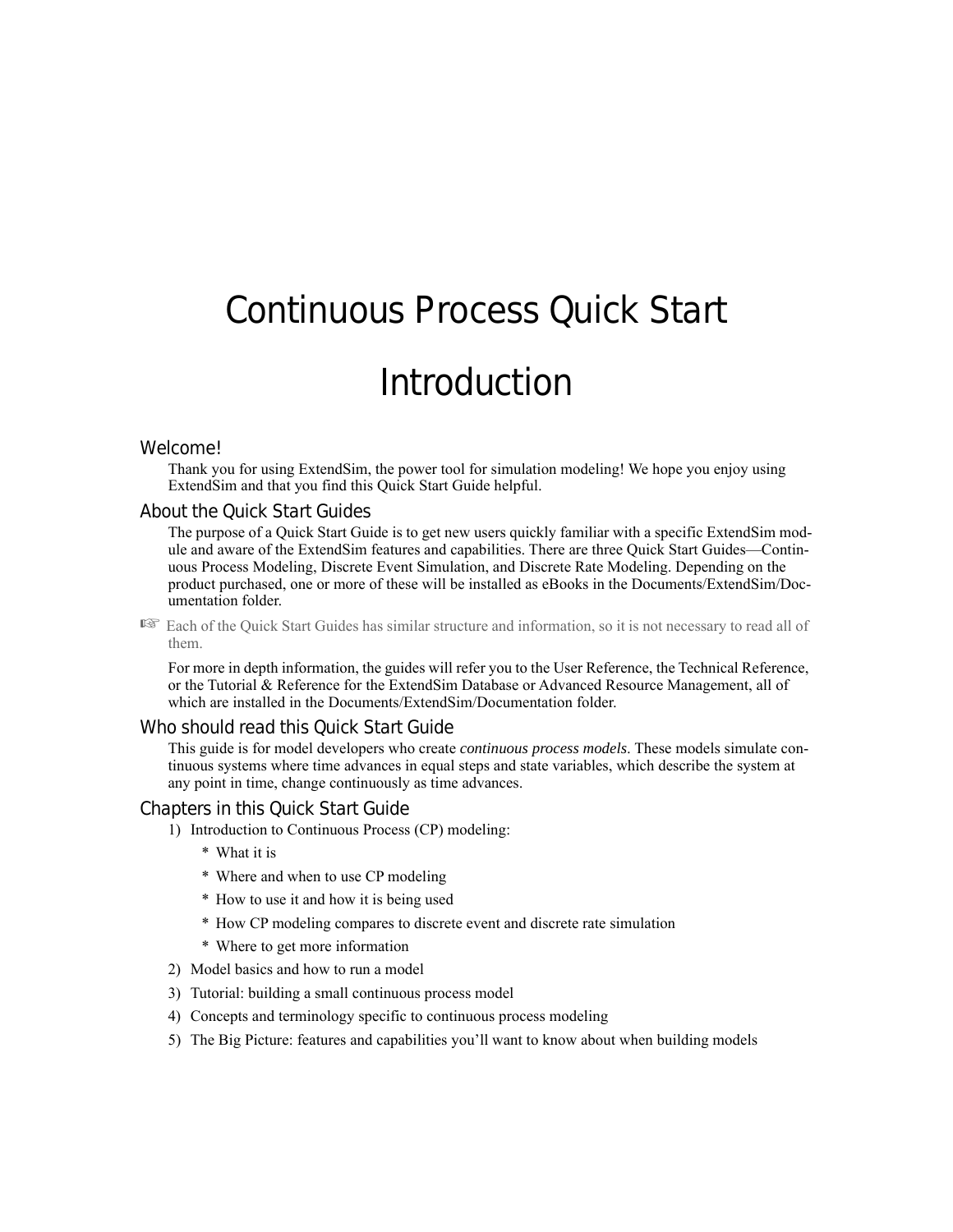# <span id="page-4-0"></span>Continuous Process Quick Start Introduction

# <span id="page-4-2"></span><span id="page-4-1"></span>Welcome!

Thank you for using ExtendSim, the power tool for simulation modeling! We hope you enjoy using ExtendSim and that you find this Quick Start Guide helpful.

### <span id="page-4-3"></span>About the Quick Start Guides

The purpose of a Quick Start Guide is to get new users quickly familiar with a specific ExtendSim module and aware of the ExtendSim features and capabilities. There are three Quick Start Guides—Continuous Process Modeling, Discrete Event Simulation, and Discrete Rate Modeling. Depending on the product purchased, one or more of these will be installed as eBooks in the Documents/ExtendSim/Documentation folder.

☞ Each of the Quick Start Guides has similar structure and information, so it is not necessary to read all of them.

For more in depth information, the guides will refer you to the User Reference, the Technical Reference, or the Tutorial & Reference for the ExtendSim Database or Advanced Resource Management, all of which are installed in the Documents/ExtendSim/Documentation folder.

# <span id="page-4-4"></span>Who should read this Quick Start Guide

This guide is for model developers who create *continuous process models*. These models simulate continuous systems where time advances in equal steps and state variables, which describe the system at any point in time, change continuously as time advances.

## <span id="page-4-5"></span>Chapters in this Quick Start Guide

- 1) Introduction to Continuous Process (CP) modeling:
	- \* What it is
	- \* Where and when to use CP modeling
	- \* How to use it and how it is being used
	- \* How CP modeling compares to discrete event and discrete rate simulation
	- \* Where to get more information
- 2) Model basics and how to run a model
- 3) Tutorial: building a small continuous process model
- 4) Concepts and terminology specific to continuous process modeling
- 5) The Big Picture: features and capabilities you'll want to know about when building models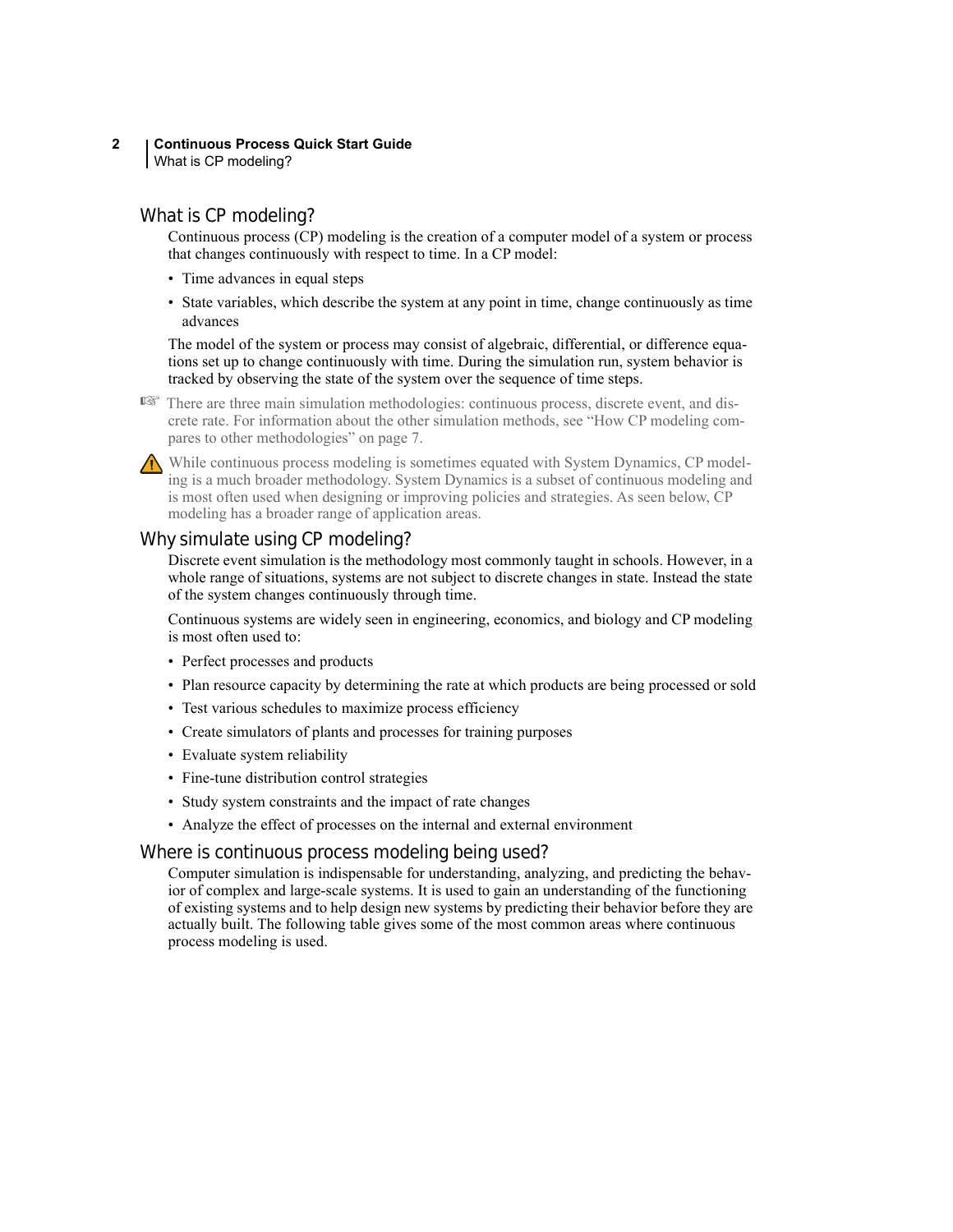What is CP modeling?

# <span id="page-5-0"></span>What is CP modeling?

<span id="page-5-4"></span>Continuous process (CP) modeling is the creation of a computer model of a system or process that changes continuously with respect to time. In a CP model:

- Time advances in equal steps
- State variables, which describe the system at any point in time, change continuously as time advances

<span id="page-5-7"></span><span id="page-5-6"></span>The model of the system or process may consist of algebraic, differential, or difference equations set up to change continuously with time. During the simulation run, system behavior is tracked by observing the state of the system over the sequence of time steps.

☞ There are three main simulation methodologies: continuous process, discrete event, and discrete rate. For information about the other simulation methods, see ["How CP modeling com](#page-10-0)[pares to other methodologies" on page 7.](#page-10-0)

<span id="page-5-5"></span>While continuous process modeling is sometimes equated with System Dynamics, CP modeling is a much broader methodology. System Dynamics is a subset of continuous modeling and is most often used when designing or improving policies and strategies. As seen below, CP modeling has a broader range of application areas.

# <span id="page-5-1"></span>Why simulate using CP modeling?

<span id="page-5-8"></span>Discrete event simulation is the methodology most commonly taught in schools. However, in a whole range of situations, systems are not subject to discrete changes in state. Instead the state of the system changes continuously through time.

Continuous systems are widely seen in engineering, economics, and biology and CP modeling is most often used to:

- Perfect processes and products
- Plan resource capacity by determining the rate at which products are being processed or sold
- Test various schedules to maximize process efficiency
- Create simulators of plants and processes for training purposes
- Evaluate system reliability
- Fine-tune distribution control strategies
- Study system constraints and the impact of rate changes
- Analyze the effect of processes on the internal and external environment

# <span id="page-5-2"></span>Where is continuous process modeling being used?

<span id="page-5-3"></span>Computer simulation is indispensable for understanding, analyzing, and predicting the behavior of complex and large-scale systems. It is used to gain an understanding of the functioning of existing systems and to help design new systems by predicting their behavior before they are actually built. The following table gives some of the most common areas where continuous process modeling is used.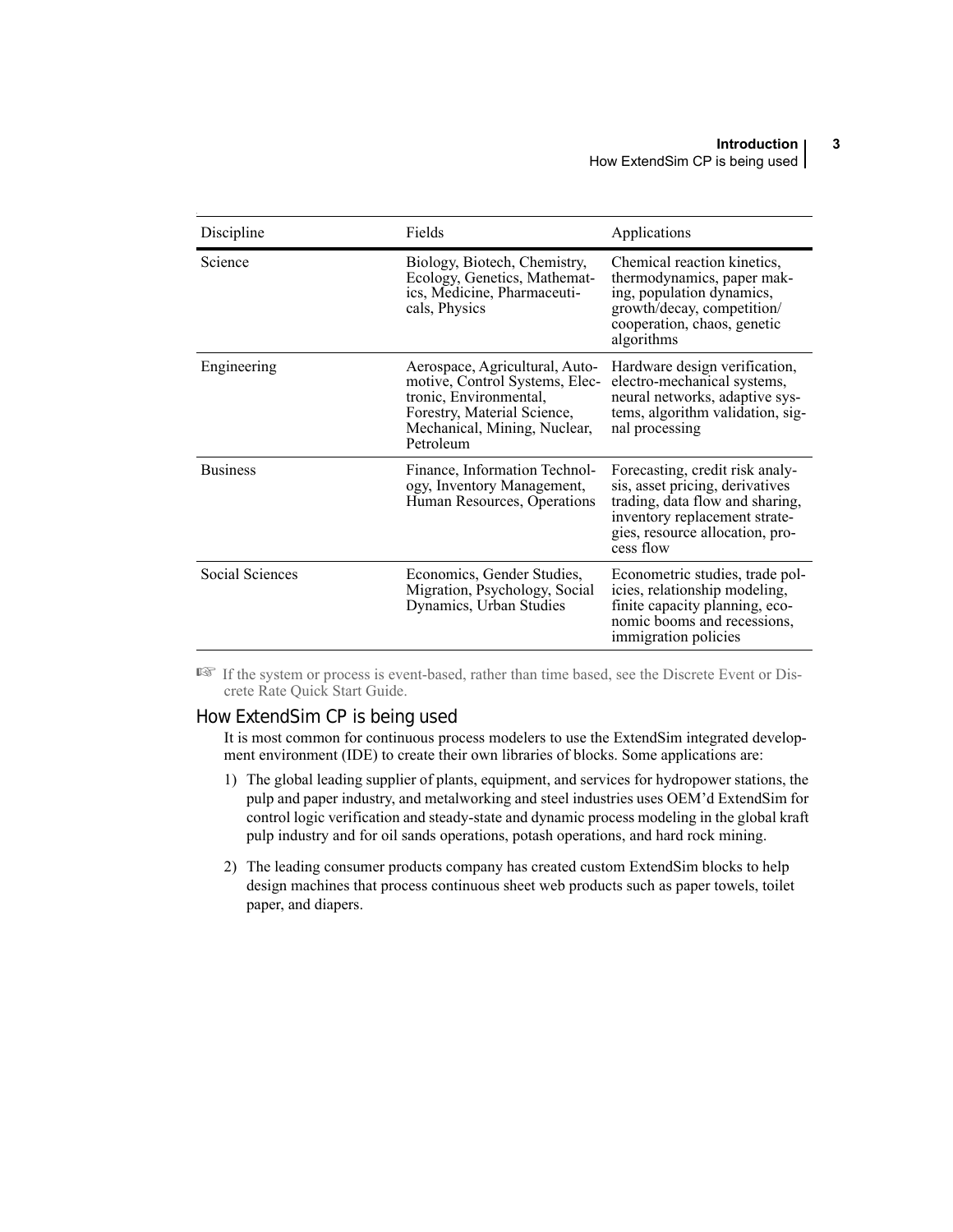# **Introduction 3**

How ExtendSim CP is being used

| Discipline      | Fields                                                                                                                                                                 | Applications                                                                                                                                                                           |
|-----------------|------------------------------------------------------------------------------------------------------------------------------------------------------------------------|----------------------------------------------------------------------------------------------------------------------------------------------------------------------------------------|
| Science         | Biology, Biotech, Chemistry,<br>Ecology, Genetics, Mathemat-<br>ics, Medicine, Pharmaceuti-<br>cals, Physics                                                           | Chemical reaction kinetics,<br>thermodynamics, paper mak-<br>ing, population dynamics,<br>growth/decay, competition/<br>cooperation, chaos, genetic<br>algorithms                      |
| Engineering     | Aerospace, Agricultural, Auto-<br>motive, Control Systems, Elec-<br>tronic, Environmental,<br>Forestry, Material Science,<br>Mechanical, Mining, Nuclear,<br>Petroleum | Hardware design verification,<br>electro-mechanical systems,<br>neural networks, adaptive sys-<br>tems, algorithm validation, sig-<br>nal processing                                   |
| <b>Business</b> | Finance, Information Technol-<br>ogy, Inventory Management,<br>Human Resources, Operations                                                                             | Forecasting, credit risk analy-<br>sis, asset pricing, derivatives<br>trading, data flow and sharing,<br>inventory replacement strate-<br>gies, resource allocation, pro-<br>cess flow |
| Social Sciences | Economics, Gender Studies,<br>Migration, Psychology, Social<br>Dynamics, Urban Studies                                                                                 | Econometric studies, trade pol-<br>icies, relationship modeling,<br>finite capacity planning, eco-<br>nomic booms and recessions,<br>immigration policies                              |

☞ If the system or process is event-based, rather than time based, see the Discrete Event or Discrete Rate Quick Start Guide.

# <span id="page-6-0"></span>How ExtendSim CP is being used

<span id="page-6-1"></span>It is most common for continuous process modelers to use the ExtendSim integrated development environment (IDE) to create their own libraries of blocks. Some applications are:

- 1) The global leading supplier of plants, equipment, and services for hydropower stations, the pulp and paper industry, and metalworking and steel industries uses OEM'd ExtendSim for control logic verification and steady-state and dynamic process modeling in the global kraft pulp industry and for oil sands operations, potash operations, and hard rock mining.
- 2) The leading consumer products company has created custom ExtendSim blocks to help design machines that process continuous sheet web products such as paper towels, toilet paper, and diapers.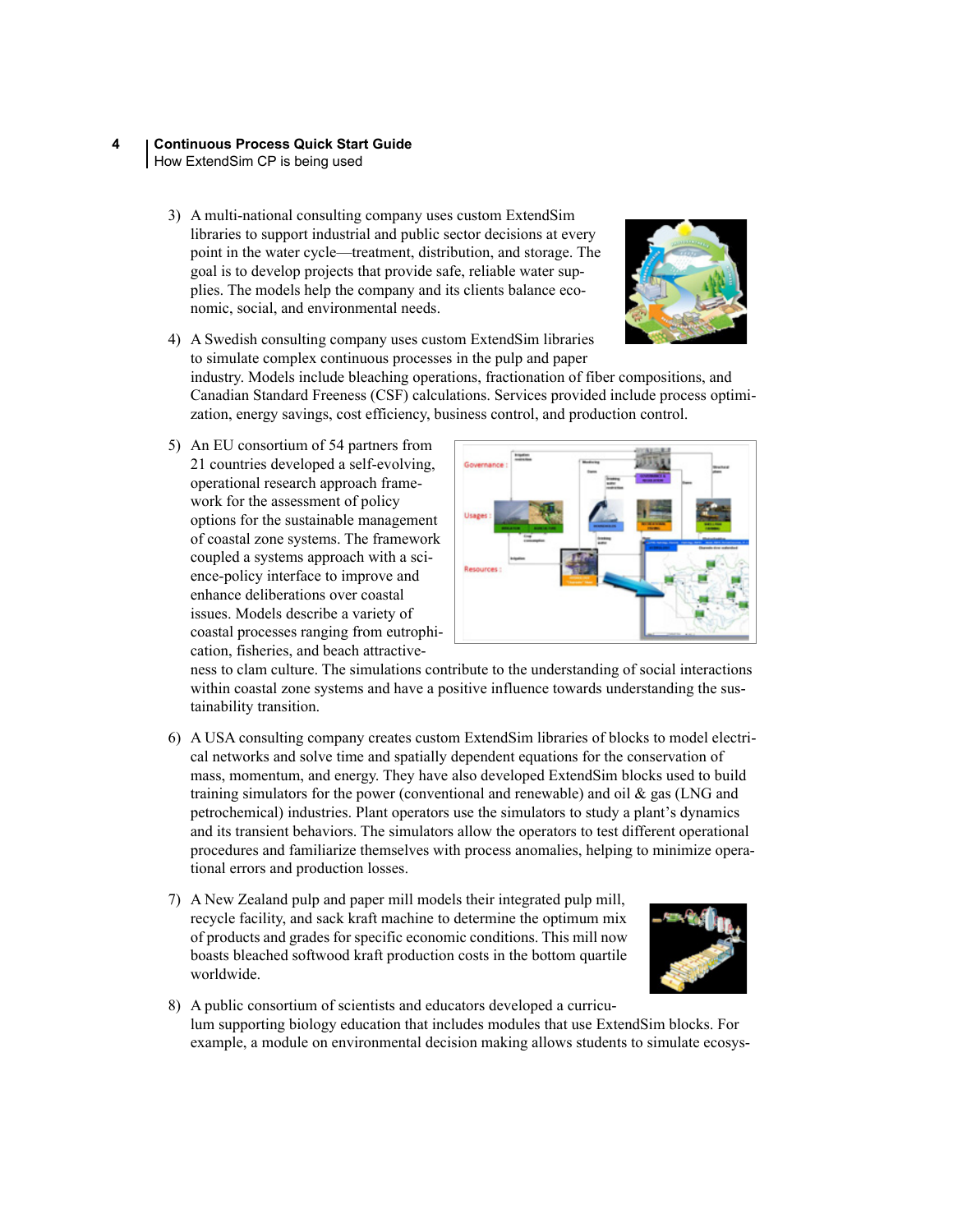How ExtendSim CP is being used

3) A multi-national consulting company uses custom ExtendSim libraries to support industrial and public sector decisions at every point in the water cycle—treatment, distribution, and storage. The goal is to develop projects that provide safe, reliable water supplies. The models help the company and its clients balance economic, social, and environmental needs.



4) A Swedish consulting company uses custom ExtendSim libraries to simulate complex continuous processes in the pulp and paper industry. Models include bleaching operations, fractionation of fiber compositions, and Canadian Standard Freeness (CSF) calculations. Services provided include process optimization, energy savings, cost efficiency, business control, and production control.

5) An EU consortium of 54 partners from 21 countries developed a self-evolving, operational research approach framework for the assessment of policy options for the sustainable management of coastal zone systems. The framework coupled a systems approach with a science-policy interface to improve and enhance deliberations over coastal issues. Models describe a variety of coastal processes ranging from eutrophication, fisheries, and beach attractive-



ness to clam culture. The simulations contribute to the understanding of social interactions within coastal zone systems and have a positive influence towards understanding the sustainability transition.

- 6) A USA consulting company creates custom ExtendSim libraries of blocks to model electrical networks and solve time and spatially dependent equations for the conservation of mass, momentum, and energy. They have also developed ExtendSim blocks used to build training simulators for the power (conventional and renewable) and oil & gas (LNG and petrochemical) industries. Plant operators use the simulators to study a plant's dynamics and its transient behaviors. The simulators allow the operators to test different operational procedures and familiarize themselves with process anomalies, helping to minimize operational errors and production losses.
- 7) A New Zealand pulp and paper mill models their integrated pulp mill, recycle facility, and sack kraft machine to determine the optimum mix of products and grades for specific economic conditions. This mill now boasts bleached softwood kraft production costs in the bottom quartile worldwide.



8) A public consortium of scientists and educators developed a curriculum supporting biology education that includes modules that use ExtendSim blocks. For example, a module on environmental decision making allows students to simulate ecosys-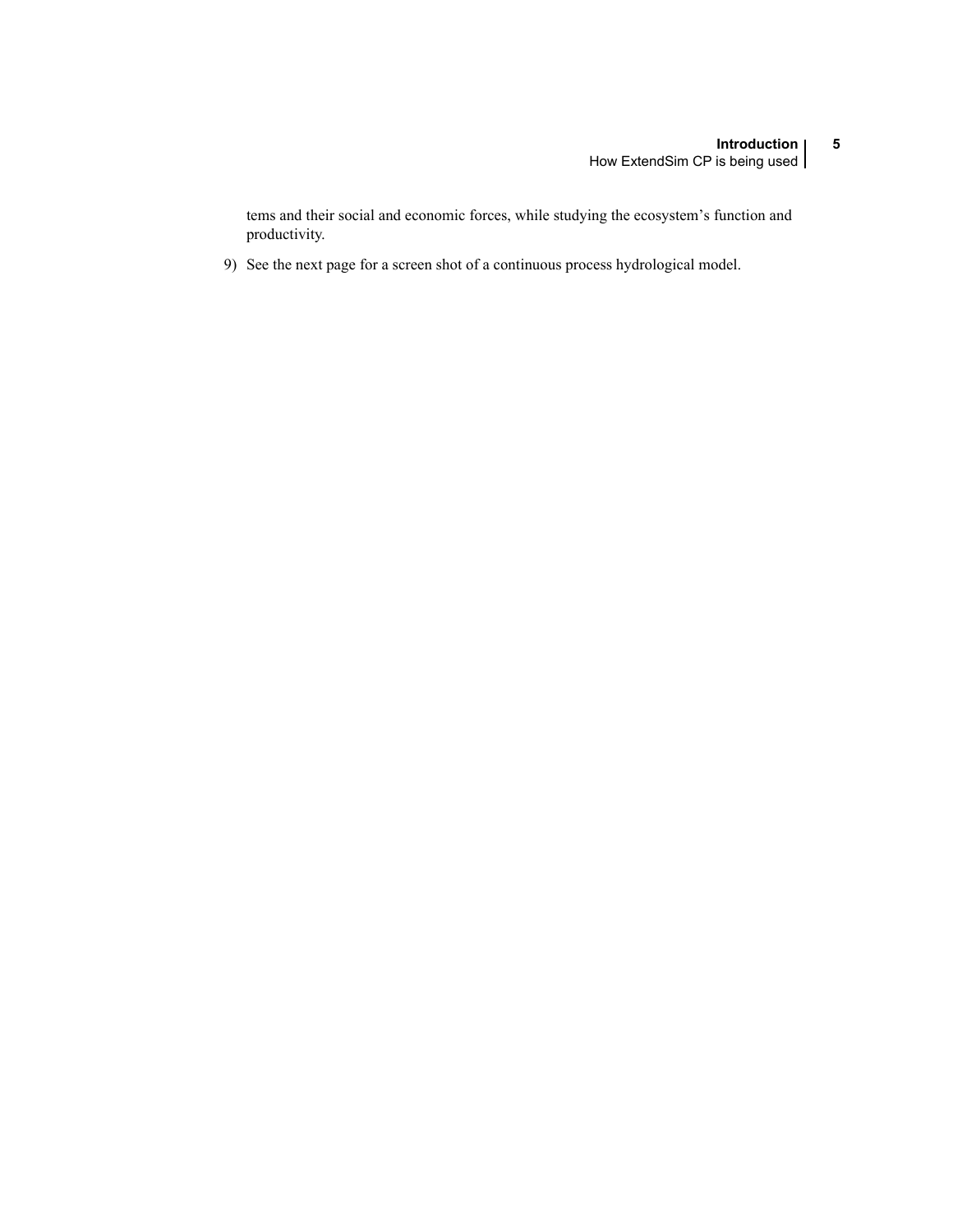# **Introduction 5**

How ExtendSim CP is being used

tems and their social and economic forces, while studying the ecosystem's function and productivity.

9) See the next page for a screen shot of a continuous process hydrological model.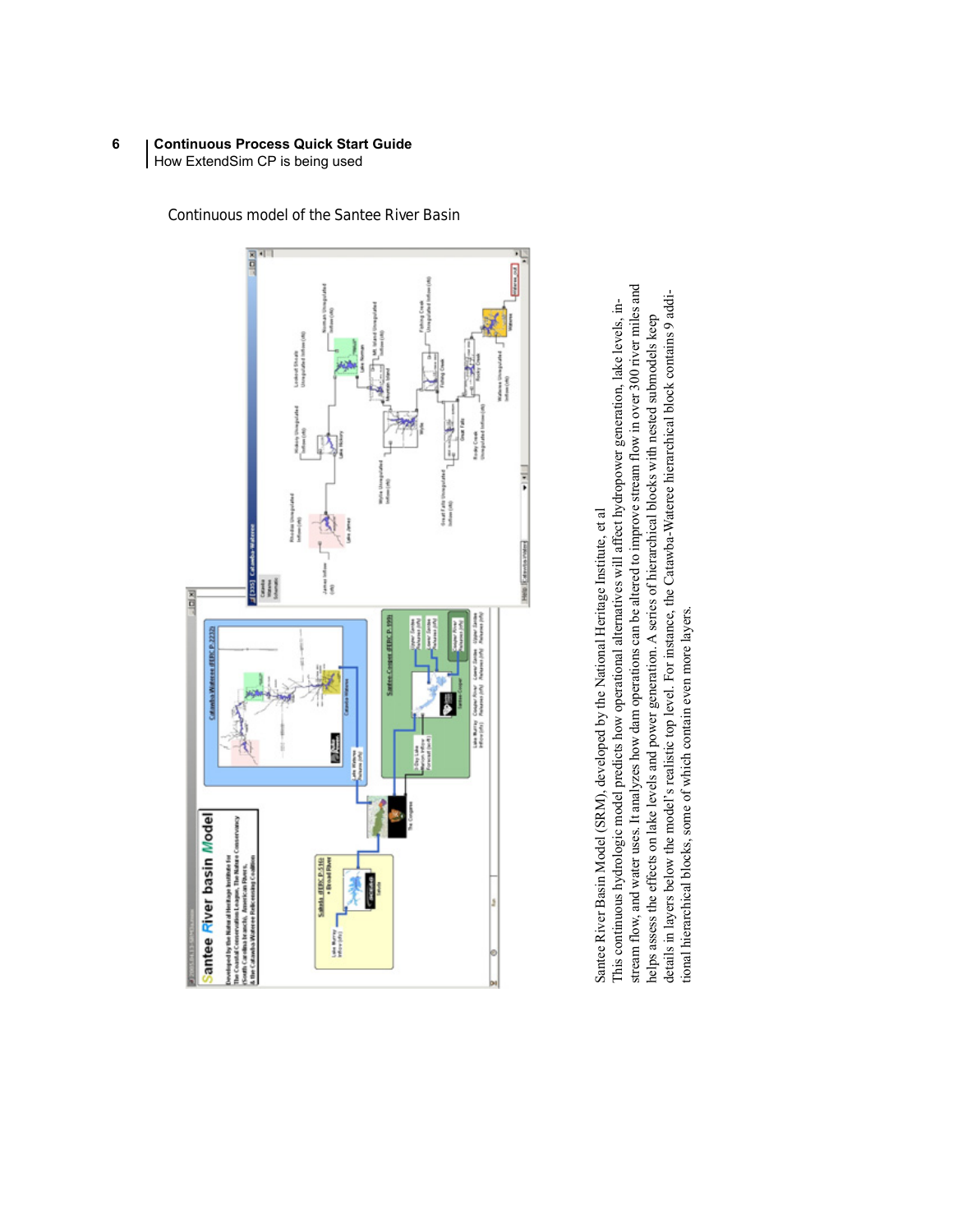How ExtendSim CP is being used

*Continuous model of the Santee River Basin*



stream flow, and water uses. It analyzes how dam operations can be altered to improve stream flow in over 300 river miles and stream flow, and water uses. It analyzes how dam operations can be altered to improve stream flow in over 300 river miles and details in layers below the model's realistic top level. For instance, the Catawba-Wateree hierarchical block contains 9 addidetails in layers below the model's realistic top level. For instance, the Catawba-Wateree hierarchical block contains 9 addi-This continuous hydrologic model predicts how operational alternatives will affect hydropower generation, lake levels, in-This continuous hydrologic model predicts how operational alternatives will affect hydropower generation, lake levels, inhelps assess the effects on lake levels and power generation. A series of hierarchical blocks with nested submodels keep helps assess the effects on lake levels and power generation. A series of hierarchical blocks with nested submodels keep Santee River Basin Model (SRM), developed by the National Heritage Institute, et al Santee River Basin Model (SRM), developed by the National Heritage Institute, et al tional hierarchical blocks, some of which contain even more layers. tional hierarchical blocks, some of which contain even more layers.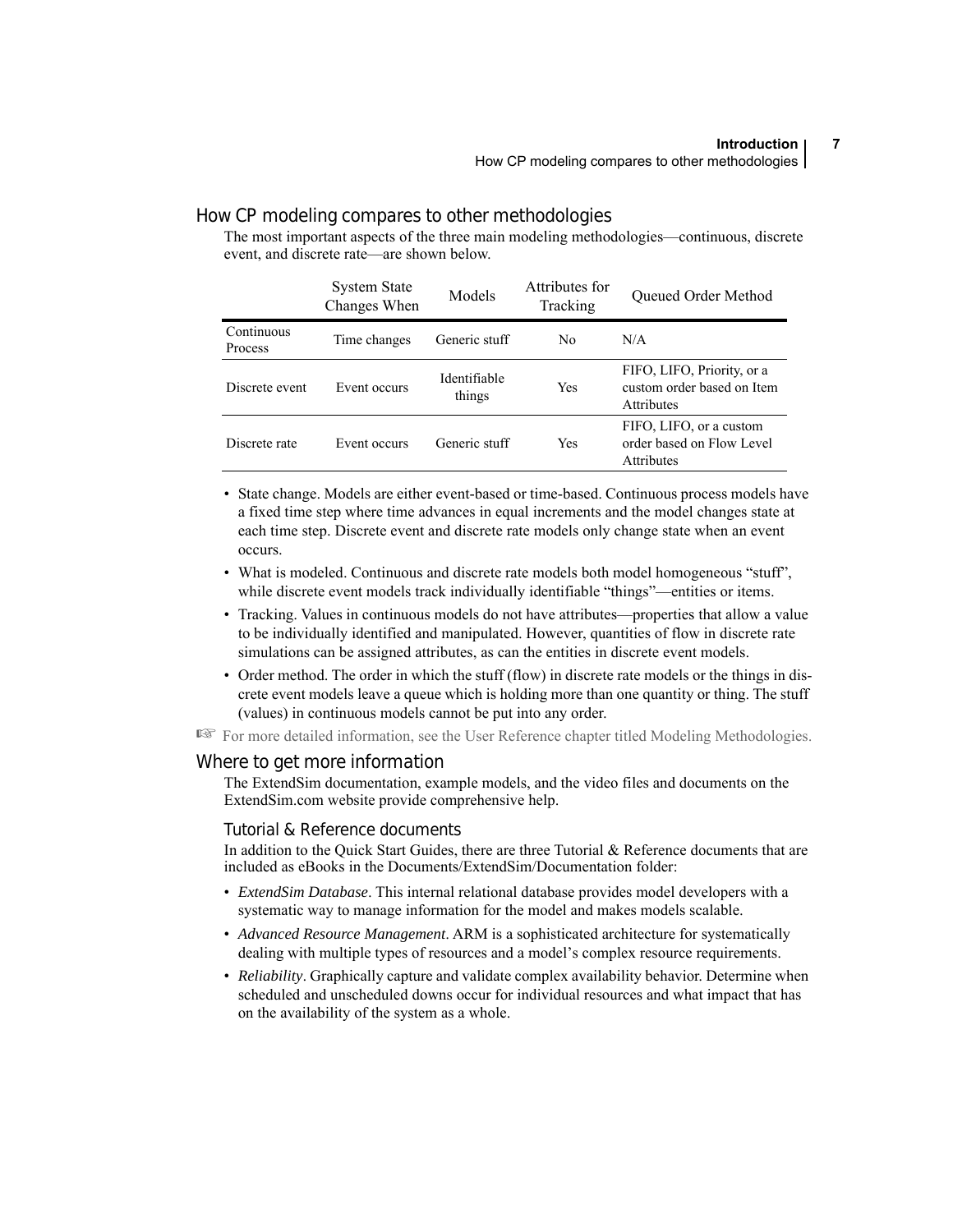#### **Introduction 7**

How CP modeling compares to other methodologies

# <span id="page-10-0"></span>How CP modeling compares to other methodologies

<span id="page-10-2"></span>The most important aspects of the three main modeling methodologies—continuous, discrete event, and discrete rate—are shown below.

|                              | <b>System State</b><br>Changes When | Models                 | Attributes for<br>Tracking | Queued Order Method                                                           |
|------------------------------|-------------------------------------|------------------------|----------------------------|-------------------------------------------------------------------------------|
| Continuous<br><b>Process</b> | Time changes                        | Generic stuff          | No                         | N/A                                                                           |
| Discrete event               | Event occurs                        | Identifiable<br>things | Yes                        | FIFO, LIFO, Priority, or a<br>custom order based on Item<br><b>Attributes</b> |
| Discrete rate                | Event occurs                        | Generic stuff          | Yes                        | FIFO, LIFO, or a custom<br>order based on Flow Level<br><b>Attributes</b>     |

- State change. Models are either event-based or time-based. Continuous process models have a fixed time step where time advances in equal increments and the model changes state at each time step. Discrete event and discrete rate models only change state when an event occurs.
- What is modeled. Continuous and discrete rate models both model homogeneous "stuff", while discrete event models track individually identifiable "things"—entities or items.
- Tracking. Values in continuous models do not have attributes—properties that allow a value to be individually identified and manipulated. However, quantities of flow in discrete rate simulations can be assigned attributes, as can the entities in discrete event models.
- Order method. The order in which the stuff (flow) in discrete rate models or the things in discrete event models leave a queue which is holding more than one quantity or thing. The stuff (values) in continuous models cannot be put into any order.

☞ For more detailed information, see the User Reference chapter titled Modeling Methodologies.

#### <span id="page-10-1"></span>Where to get more information

The ExtendSim documentation, example models, and the video files and documents on the ExtendSim.com website provide comprehensive help.

#### Tutorial & Reference documents

In addition to the Quick Start Guides, there are three Tutorial & Reference documents that are included as eBooks in the Documents/ExtendSim/Documentation folder:

- *ExtendSim Database*. This internal relational database provides model developers with a systematic way to manage information for the model and makes models scalable.
- *Advanced Resource Management*. ARM is a sophisticated architecture for systematically dealing with multiple types of resources and a model's complex resource requirements.
- *Reliability*. Graphically capture and validate complex availability behavior. Determine when scheduled and unscheduled downs occur for individual resources and what impact that has on the availability of the system as a whole.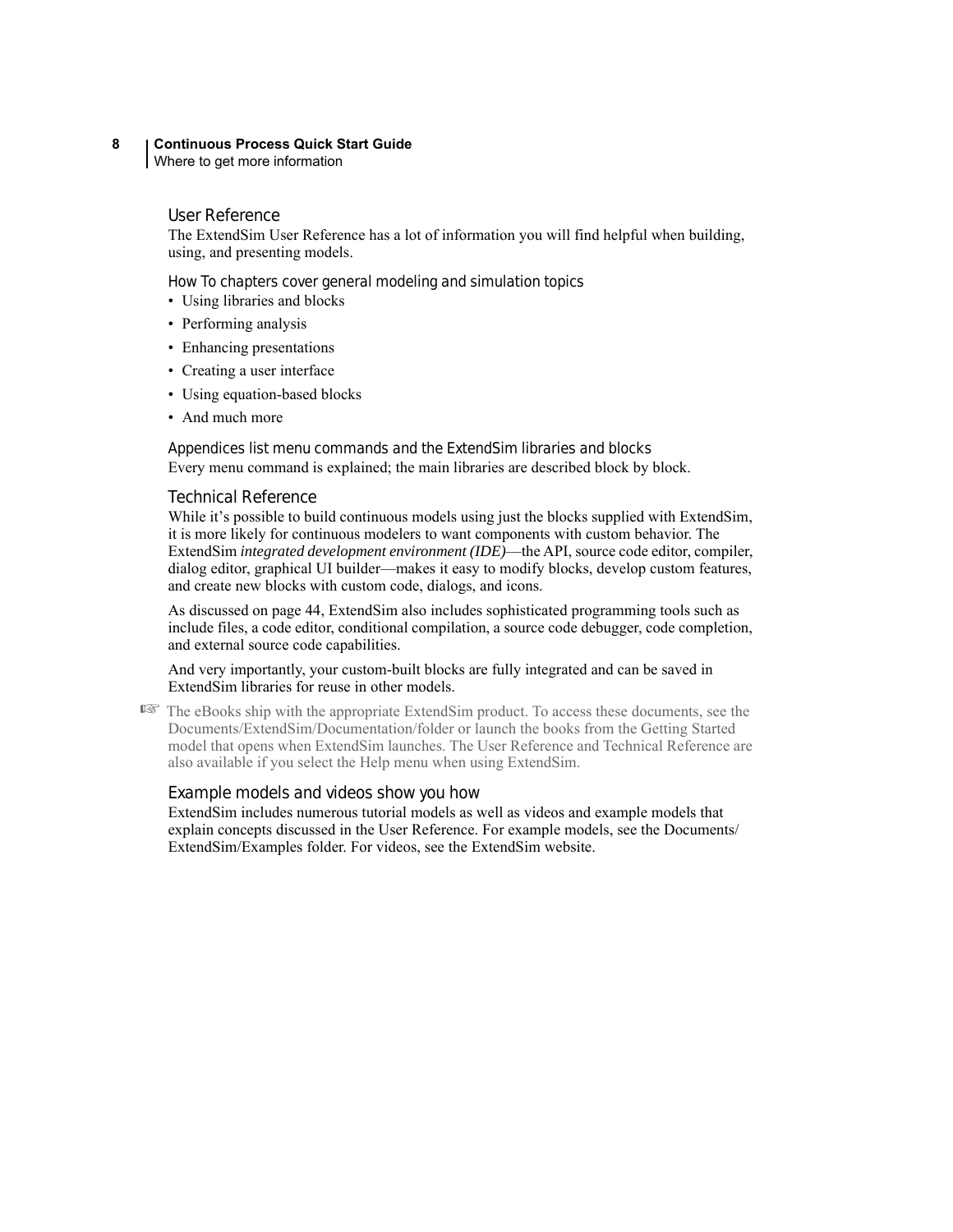Where to get more information

# User Reference

The ExtendSim User Reference has a lot of information you will find helpful when building, using, and presenting models.

# *How To chapters cover general modeling and simulation topics*

• Using libraries and blocks

- Performing analysis
- Enhancing presentations
- Creating a user interface
- Using equation-based blocks
- And much more

# *Appendices list menu commands and the ExtendSim libraries and blocks*

Every menu command is explained; the main libraries are described block by block.

# Technical Reference

<span id="page-11-1"></span>While it's possible to build continuous models using just the blocks supplied with ExtendSim, it is more likely for continuous modelers to want components with custom behavior. The ExtendSim *integrated development environment (IDE)*—the API, source code editor, compiler, dialog editor, graphical UI builder—makes it easy to modify blocks, develop custom features, and create new blocks with custom code, dialogs, and icons.

As discussed on [page 44](#page-47-2), ExtendSim also includes sophisticated programming tools such as include files, a code editor, conditional compilation, a source code debugger, code completion, and external source code capabilities.

And very importantly, your custom-built blocks are fully integrated and can be saved in ExtendSim libraries for reuse in other models.

☞ The eBooks ship with the appropriate ExtendSim product. To access these documents, see the Documents/ExtendSim/Documentation/folder or launch the books from the Getting Started model that opens when ExtendSim launches. The User Reference and Technical Reference are also available if you select the Help menu when using ExtendSim.

# <span id="page-11-0"></span>Example models and videos show you how

ExtendSim includes numerous tutorial models as well as videos and example models that explain concepts discussed in the User Reference. For example models, see the Documents/ ExtendSim/Examples folder. For videos, see the ExtendSim website.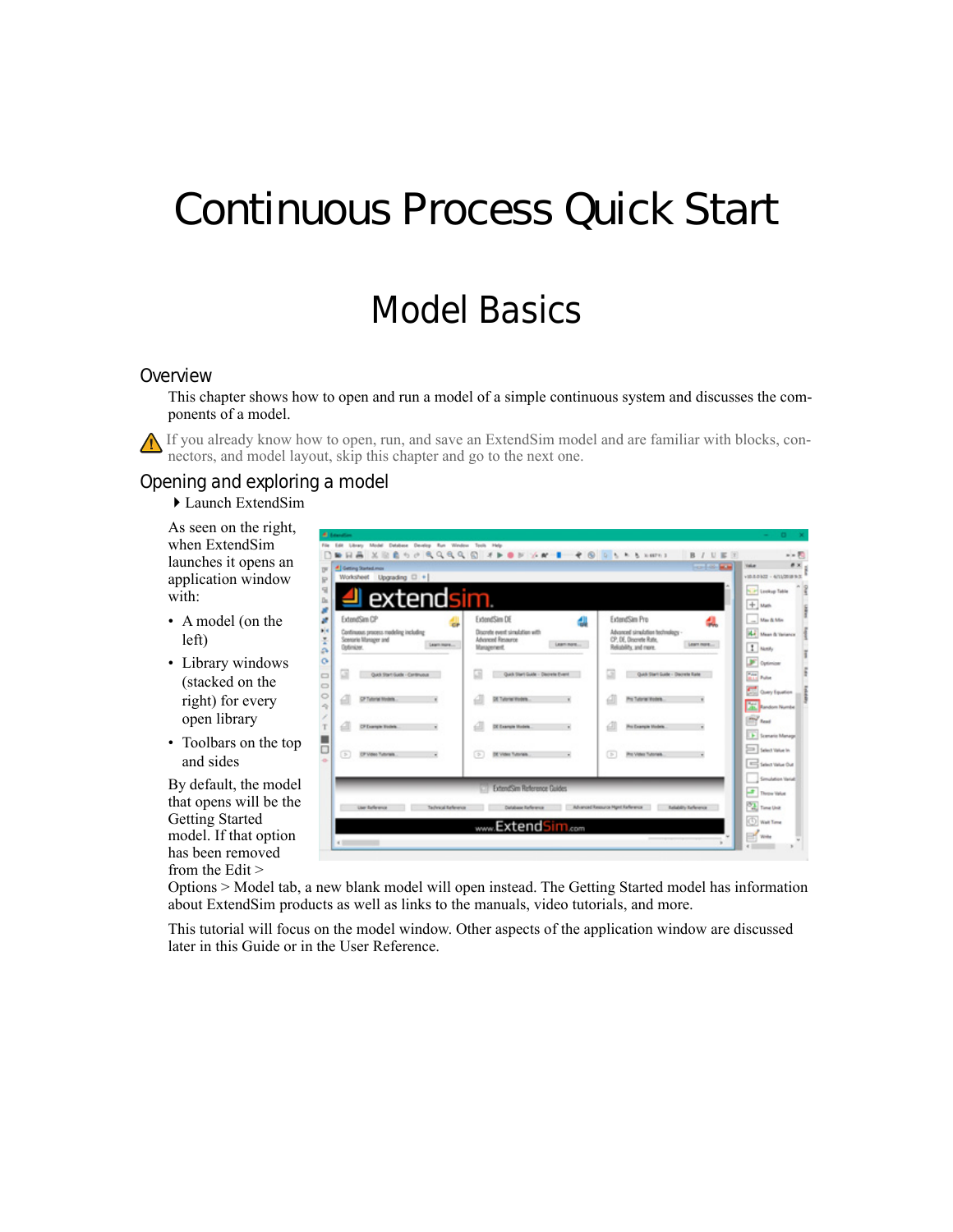# Model Basics

# <span id="page-12-1"></span><span id="page-12-0"></span>**Overview**

This chapter shows how to open and run a model of a simple continuous system and discusses the components of a model.

 If you already know how to open, run, and save an ExtendSim model and are familiar with blocks, connectors, and model layout, skip this chapter and go to the next one.

# <span id="page-12-2"></span>Opening and exploring a model

Launch ExtendSim

<span id="page-12-3"></span>As seen on the right, when ExtendSim launches it opens an application window with:

- A model (on the left)
- Library windows (stacked on the right) for every open library
- Toolbars on the top and sides

<span id="page-12-4"></span>By default, the model that opens will be the Getting Started model. If that option has been removed from the Edit >



Options > Model tab, a new blank model will open instead. The Getting Started model has information about ExtendSim products as well as links to the manuals, video tutorials, and more.

This tutorial will focus on the model window. Other aspects of the application window are discussed later in this Guide or in the User Reference.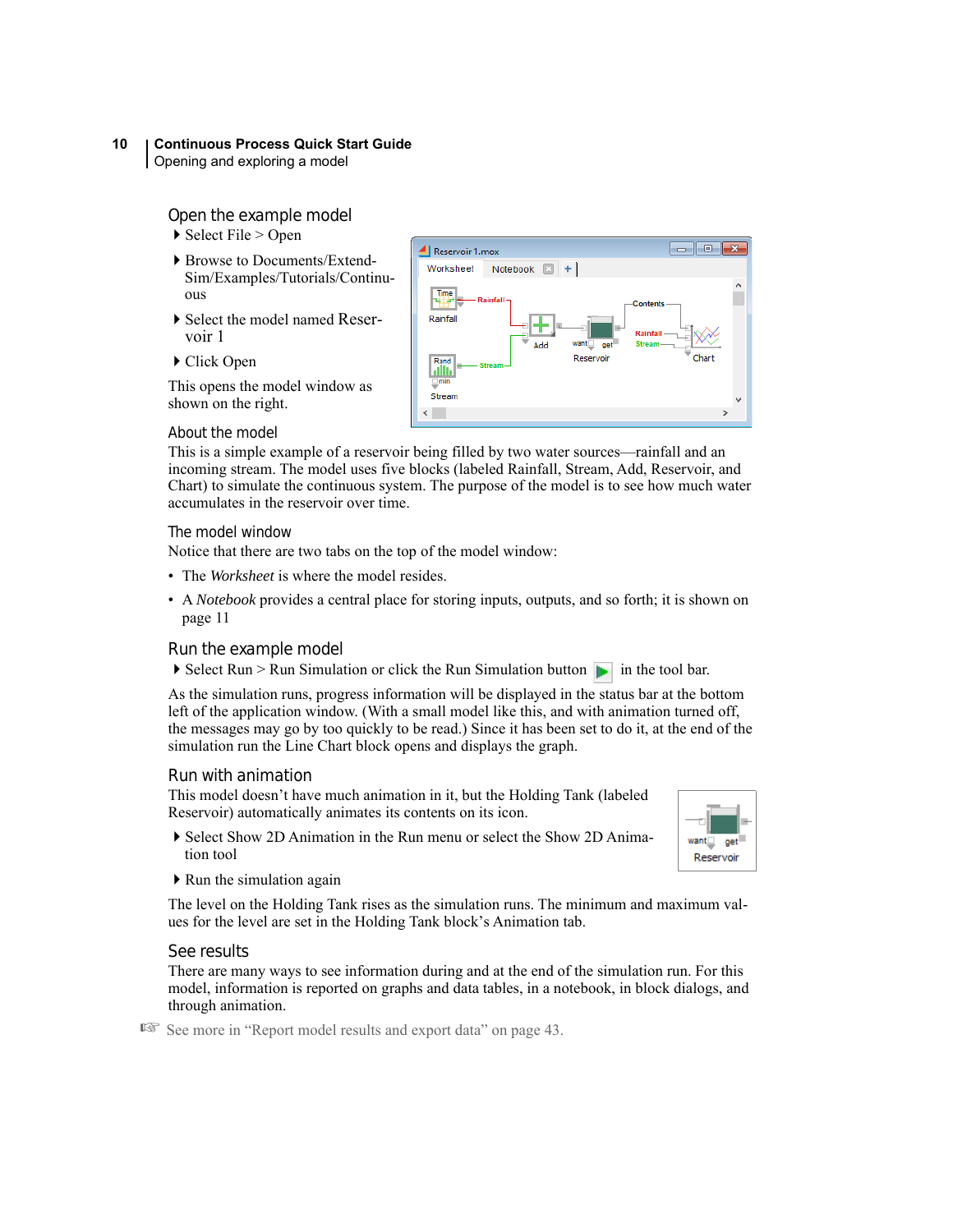Opening and exploring a model

Open the example model

- $\triangleright$  Select File > Open
- Browse to Documents/Extend-Sim/Examples/Tutorials/Continuous
- ▶ Select the model named Reservoir 1
- ▶ Click Open

This opens the model window as shown on the right.

# *About the model*

This is a simple example of a reservoir being filled by two water sources—rainfall and an incoming stream. The model uses five blocks (labeled Rainfall, Stream, Add, Reservoir, and Chart) to simulate the continuous system. The purpose of the model is to see how much water accumulates in the reservoir over time.

# *The model window*

Notice that there are two tabs on the top of the model window:

- The *Worksheet* is where the model resides.
- A *Notebook* provides a central place for storing inputs, outputs, and so forth; it is shown on [page 11](#page-14-0)

# Run the example model

<span id="page-13-0"></span>Select Run > Run Simulation or click the Run Simulation button  $\Box$  in the tool bar.

As the simulation runs, progress information will be displayed in the status bar at the bottom left of the application window. (With a small model like this, and with animation turned off, the messages may go by too quickly to be read.) Since it has been set to do it, at the end of the simulation run the Line Chart block opens and displays the graph.

# Run with animation

This model doesn't have much animation in it, but the Holding Tank (labeled Reservoir) automatically animates its contents on its icon.

Select Show 2D Animation in the Run menu or select the Show 2D Animation tool



 $\triangleright$  Run the simulation again

The level on the Holding Tank rises as the simulation runs. The minimum and maximum values for the level are set in the Holding Tank block's Animation tab.

# See results

There are many ways to see information during and at the end of the simulation run. For this model, information is reported on graphs and data tables, in a notebook, in block dialogs, and through animation.

☞ See more in ["Report model results and export data" on page 43.](#page-46-3)

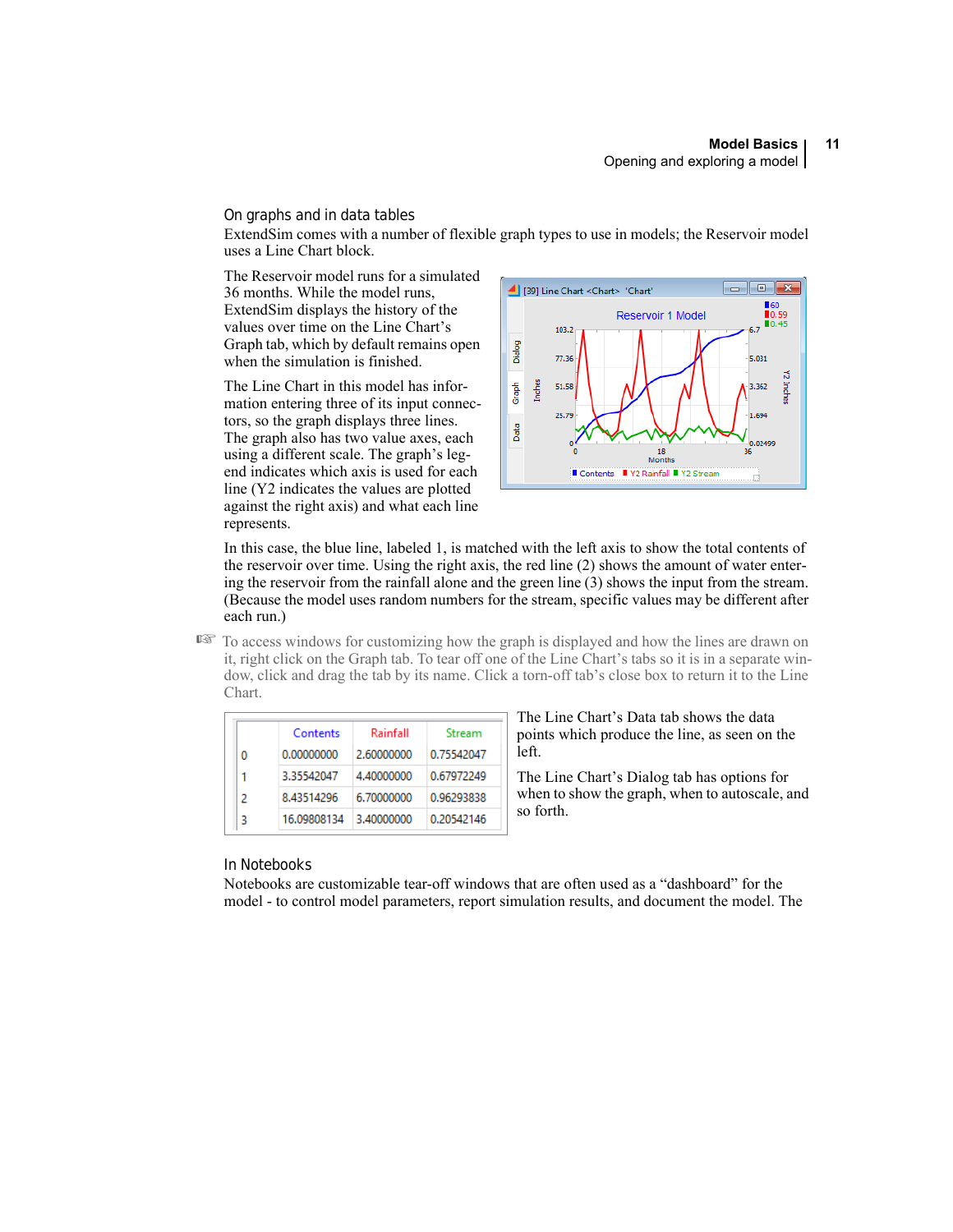### **Model Basics | 11** Opening and exploring a model

## <span id="page-14-3"></span><span id="page-14-2"></span>*On graphs and in data tables*

ExtendSim comes with a number of flexible graph types to use in models; the Reservoir model uses a Line Chart block.

<span id="page-14-4"></span>The Reservoir model runs for a simulated 36 months. While the model runs, ExtendSim displays the history of the values over time on the Line Chart's Graph tab, which by default remains open when the simulation is finished.

The Line Chart in this model has information entering three of its input connectors, so the graph displays three lines. The graph also has two value axes, each using a different scale. The graph's legend indicates which axis is used for each line (Y2 indicates the values are plotted against the right axis) and what each line represents.



In this case, the blue line, labeled 1, is matched with the left axis to show the total contents of the reservoir over time. Using the right axis, the red line (2) shows the amount of water entering the reservoir from the rainfall alone and the green line (3) shows the input from the stream. (Because the model uses random numbers for the stream, specific values may be different after each run.)

☞ To access windows for customizing how the graph is displayed and how the lines are drawn on it, right click on the Graph tab. To tear off one of the Line Chart's tabs so it is in a separate window, click and drag the tab by its name. Click a torn-off tab's close box to return it to the Line Chart.

|   | Contents    | Rainfall   | Stream     |
|---|-------------|------------|------------|
| Ω | 0.00000000  | 2.60000000 | 0.75542047 |
|   | 3.35542047  | 4.40000000 | 0.67972249 |
| 2 | 8.43514296  | 6.70000000 | 0.96293838 |
| ٦ | 16.09808134 | 3.40000000 | 0.20542146 |

The Line Chart's Data tab shows the data points which produce the line, as seen on the left.

The Line Chart's Dialog tab has options for when to show the graph, when to autoscale, and so forth.

# <span id="page-14-1"></span><span id="page-14-0"></span>*In Notebooks*

Notebooks are customizable tear-off windows that are often used as a "dashboard" for the model - to control model parameters, report simulation results, and document the model. The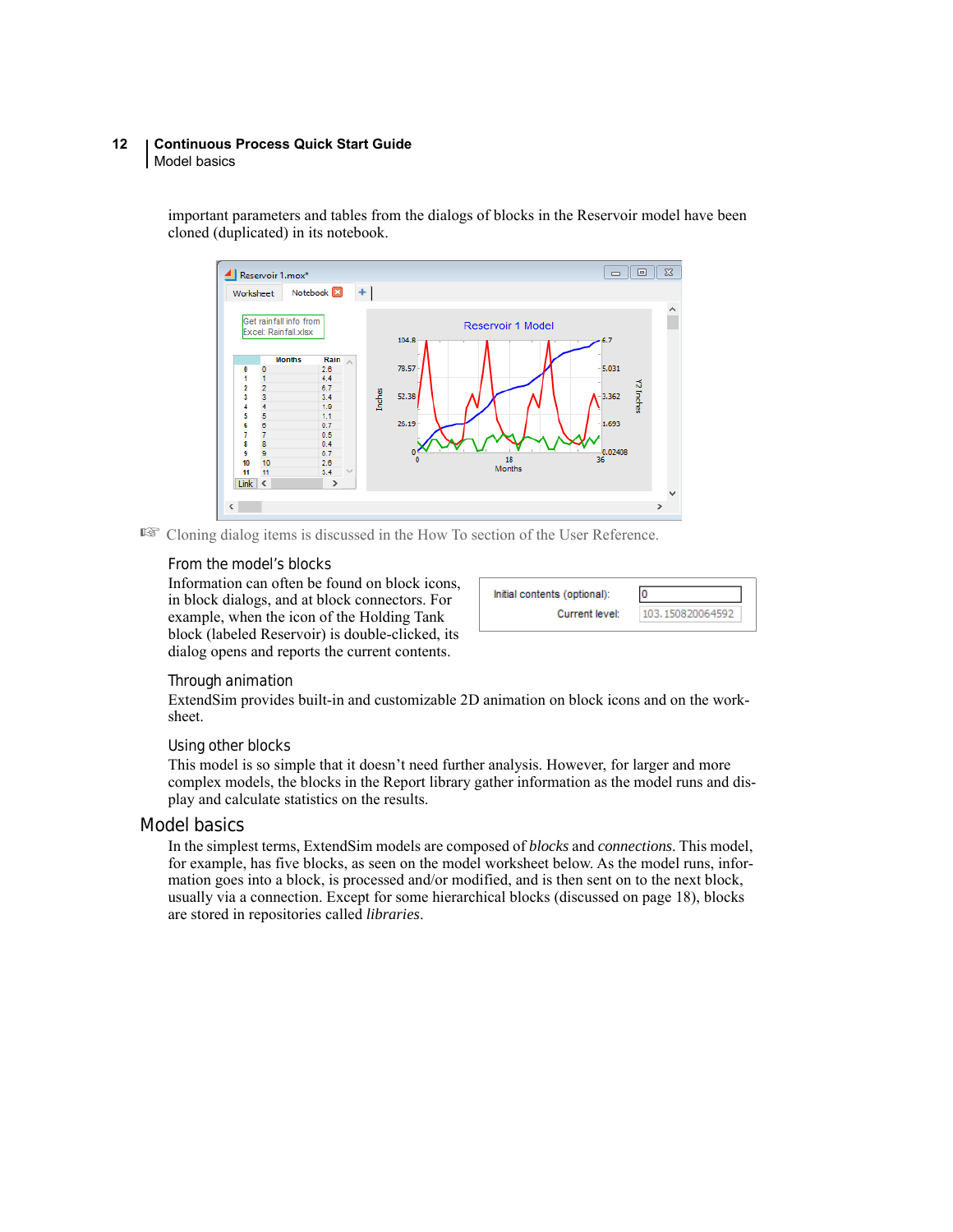# **12 Continuous Process Quick Start Guide** Model basics

important parameters and tables from the dialogs of blocks in the Reservoir model have been cloned (duplicated) in its notebook.



☞ Cloning dialog items is discussed in the How To section of the User Reference.

# *From the model's blocks*

Information can often be found on block icons, in block dialogs, and at block connectors. For example, when the icon of the Holding Tank block (labeled Reservoir) is double-clicked, its dialog opens and reports the current contents.

| Initial contents (optional): |                  |
|------------------------------|------------------|
| Current level:               | 103.150820064592 |

#### *Through animation*

ExtendSim provides built-in and customizable 2D animation on block icons and on the worksheet.

#### *Using other blocks*

This model is so simple that it doesn't need further analysis. However, for larger and more complex models, the blocks in the Report library gather information as the model runs and display and calculate statistics on the results.

#### <span id="page-15-1"></span><span id="page-15-0"></span>Model basics

In the simplest terms, ExtendSim models are composed of *blocks* and *connections*. This model, for example, has five blocks, as seen on the model worksheet below. As the model runs, information goes into a block, is processed and/or modified, and is then sent on to the next block, usually via a connection. Except for some hierarchical blocks (discussed on [page 18](#page-21-0)), blocks are stored in repositories called *libraries*.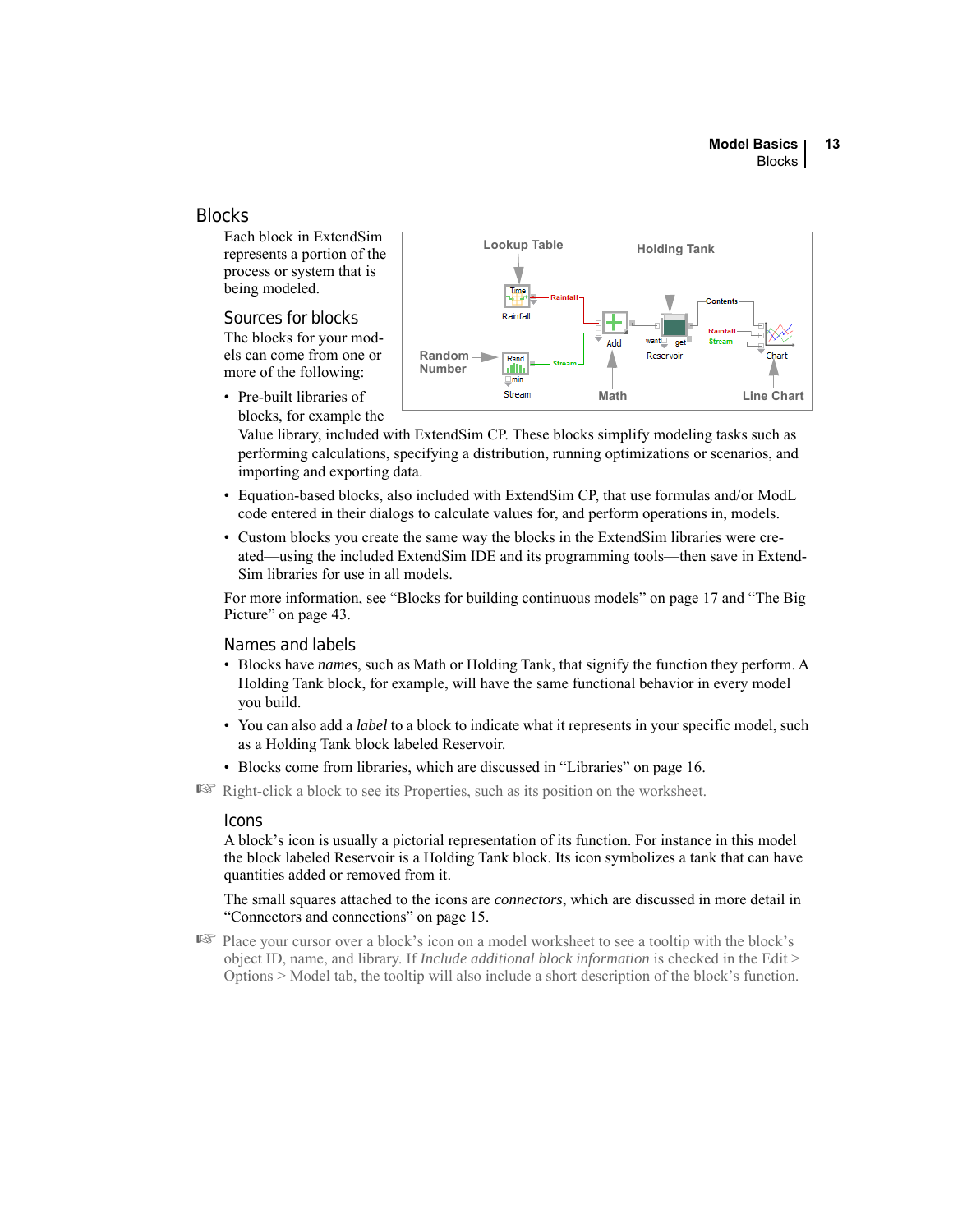## <span id="page-16-2"></span><span id="page-16-0"></span>**Blocks**

Each block in ExtendSim represents a portion of the process or system that is being modeled.

### Sources for blocks

The blocks for your models can come from one or more of the following:

• Pre-built libraries of blocks, for example the



Value library, included with ExtendSim CP. These blocks simplify modeling tasks such as performing calculations, specifying a distribution, running optimizations or scenarios, and importing and exporting data.

- Equation-based blocks, also included with ExtendSim CP, that use formulas and/or ModL code entered in their dialogs to calculate values for, and perform operations in, models.
- Custom blocks you create the same way the blocks in the ExtendSim libraries were created—using the included ExtendSim IDE and its programming tools—then save in Extend-Sim libraries for use in all models.

For more information, see ["Blocks for building continuous models" on page 17](#page-20-0) and ["The Big](#page-46-4)  [Picture" on page 43](#page-46-4).

### Names and labels

- Blocks have *names*, such as Math or Holding Tank, that signify the function they perform. A Holding Tank block, for example, will have the same functional behavior in every model you build.
- You can also add a *label* to a block to indicate what it represents in your specific model, such as a Holding Tank block labeled Reservoir.

• Blocks come from libraries, which are discussed in ["Libraries" on page 16](#page-19-0).

☞ Right-click a block to see its Properties, such as its position on the worksheet.

#### <span id="page-16-1"></span>Icons

A block's icon is usually a pictorial representation of its function. For instance in this model the block labeled Reservoir is a Holding Tank block. Its icon symbolizes a tank that can have quantities added or removed from it.

<span id="page-16-3"></span>The small squares attached to the icons are *connectors*, which are discussed in more detail in ["Connectors and connections" on page 15.](#page-18-0)

☞ Place your cursor over a block's icon on a model worksheet to see a tooltip with the block's object ID, name, and library. If *Include additional block information* is checked in the Edit > Options > Model tab, the tooltip will also include a short description of the block's function.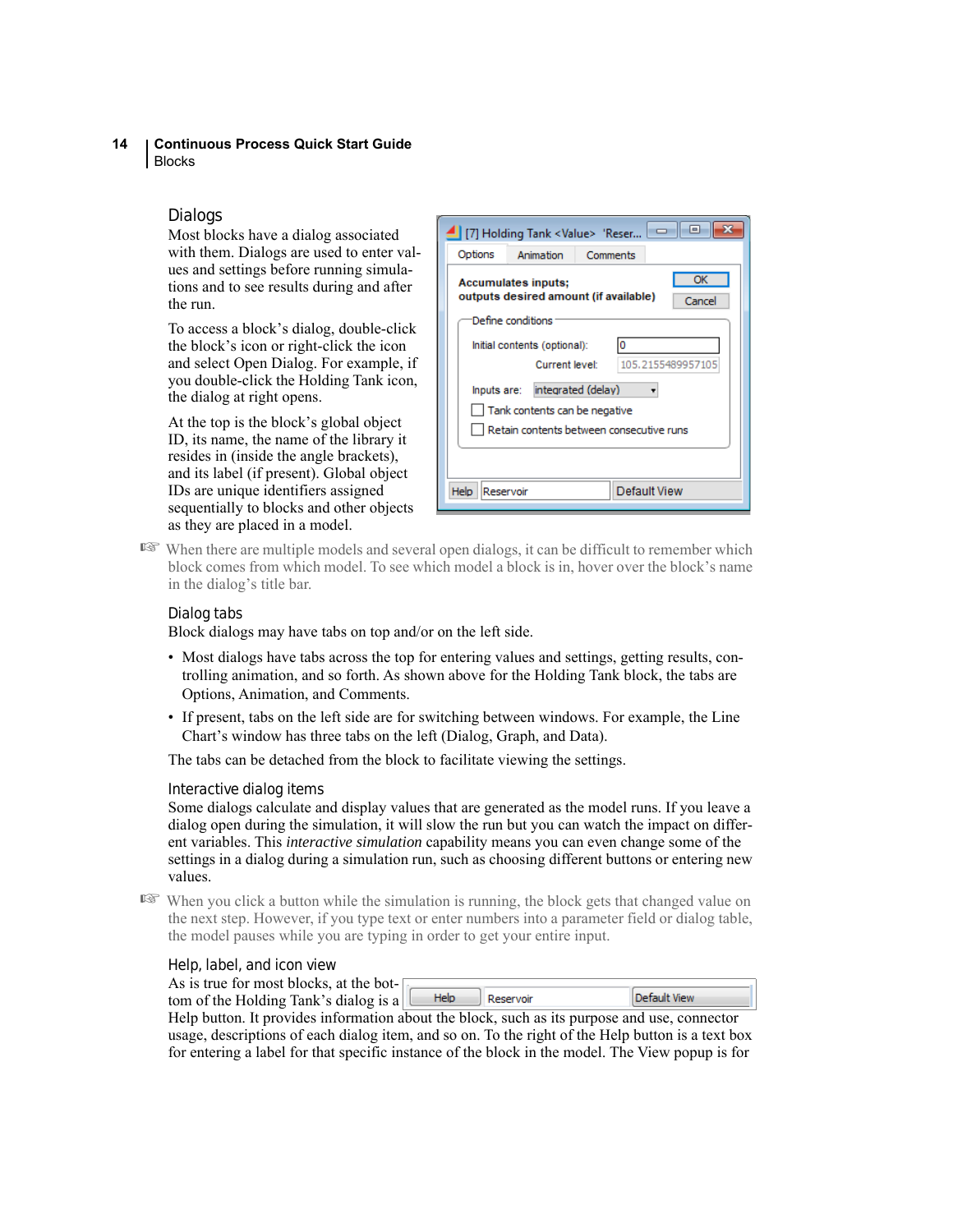# <span id="page-17-0"></span>Dialogs

Most blocks have a dialog associated with them. Dialogs are used to enter values and settings before running simulations and to see results during and after the run.

To access a block's dialog, double-click the block's icon or right-click the icon and select Open Dialog. For example, if you double-click the Holding Tank icon, the dialog at right opens.

<span id="page-17-2"></span>At the top is the block's global object ID, its name, the name of the library it resides in (inside the angle brackets), and its label (if present). Global object IDs are unique identifiers assigned sequentially to blocks and other objects as they are placed in a model.

|                                                                                     |                              | [7] Holding Tank <value> 'Reser              </value> | 冋                 |  |
|-------------------------------------------------------------------------------------|------------------------------|-------------------------------------------------------|-------------------|--|
| Options                                                                             | Animation                    | Comments                                              |                   |  |
| OK<br><b>Accumulates inputs:</b><br>outputs desired amount (if available)<br>Cancel |                              |                                                       |                   |  |
|                                                                                     | Define conditions            |                                                       |                   |  |
|                                                                                     | Initial contents (optional): | 0                                                     |                   |  |
|                                                                                     | Current level:               |                                                       | 105.2155489957105 |  |
| Inputs are:                                                                         |                              | integrated (delay)                                    |                   |  |
| Tank contents can be negative                                                       |                              |                                                       |                   |  |
| Retain contents between consecutive runs                                            |                              |                                                       |                   |  |
|                                                                                     |                              |                                                       |                   |  |
|                                                                                     |                              |                                                       |                   |  |
| <b>Help</b><br>Reservoir                                                            |                              |                                                       | Default View      |  |
|                                                                                     |                              |                                                       |                   |  |

☞ When there are multiple models and several open dialogs, it can be difficult to remember which block comes from which model. To see which model a block is in, hover over the block's name in the dialog's title bar.

# *Dialog tabs*

Block dialogs may have tabs on top and/or on the left side.

- Most dialogs have tabs across the top for entering values and settings, getting results, controlling animation, and so forth. As shown above for the Holding Tank block, the tabs are Options, Animation, and Comments.
- If present, tabs on the left side are for switching between windows. For example, the Line Chart's window has three tabs on the left (Dialog, Graph, and Data).

The tabs can be detached from the block to facilitate viewing the settings.

#### <span id="page-17-4"></span>*Interactive dialog items*

Some dialogs calculate and display values that are generated as the model runs. If you leave a dialog open during the simulation, it will slow the run but you can watch the impact on different variables. This *interactive simulation* capability means you can even change some of the settings in a dialog during a simulation run, such as choosing different buttons or entering new values.

☞ When you click a button while the simulation is running, the block gets that changed value on the next step. However, if you type text or enter numbers into a parameter field or dialog table, the model pauses while you are typing in order to get your entire input.

#### <span id="page-17-3"></span><span id="page-17-1"></span>*Help, label, and icon view*

| As is true for most blocks, at the bot- $\lceil$        |           |              |
|---------------------------------------------------------|-----------|--------------|
| tom of the Holding Tank's dialog is a $\mathbb{L}$ Help | Reservoir | Default View |
|                                                         |           |              |

Help button. It provides information about the block, such as its purpose and use, connector usage, descriptions of each dialog item, and so on. To the right of the Help button is a text box for entering a label for that specific instance of the block in the model. The View popup is for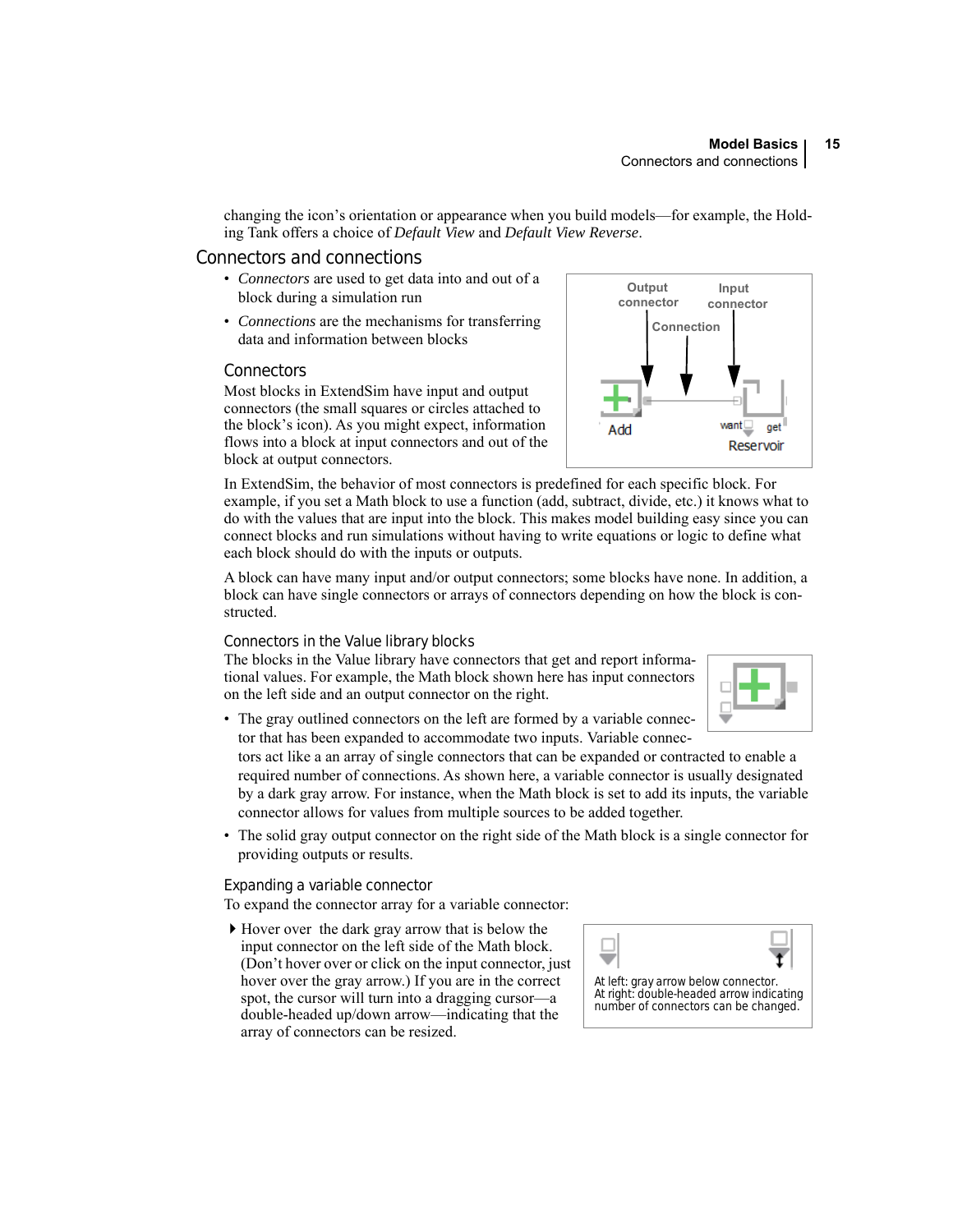**Input connector**

want

get

Reservoir

**Output connector**

Ado

**Connection**

<span id="page-18-3"></span>changing the icon's orientation or appearance when you build models—for example, the Holding Tank offers a choice of *Default View* and *Default View Reverse*.

# <span id="page-18-0"></span>Connectors and connections

- *Connectors* are used to get data into and out of a block during a simulation run
- *Connections* are the mechanisms for transferring data and information between blocks

# <span id="page-18-2"></span>**Connectors**

Most blocks in ExtendSim have input and output connectors (the small squares or circles attached to the block's icon). As you might expect, information flows into a block at input connectors and out of the block at output connectors.

In ExtendSim, the behavior of most connectors is predefined for each specific block. For example, if you set a Math block to use a function (add, subtract, divide, etc.) it knows what to do with the values that are input into the block. This makes model building easy since you can connect blocks and run simulations without having to write equations or logic to define what each block should do with the inputs or outputs.

A block can have many input and/or output connectors; some blocks have none. In addition, a block can have single connectors or arrays of connectors depending on how the block is constructed.

# *Connectors in the Value library blocks*

The blocks in the Value library have connectors that get and report informational values. For example, the Math block shown here has input connectors on the left side and an output connector on the right.

• The gray outlined connectors on the left are formed by a variable connector that has been expanded to accommodate two inputs. Variable connec-

tors act like a an array of single connectors that can be expanded or contracted to enable a required number of connections. As shown here, a variable connector is usually designated by a dark gray arrow. For instance, when the Math block is set to add its inputs, the variable connector allows for values from multiple sources to be added together.

• The solid gray output connector on the right side of the Math block is a single connector for providing outputs or results.

#### *Expanding a variable connector*

To expand the connector array for a variable connector:

Hover over the dark gray arrow that is below the input connector on the left side of the Math block. (Don't hover over or click on the input connector, just hover over the gray arrow.) If you are in the correct spot, the cursor will turn into a dragging cursor—a double-headed up/down arrow—indicating that the array of connectors can be resized.

<span id="page-18-4"></span>

<span id="page-18-1"></span>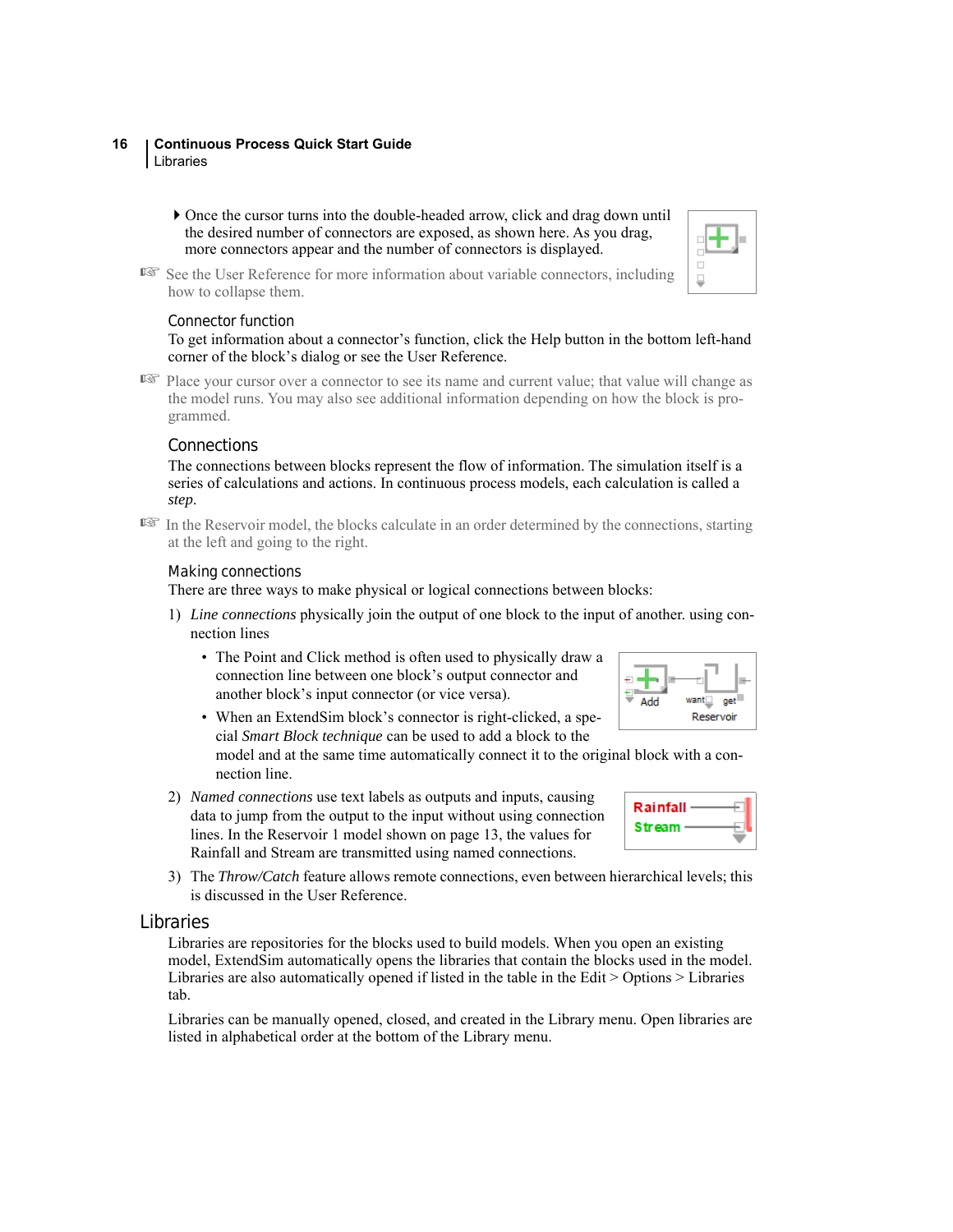# **16 Continuous Process Quick Start Guide Libraries**

- Once the cursor turns into the double-headed arrow, click and drag down until the desired number of connectors are exposed, as shown here. As you drag, more connectors appear and the number of connectors is displayed.
- See the User Reference for more information about variable connectors, including how to collapse them.

#### *Connector function*

To get information about a connector's function, click the Help button in the bottom left-hand corner of the block's dialog or see the User Reference.

☞ Place your cursor over a connector to see its name and current value; that value will change as the model runs. You may also see additional information depending on how the block is programmed.

# <span id="page-19-3"></span>**Connections**

The connections between blocks represent the flow of information. The simulation itself is a series of calculations and actions. In continuous process models, each calculation is called a *step*.

☞ In the Reservoir model, the blocks calculate in an order determined by the connections, starting at the left and going to the right.

#### <span id="page-19-4"></span><span id="page-19-1"></span>*Making connections*

There are three ways to make physical or logical connections between blocks:

- 1) *Line connections* physically join the output of one block to the input of another. using connection lines
	- The Point and Click method is often used to physically draw a connection line between one block's output connector and another block's input connector (or vice versa).

<span id="page-19-2"></span>

model and at the same time automatically connect it to the original block with a connection line.

- 2) *Named connections* use text labels as outputs and inputs, causing data to jump from the output to the input without using connection lines. In the Reservoir 1 model shown on [page 13,](#page-16-0) the values for Rainfall and Stream are transmitted using named connections.
- 3) The *Throw/Catch* feature allows remote connections, even between hierarchical levels; this is discussed in the User Reference.

# <span id="page-19-0"></span>Libraries

Libraries are repositories for the blocks used to build models. When you open an existing model, ExtendSim automatically opens the libraries that contain the blocks used in the model. Libraries are also automatically opened if listed in the table in the Edit > Options > Libraries tab.

Libraries can be manually opened, closed, and created in the Library menu. Open libraries are listed in alphabetical order at the bottom of the Library menu.





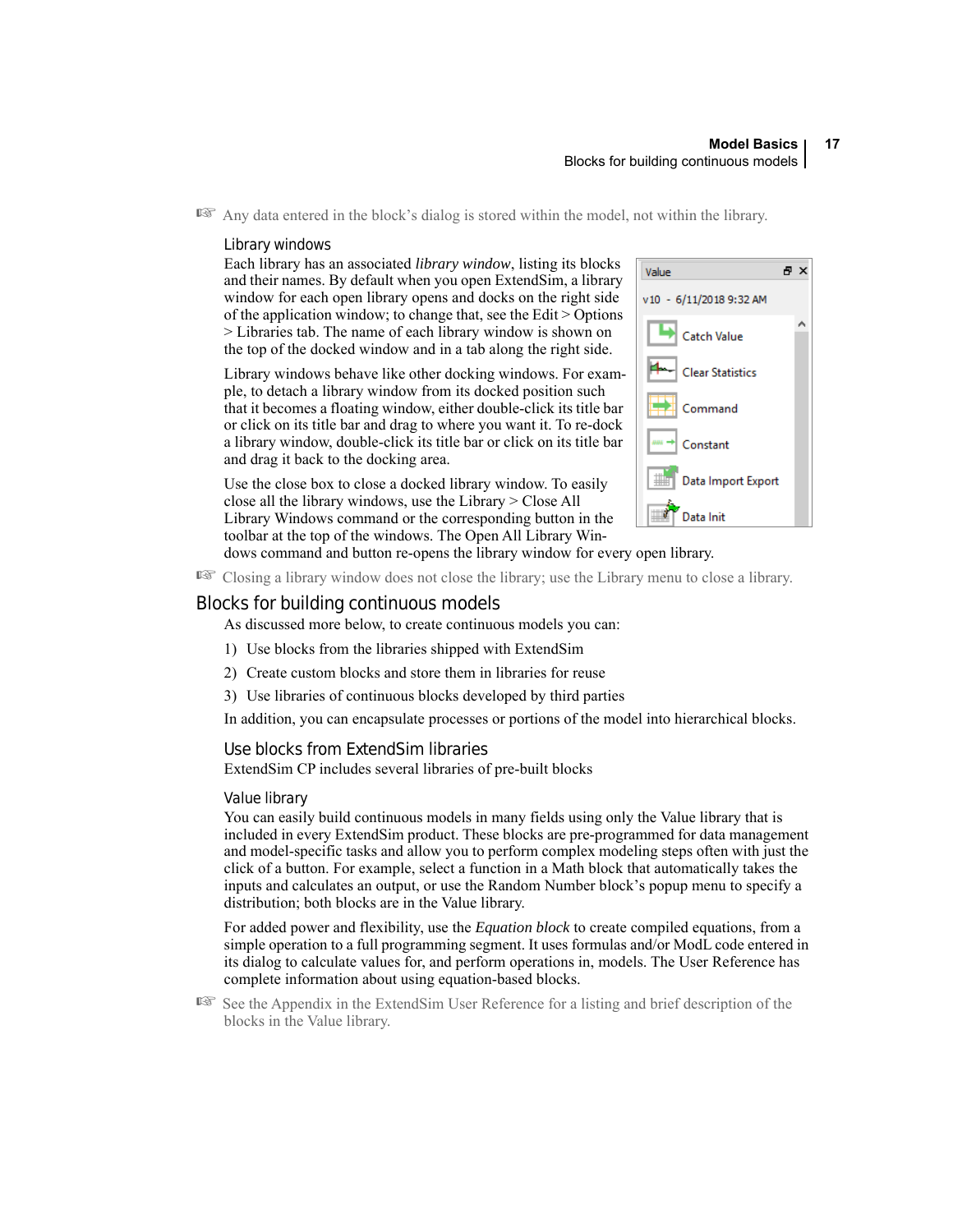☞ Any data entered in the block's dialog is stored within the model, not within the library.

#### <span id="page-20-6"></span>*Library windows*

Each library has an associated *library window*, listing its blocks and their names. By default when you open ExtendSim, a library window for each open library opens and docks on the right side of the application window; to change that, see the Edit > Options > Libraries tab. The name of each library window is shown on the top of the docked window and in a tab along the right side.

Library windows behave like other docking windows. For example, to detach a library window from its docked position such that it becomes a floating window, either double-click its title bar or click on its title bar and drag to where you want it. To re-dock a library window, double-click its title bar or click on its title bar and drag it back to the docking area.

<span id="page-20-7"></span>Use the close box to close a docked library window. To easily close all the library windows, use the Library > Close All Library Windows command or the corresponding button in the toolbar at the top of the windows. The Open All Library Win-

<span id="page-20-3"></span>

dows command and button re-opens the library window for every open library.

<span id="page-20-1"></span>☞ Closing a library window does not close the library; use the Library menu to close a library.

# <span id="page-20-0"></span>Blocks for building continuous models

<span id="page-20-5"></span>As discussed more below, to create continuous models you can:

- 1) Use blocks from the libraries shipped with ExtendSim
- 2) Create custom blocks and store them in libraries for reuse
- 3) Use libraries of continuous blocks developed by third parties

In addition, you can encapsulate processes or portions of the model into hierarchical blocks.

#### Use blocks from ExtendSim libraries

ExtendSim CP includes several libraries of pre-built blocks

#### <span id="page-20-2"></span>*Value library*

You can easily build continuous models in many fields using only the Value library that is included in every ExtendSim product. These blocks are pre-programmed for data management and model-specific tasks and allow you to perform complex modeling steps often with just the click of a button. For example, select a function in a Math block that automatically takes the inputs and calculates an output, or use the Random Number block's popup menu to specify a distribution; both blocks are in the Value library.

<span id="page-20-4"></span>For added power and flexibility, use the *Equation block* to create compiled equations, from a simple operation to a full programming segment. It uses formulas and/or ModL code entered in its dialog to calculate values for, and perform operations in, models. The User Reference has complete information about using equation-based blocks.

☞ See the Appendix in the ExtendSim User Reference for a listing and brief description of the blocks in the Value library.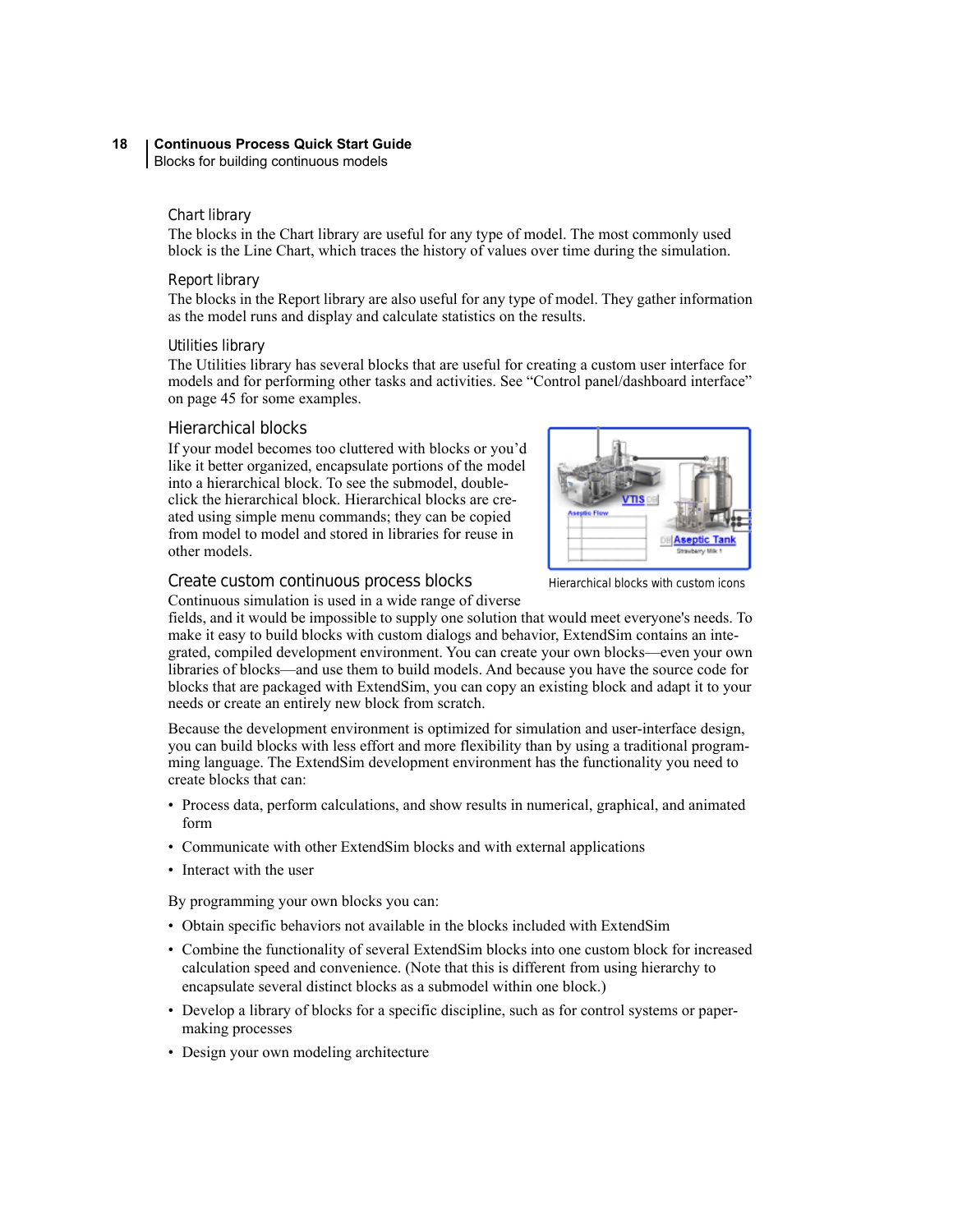Blocks for building continuous models

# <span id="page-21-3"></span>*Chart library*

The blocks in the Chart library are useful for any type of model. The most commonly used block is the Line Chart, which traces the history of values over time during the simulation.

## <span id="page-21-5"></span>*Report library*

The blocks in the Report library are also useful for any type of model. They gather information as the model runs and display and calculate statistics on the results.

#### *Utilities library*

The Utilities library has several blocks that are useful for creating a custom user interface for models and for performing other tasks and activities. See ["Control panel/dashboard interface"](#page-48-1)  [on page 45](#page-48-1) for some examples.

#### <span id="page-21-4"></span><span id="page-21-0"></span>Hierarchical blocks

If your model becomes too cluttered with blocks or you'd like it better organized, encapsulate portions of the model into a hierarchical block. To see the submodel, doubleclick the hierarchical block. Hierarchical blocks are created using simple menu commands; they can be copied from model to model and stored in libraries for reuse in other models.



# <span id="page-21-2"></span><span id="page-21-1"></span>Create custom continuous process blocks

Hierarchical blocks with custom icons

Continuous simulation is used in a wide range of diverse

fields, and it would be impossible to supply one solution that would meet everyone's needs. To make it easy to build blocks with custom dialogs and behavior, ExtendSim contains an integrated, compiled development environment. You can create your own blocks—even your own libraries of blocks—and use them to build models. And because you have the source code for blocks that are packaged with ExtendSim, you can copy an existing block and adapt it to your needs or create an entirely new block from scratch.

Because the development environment is optimized for simulation and user-interface design, you can build blocks with less effort and more flexibility than by using a traditional programming language. The ExtendSim development environment has the functionality you need to create blocks that can:

- Process data, perform calculations, and show results in numerical, graphical, and animated form
- Communicate with other ExtendSim blocks and with external applications
- Interact with the user

By programming your own blocks you can:

- Obtain specific behaviors not available in the blocks included with ExtendSim
- Combine the functionality of several ExtendSim blocks into one custom block for increased calculation speed and convenience. (Note that this is different from using hierarchy to encapsulate several distinct blocks as a submodel within one block.)
- Develop a library of blocks for a specific discipline, such as for control systems or papermaking processes
- Design your own modeling architecture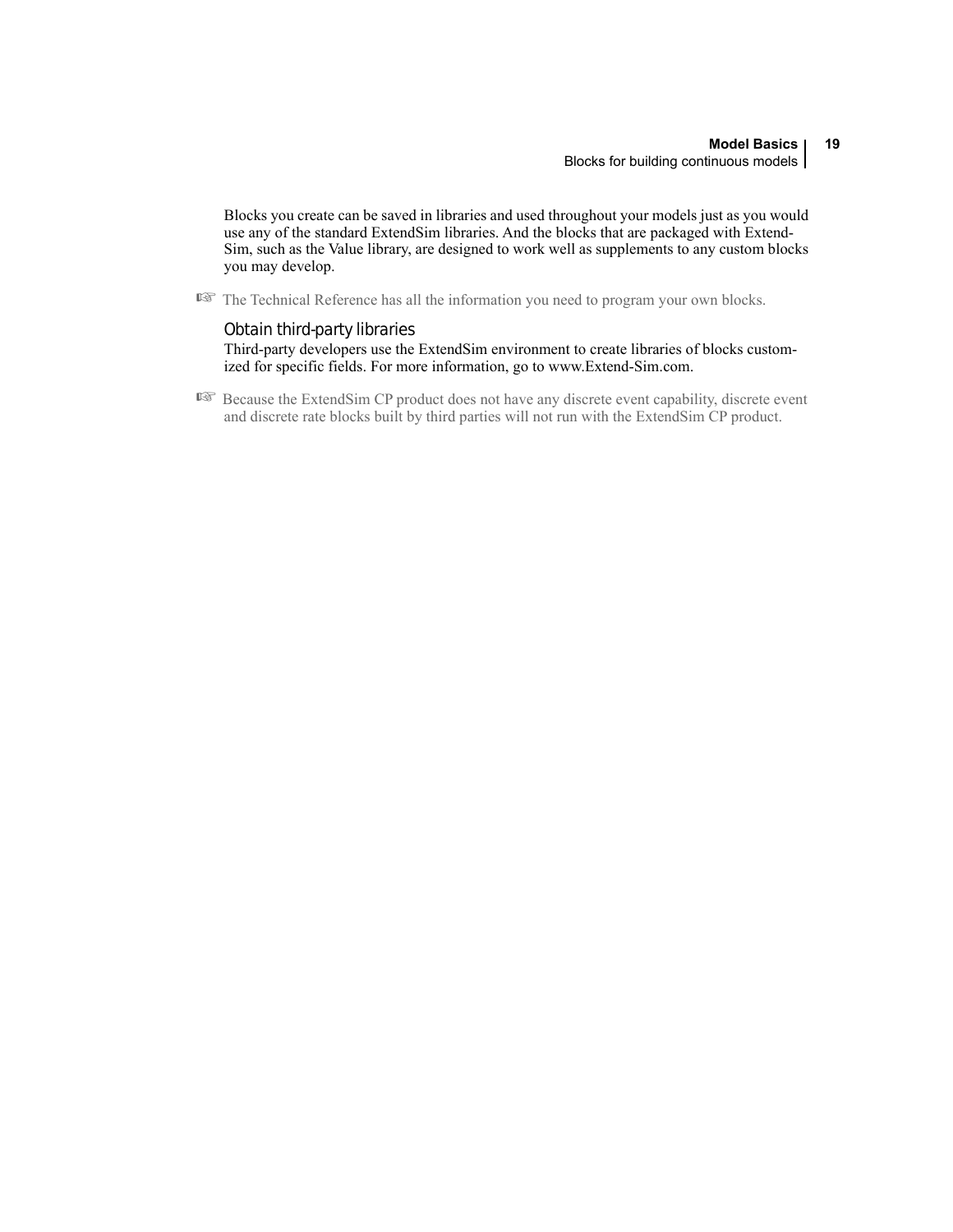# **Model Basics | 19**

Blocks for building continuous models

Blocks you create can be saved in libraries and used throughout your models just as you would use any of the standard ExtendSim libraries. And the blocks that are packaged with Extend-Sim, such as the Value library, are designed to work well as supplements to any custom blocks you may develop.

☞ The Technical Reference has all the information you need to program your own blocks.

# Obtain third-party libraries

Third-party developers use the ExtendSim environment to create libraries of blocks customized for specific fields. For more information, go to www.Extend-Sim.com.

☞ Because the ExtendSim CP product does not have any discrete event capability, discrete event and discrete rate blocks built by third parties will not run with the ExtendSim CP product.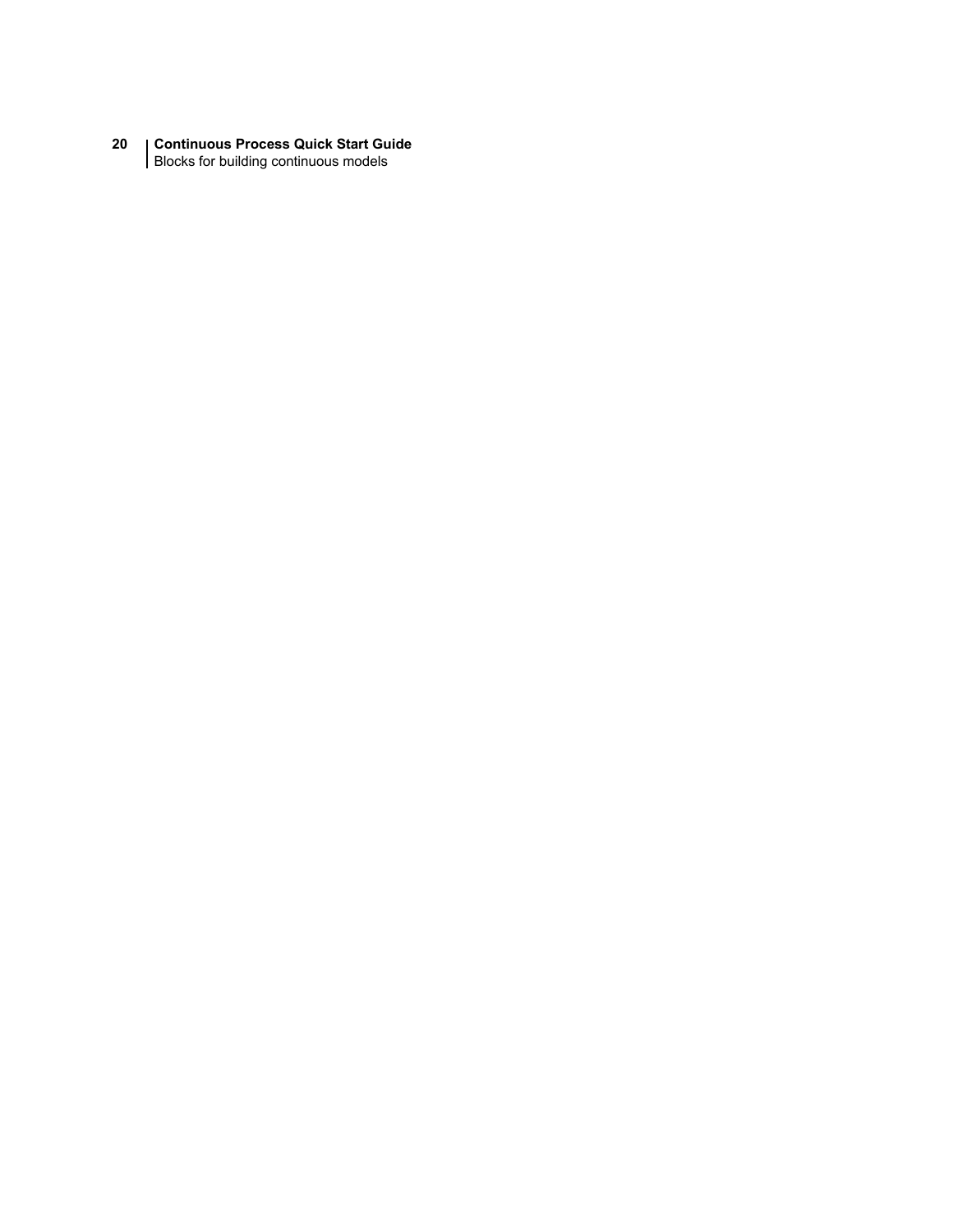**20 Continuous Process Quick Start Guide** Blocks for building continuous models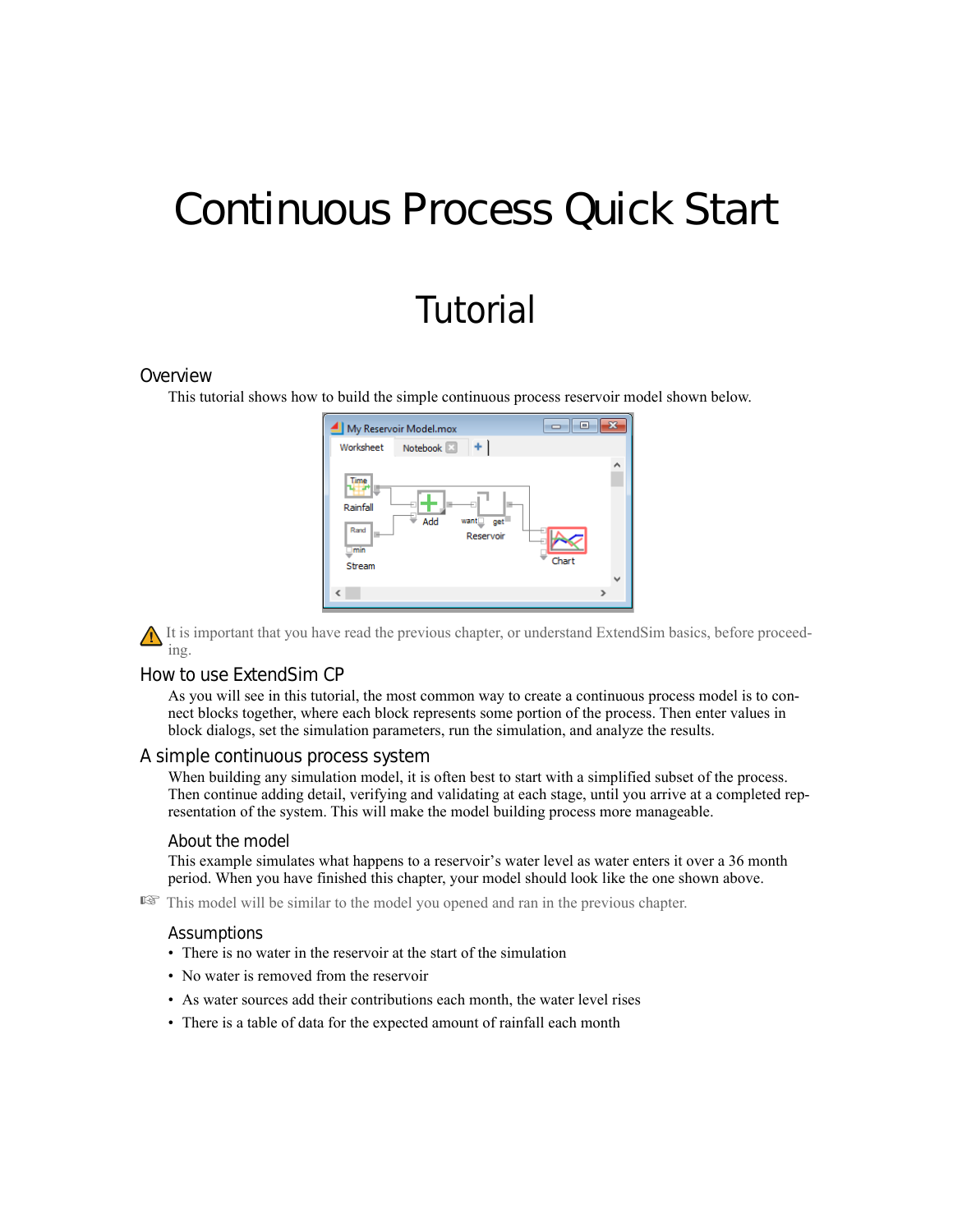# <span id="page-24-4"></span>Tutorial

# <span id="page-24-1"></span><span id="page-24-0"></span>**Overview**

This tutorial shows how to build the simple continuous process reservoir model shown below.



 It is important that you have read the previous chapter, or understand ExtendSim basics, before proceeding.

# <span id="page-24-2"></span>How to use ExtendSim CP

As you will see in this tutorial, the most common way to create a continuous process model is to connect blocks together, where each block represents some portion of the process. Then enter values in block dialogs, set the simulation parameters, run the simulation, and analyze the results.

# <span id="page-24-3"></span>A simple continuous process system

<span id="page-24-5"></span>When building any simulation model, it is often best to start with a simplified subset of the process. Then continue adding detail, verifying and validating at each stage, until you arrive at a completed representation of the system. This will make the model building process more manageable.

### About the model

This example simulates what happens to a reservoir's water level as water enters it over a 36 month period. When you have finished this chapter, your model should look like the one shown above.

☞ This model will be similar to the model you opened and ran in the previous chapter.

# Assumptions

- There is no water in the reservoir at the start of the simulation
- No water is removed from the reservoir
- As water sources add their contributions each month, the water level rises
- There is a table of data for the expected amount of rainfall each month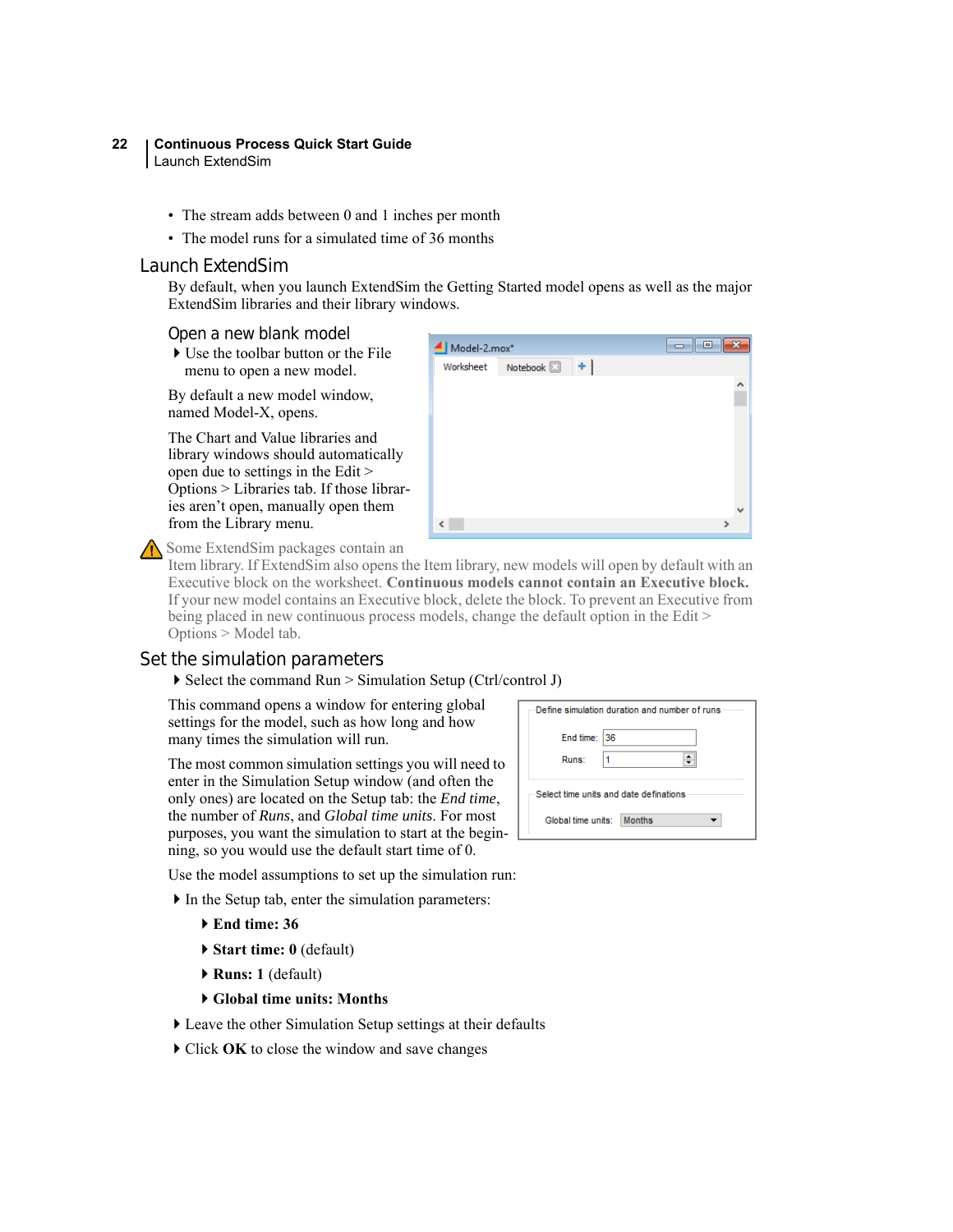Launch ExtendSim

- The stream adds between 0 and 1 inches per month
- The model runs for a simulated time of 36 months

# <span id="page-25-0"></span>Launch ExtendSim

By default, when you launch ExtendSim the Getting Started model opens as well as the major ExtendSim libraries and their library windows.

#### Open a new blank model

Use the toolbar button or the File menu to open a new model.

By default a new model window, named Model-X, opens.

The Chart and Value libraries and library windows should automatically open due to settings in the Edit > Options > Libraries tab. If those libraries aren't open, manually open them from the Library menu.



Some ExtendSim packages contain an

Item library. If ExtendSim also opens the Item library, new models will open by default with an Executive block on the worksheet. **Continuous models cannot contain an Executive block.** If your new model contains an Executive block, delete the block. To prevent an Executive from being placed in new continuous process models, change the default option in the Edit > Options > Model tab.

# <span id="page-25-1"></span>Set the simulation parameters

<span id="page-25-4"></span> $\triangleright$  Select the command Run > Simulation Setup (Ctrl/control J)

This command opens a window for entering global settings for the model, such as how long and how many times the simulation will run.

<span id="page-25-3"></span>The most common simulation settings you will need to enter in the Simulation Setup window (and often the only ones) are located on the Setup tab: the *End time*, the number of *Runs*, and *Global time units*. For most purposes, you want the simulation to start at the beginning, so you would use the default start time of 0.

Use the model assumptions to set up the simulation run:

 $\blacktriangleright$  In the Setup tab, enter the simulation parameters:

- **End time: 36**
- **Start time: 0** (default)
- **Runs: 1** (default)
- **Global time units: Months**
- Leave the other Simulation Setup settings at their defaults
- Click **OK** to close the window and save changes

<span id="page-25-2"></span>

| Define simulation duration and number of runs |                                        |  |  |
|-----------------------------------------------|----------------------------------------|--|--|
| End time:                                     | 36                                     |  |  |
| Runs:                                         |                                        |  |  |
| Global time units: Months                     | Select time units and date definations |  |  |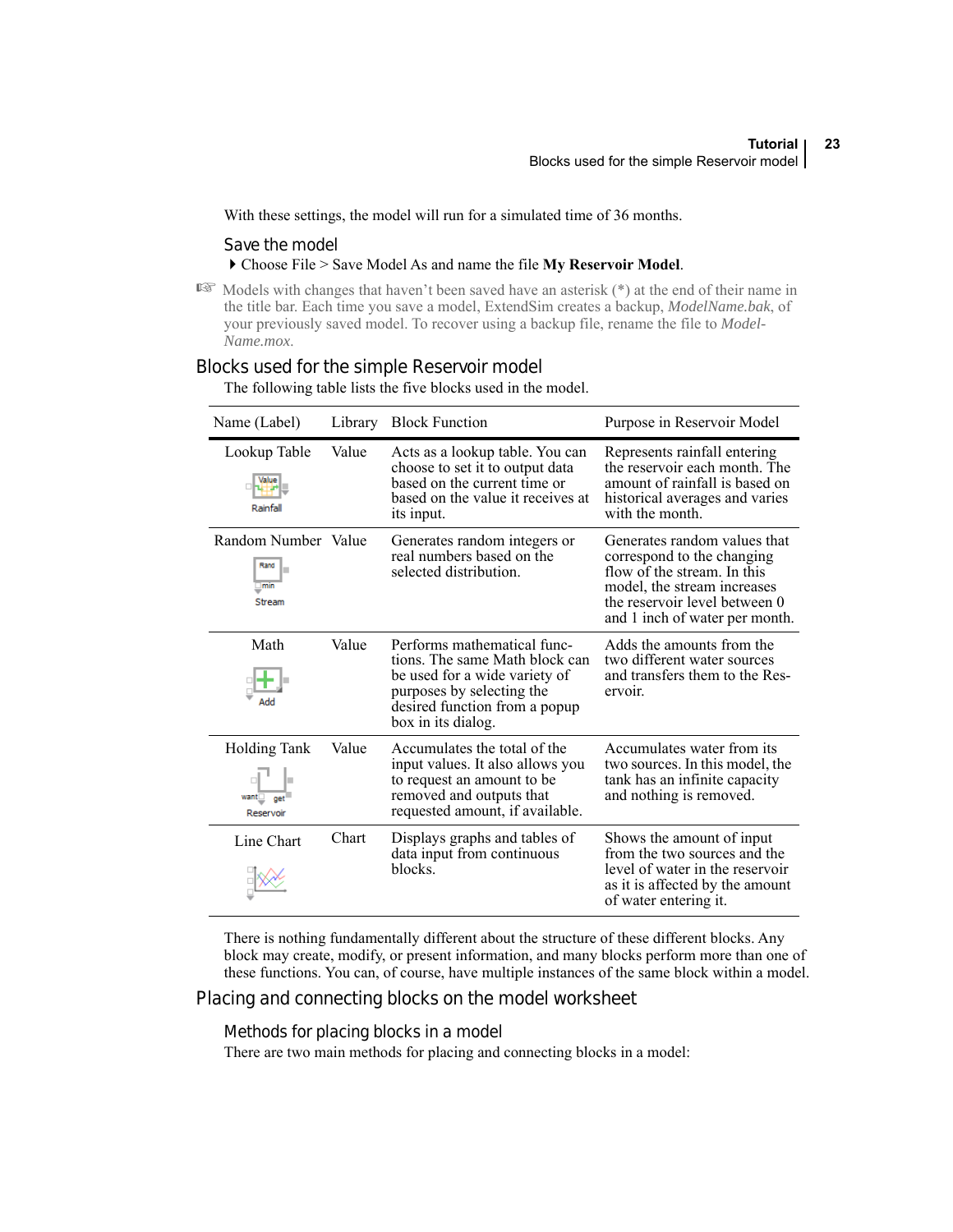## <span id="page-26-3"></span><span id="page-26-2"></span>**Tutorial 23** Blocks used for the simple Reservoir model

With these settings, the model will run for a simulated time of 36 months.

#### Save the model

Choose File > Save Model As and name the file **My Reservoir Model**.

☞ Models with changes that haven't been saved have an asterisk (\*) at the end of their name in the title bar. Each time you save a model, ExtendSim creates a backup, *ModelName.bak*, of your previously saved model. To recover using a backup file, rename the file to *Model-Name.mox*.

# <span id="page-26-0"></span>Blocks used for the simple Reservoir model

The following table lists the five blocks used in the model.

| Name (Label)                                         |       | Library Block Function                                                                                                                                                             | Purpose in Reservoir Model                                                                                                                                                                  |  |
|------------------------------------------------------|-------|------------------------------------------------------------------------------------------------------------------------------------------------------------------------------------|---------------------------------------------------------------------------------------------------------------------------------------------------------------------------------------------|--|
| Lookup Table<br>Value<br>Rainfall                    | Value | Acts as a lookup table. You can<br>choose to set it to output data<br>based on the current time or<br>based on the value it receives at<br>its input.                              | Represents rainfall entering<br>the reservoir each month. The<br>amount of rainfall is based on<br>historical averages and varies<br>with the month.                                        |  |
| Random Number Value<br>Rand<br><b>Imin</b><br>Stream |       | Generates random integers or<br>real numbers based on the<br>selected distribution.                                                                                                | Generates random values that<br>correspond to the changing<br>flow of the stream. In this<br>model, the stream increases<br>the reservoir level between 0<br>and 1 inch of water per month. |  |
| Math                                                 | Value | Performs mathematical func-<br>tions. The same Math block can<br>be used for a wide variety of<br>purposes by selecting the<br>desired function from a popup<br>box in its dialog. | Adds the amounts from the<br>two different water sources<br>and transfers them to the Res-<br>ervoir.                                                                                       |  |
| <b>Holding Tank</b><br>want⊟<br>aet<br>Reservoir     | Value | Accumulates the total of the<br>input values. It also allows you<br>to request an amount to be<br>removed and outputs that<br>requested amount, if available.                      | Accumulates water from its<br>two sources. In this model, the<br>tank has an infinite capacity<br>and nothing is removed.                                                                   |  |
| Line Chart                                           | Chart | Displays graphs and tables of<br>data input from continuous<br>blocks.                                                                                                             | Shows the amount of input<br>from the two sources and the<br>level of water in the reservoir<br>as it is affected by the amount<br>of water entering it.                                    |  |

There is nothing fundamentally different about the structure of these different blocks. Any block may create, modify, or present information, and many blocks perform more than one of these functions. You can, of course, have multiple instances of the same block within a model.

# <span id="page-26-1"></span>Placing and connecting blocks on the model worksheet

<span id="page-26-4"></span>Methods for placing blocks in a model

There are two main methods for placing and connecting blocks in a model: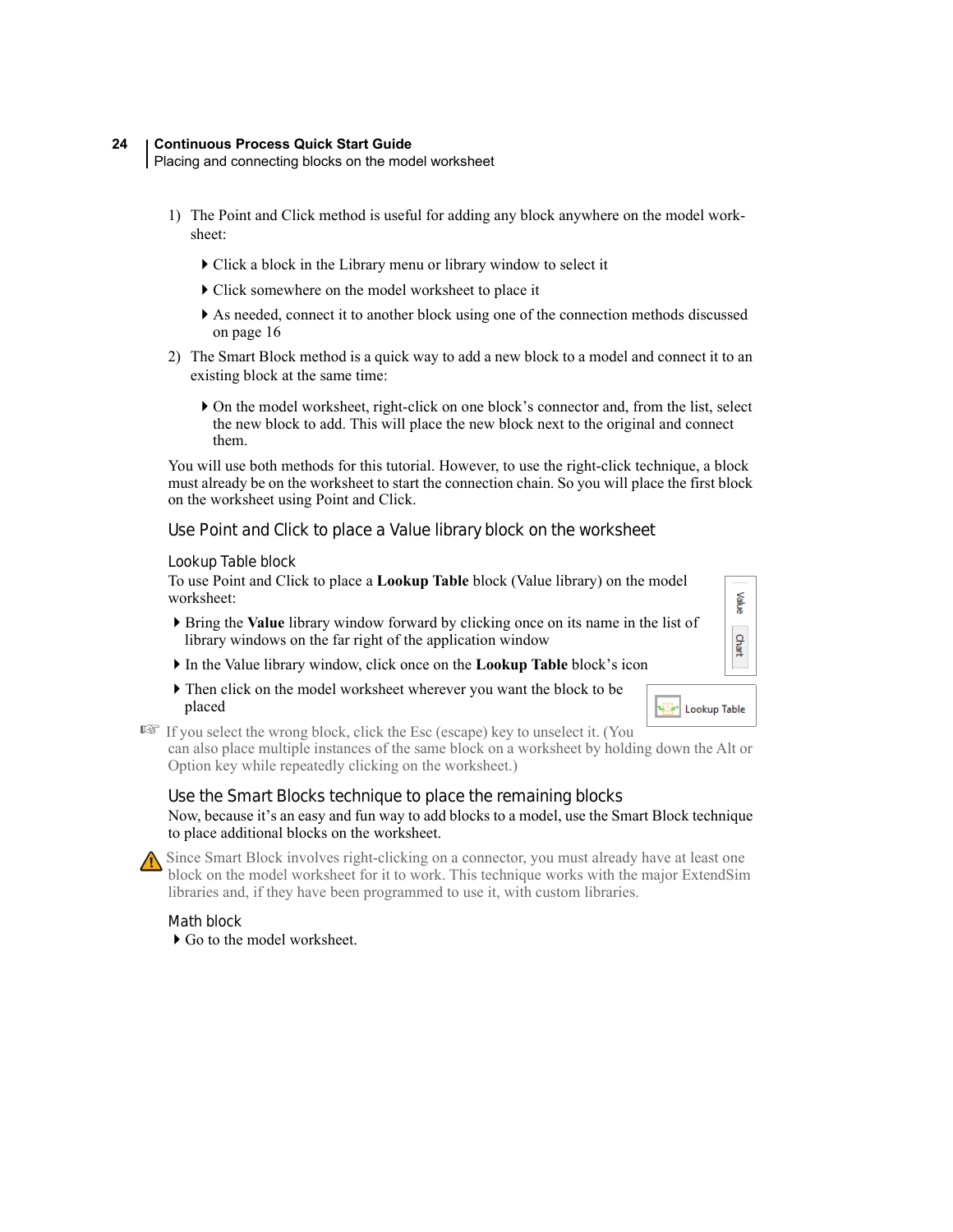Placing and connecting blocks on the model worksheet

- <span id="page-27-0"></span>1) The Point and Click method is useful for adding any block anywhere on the model worksheet:
	- Click a block in the Library menu or library window to select it
	- Click somewhere on the model worksheet to place it
	- As needed, connect it to another block using one of the connection methods discussed on [page 16](#page-19-1)
- <span id="page-27-1"></span>2) The Smart Block method is a quick way to add a new block to a model and connect it to an existing block at the same time:
	- On the model worksheet, right-click on one block's connector and, from the list, select the new block to add. This will place the new block next to the original and connect them.

You will use both methods for this tutorial. However, to use the right-click technique, a block must already be on the worksheet to start the connection chain. So you will place the first block on the worksheet using Point and Click.

## Use Point and Click to place a Value library block on the worksheet

#### *Lookup Table block*

To use Point and Click to place a **Lookup Table** block (Value library) on the model worksheet:

Bring the **Value** library window forward by clicking once on its name in the list of library windows on the far right of the application window



**Lookup Table** 

- In the Value library window, click once on the **Lookup Table** block's icon
- Then click on the model worksheet wherever you want the block to be placed

☞ If you select the wrong block, click the Esc (escape) key to unselect it. (You can also place multiple instances of the same block on a worksheet by holding down the Alt or

Option key while repeatedly clicking on the worksheet.)

# Use the Smart Blocks technique to place the remaining blocks

Now, because it's an easy and fun way to add blocks to a model, use the Smart Block technique to place additional blocks on the worksheet.

 Since Smart Block involves right-clicking on a connector, you must already have at least one block on the model worksheet for it to work. This technique works with the major ExtendSim libraries and, if they have been programmed to use it, with custom libraries.

## *Math block*

Go to the model worksheet.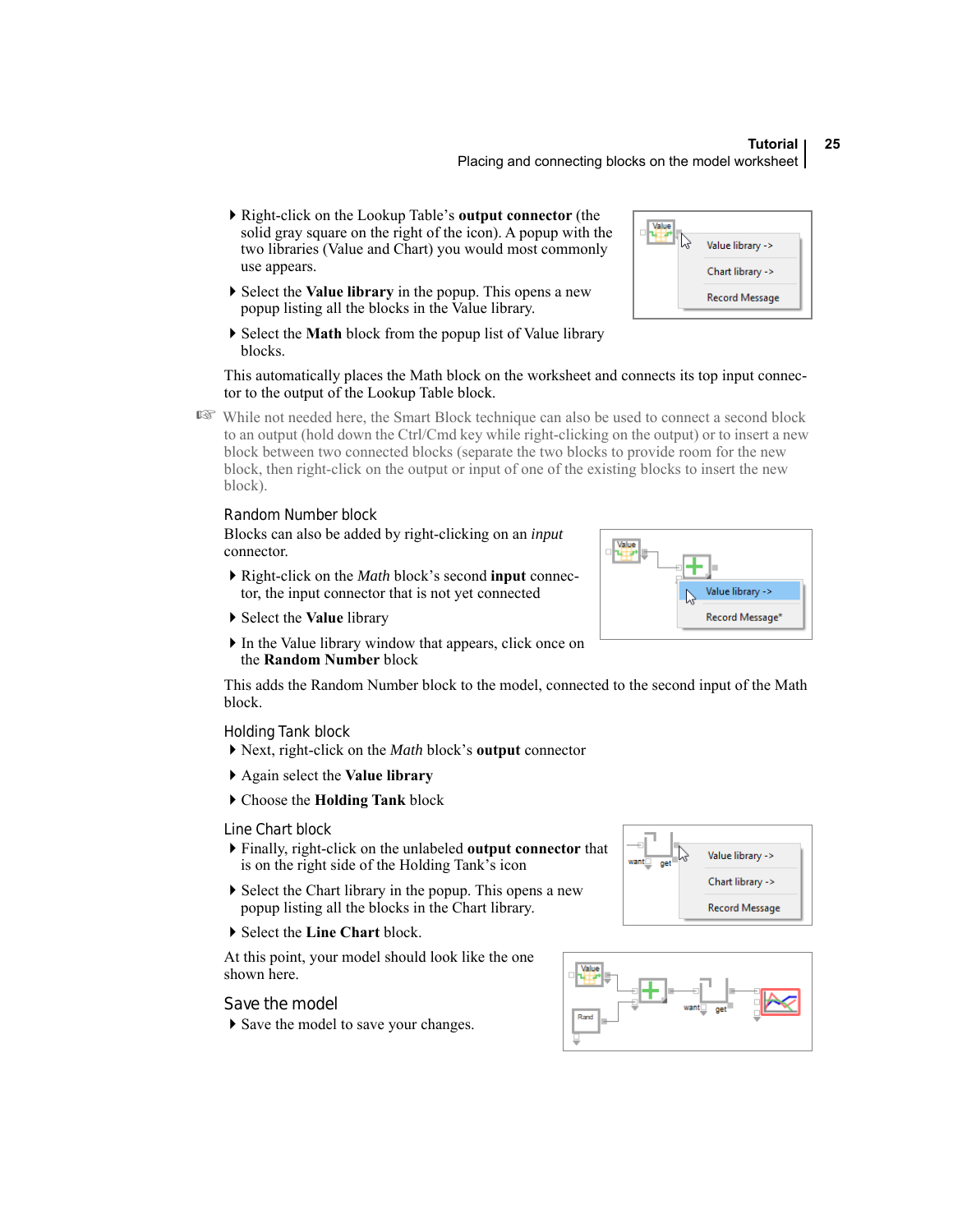# **Tutorial 25**

Placing and connecting blocks on the model worksheet

- Right-click on the Lookup Table's **output connector** (the solid gray square on the right of the icon). A popup with the two libraries (Value and Chart) you would most commonly use appears.
- Select the **Value library** in the popup. This opens a new popup listing all the blocks in the Value library.
- Select the **Math** block from the popup list of Value library blocks.

This automatically places the Math block on the worksheet and connects its top input connector to the output of the Lookup Table block.

☞ While not needed here, the Smart Block technique can also be used to connect a second block to an output (hold down the Ctrl/Cmd key while right-clicking on the output) or to insert a new block between two connected blocks (separate the two blocks to provide room for the new block, then right-click on the output or input of one of the existing blocks to insert the new block).

#### *Random Number block*

Blocks can also be added by right-clicking on an *input* connector.

- Right-click on the *Math* block's second **input** connector, the input connector that is not yet connected
- Select the **Value** library
- In the Value library window that appears, click once on the **Random Number** block

This adds the Random Number block to the model, connected to the second input of the Math block.

#### *Holding Tank block*

- Next, right-click on the *Math* block's **output** connector
- Again select the **Value library**
- Choose the **Holding Tank** block

#### *Line Chart block*

- Finally, right-click on the unlabeled **output connector** that is on the right side of the Holding Tank's icon
- $\triangleright$  Select the Chart library in the popup. This opens a new popup listing all the blocks in the Chart library.
- Select the **Line Chart** block.

At this point, your model should look like the one shown here.

#### Save the model

Save the model to save your changes.







Value library ->

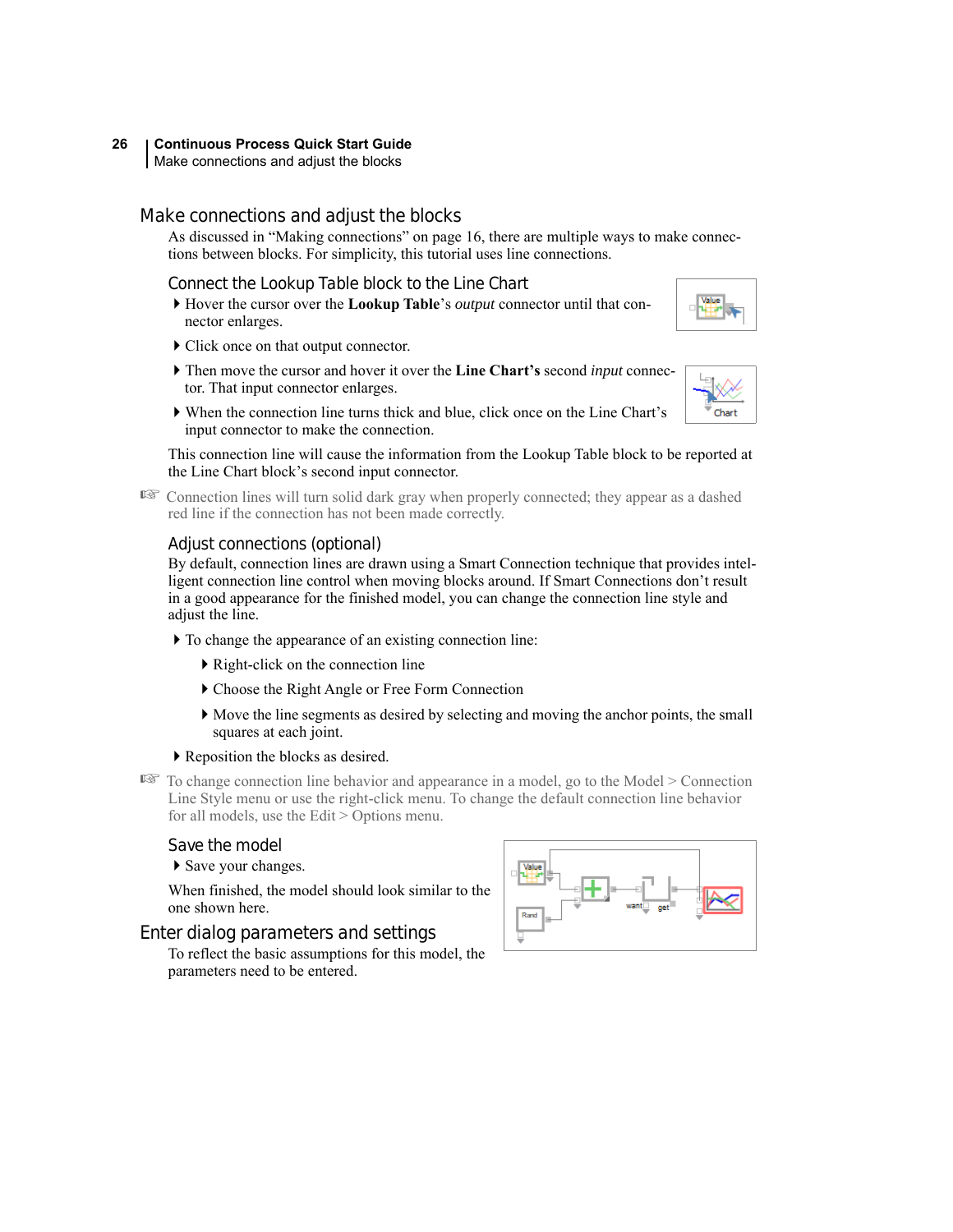Make connections and adjust the blocks

# <span id="page-29-0"></span>Make connections and adjust the blocks

<span id="page-29-2"></span>As discussed in ["Making connections" on page 16](#page-19-1), there are multiple ways to make connections between blocks. For simplicity, this tutorial uses line connections.

# Connect the Lookup Table block to the Line Chart

- Hover the cursor over the **Lookup Table**'s *output* connector until that connector enlarges.
- Click once on that output connector.
- Then move the cursor and hover it over the **Line Chart's** second *input* connector. That input connector enlarges.
- When the connection line turns thick and blue, click once on the Line Chart's input connector to make the connection.

This connection line will cause the information from the Lookup Table block to be reported at the Line Chart block's second input connector.

☞ Connection lines will turn solid dark gray when properly connected; they appear as a dashed red line if the connection has not been made correctly.

# <span id="page-29-3"></span>Adjust connections (optional)

By default, connection lines are drawn using a Smart Connection technique that provides intelligent connection line control when moving blocks around. If Smart Connections don't result in a good appearance for the finished model, you can change the connection line style and adjust the line.

- $\blacktriangleright$  To change the appearance of an existing connection line:
	- Right-click on the connection line
	- Choose the Right Angle or Free Form Connection
	- $\blacktriangleright$  Move the line segments as desired by selecting and moving the anchor points, the small squares at each joint.

#### Reposition the blocks as desired.

☞ To change connection line behavior and appearance in a model, go to the Model > Connection Line Style menu or use the right-click menu. To change the default connection line behavior for all models, use the Edit > Options menu.

#### Save the model

Save your changes.

When finished, the model should look similar to the one shown here.

# <span id="page-29-1"></span>Enter dialog parameters and settings

To reflect the basic assumptions for this model, the parameters need to be entered.





Value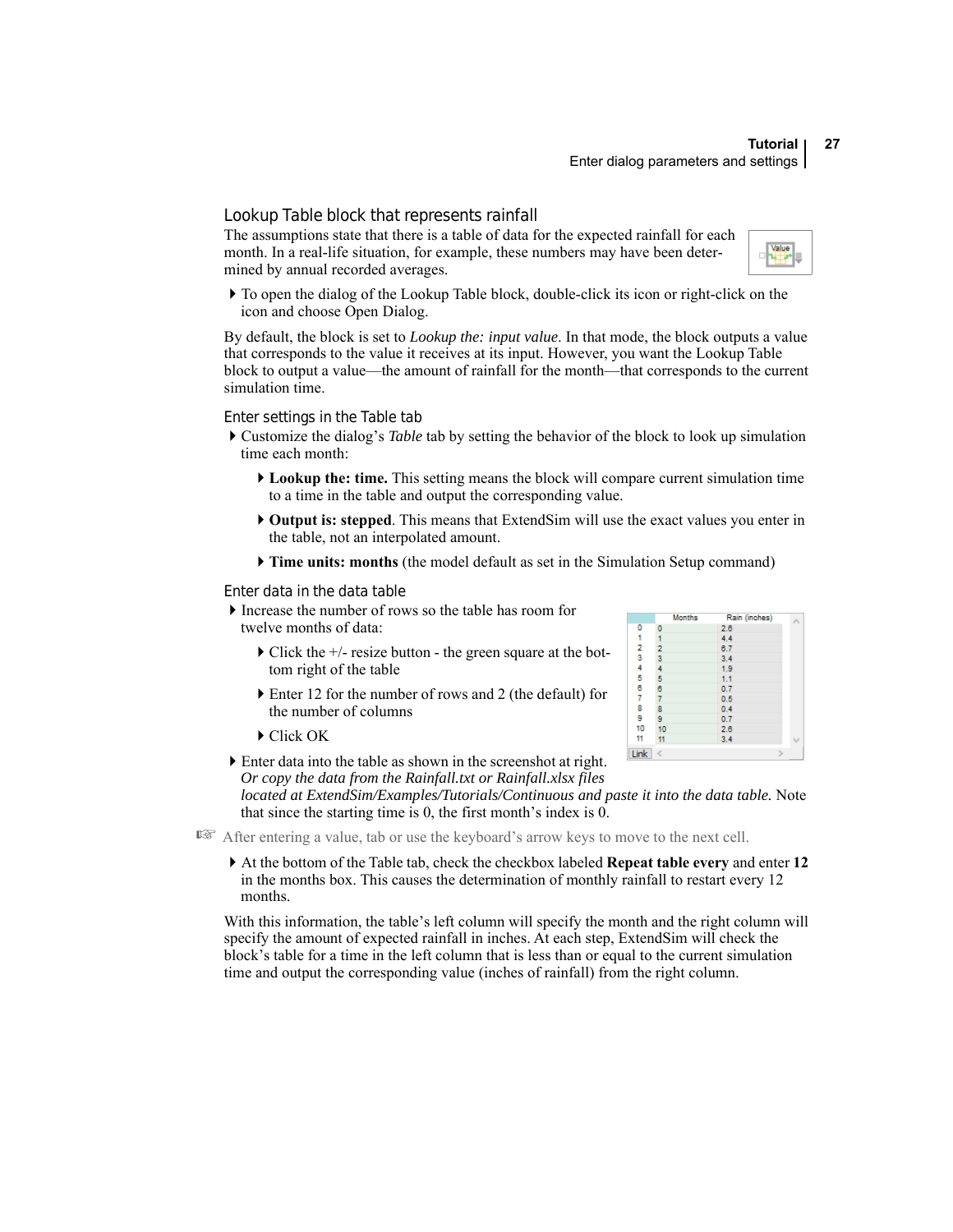### **Tutorial 27** Enter dialog parameters and settings

# Lookup Table block that represents rainfall

The assumptions state that there is a table of data for the expected rainfall for each month. In a real-life situation, for example, these numbers may have been determined by annual recorded averages.



To open the dialog of the Lookup Table block, double-click its icon or right-click on the icon and choose Open Dialog.

By default, the block is set to *Lookup the: input value*. In that mode, the block outputs a value that corresponds to the value it receives at its input. However, you want the Lookup Table block to output a value—the amount of rainfall for the month—that corresponds to the current simulation time.

#### *Enter settings in the Table tab*

- Customize the dialog's *Table* tab by setting the behavior of the block to look up simulation time each month:
	- **Lookup the: time.** This setting means the block will compare current simulation time to a time in the table and output the corresponding value.
	- **Output is: stepped**. This means that ExtendSim will use the exact values you enter in the table, not an interpolated amount.
	- **Time units: months** (the model default as set in the Simulation Setup command)

#### <span id="page-30-0"></span>*Enter data in the data table*

- Increase the number of rows so the table has room for twelve months of data:
	- $\triangleright$  Click the  $+\prime$  resize button the green square at the bottom right of the table
	- Enter 12 for the number of rows and 2 (the default) for the number of columns
	- ▶ Click OK
- Enter data into the table as shown in the screenshot at right. *Or copy the data from the Rainfall.txt or Rainfall.xlsx files*

*located at ExtendSim/Examples/Tutorials/Continuous and paste it into the data table.* Note that since the starting time is 0, the first month's index is 0.

- ☞ After entering a value, tab or use the keyboard's arrow keys to move to the next cell.
	- At the bottom of the Table tab, check the checkbox labeled **Repeat table every** and enter **12**  in the months box. This causes the determination of monthly rainfall to restart every 12 months.

With this information, the table's left column will specify the month and the right column will specify the amount of expected rainfall in inches. At each step, ExtendSim will check the block's table for a time in the left column that is less than or equal to the current simulation time and output the corresponding value (inches of rainfall) from the right column.

<span id="page-30-1"></span>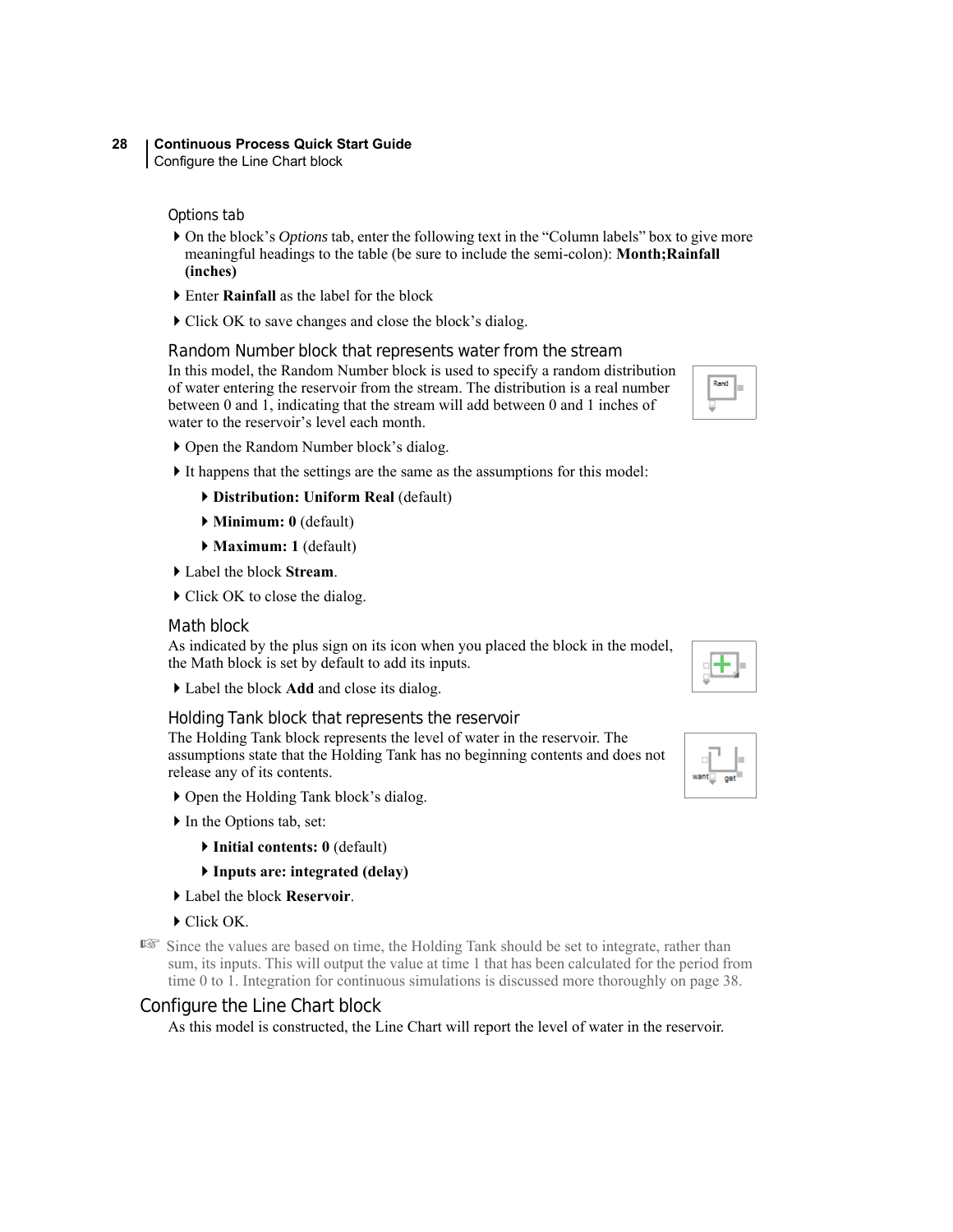Configure the Line Chart block

# *Options tab*

- On the block's *Options* tab, enter the following text in the "Column labels" box to give more meaningful headings to the table (be sure to include the semi-colon): **Month;Rainfall (inches)**
- Enter **Rainfall** as the label for the block
- Click OK to save changes and close the block's dialog.

# Random Number block that represents water from the stream

In this model, the Random Number block is used to specify a random distribution of water entering the reservoir from the stream. The distribution is a real number between 0 and 1, indicating that the stream will add between 0 and 1 inches of water to the reservoir's level each month.

- ▶ Open the Random Number block's dialog.
- It happens that the settings are the same as the assumptions for this model:
	- **Distribution: Uniform Real** (default)
	- **Minimum: 0** (default)
	- **Maximum: 1** (default)
- Label the block **Stream**.
- $\blacktriangleright$  Click OK to close the dialog.

### Math block

As indicated by the plus sign on its icon when you placed the block in the model, the Math block is set by default to add its inputs.

Label the block **Add** and close its dialog.

# Holding Tank block that represents the reservoir

The Holding Tank block represents the level of water in the reservoir. The assumptions state that the Holding Tank has no beginning contents and does not release any of its contents.

- ▶ Open the Holding Tank block's dialog.
- In the Options tab, set:
	- **Initial contents: 0** (default)
	- **Inputs are: integrated (delay)**
- Label the block **Reservoir**.
- Click OK.
- ☞ Since the values are based on time, the Holding Tank should be set to integrate, rather than sum, its inputs. This will output the value at time 1 that has been calculated for the period from time 0 to 1. Integration for continuous simulations is discussed more thoroughly on [page 38.](#page-41-1)

# <span id="page-31-0"></span>Configure the Line Chart block

As this model is constructed, the Line Chart will report the level of water in the reservoir.





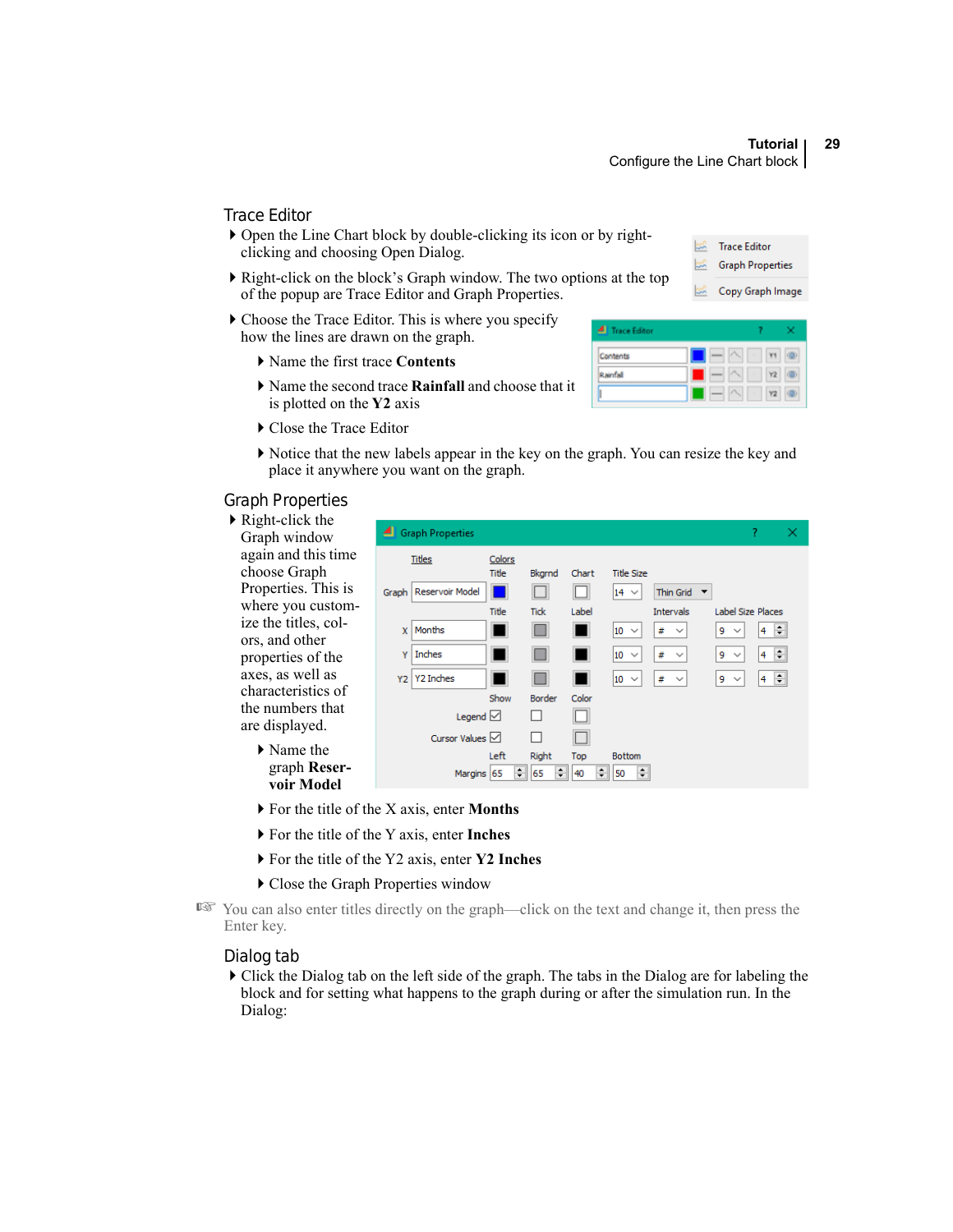#### **Tutorial 29** Configure the Line Chart block

**Trace Editor** 

**Graph Properties** Copy Graph Image

#### Trace Editor

- Open the Line Chart block by double-clicking its icon or by rightclicking and choosing Open Dialog.
- Right-click on the block's Graph window. The two options at the top of the popup are Trace Editor and Graph Properties.
- Choose the Trace Editor. This is where you specify how the lines are drawn on the graph.
	- Name the first trace **Contents**
	- Name the second trace **Rainfall** and choose that it is plotted on the **Y2** axis
	- Close the Trace Editor

Trace Editor  $-1$   $\sim$   $\cdot$   $\cdot$   $\cdot$   $\circ$ Contents  $\blacksquare - \smallsetminus \ulacksquare$   $\blacksquare$ Rainfal  $\blacksquare - \wedge \blacksquare$  y2  $\oslash$ 

欧 **S** 

Notice that the new labels appear in the key on the graph. You can resize the key and place it anywhere you want on the graph.

#### Graph Properties

- ▶ Right-click the Graph window again and this time choose Graph Properties. This is where you customize the titles, colors, and other properties of the axes, as well as characteristics of the numbers that are displayed.
	- ▶ Name the graph **Reservoir Model**
- Graph Properties  $\overline{\mathbf{z}}$  $\times$ **Titles** Colors Title Size Title Bkarnd Chart Graph Reservoir Model  $\Box$  $\Box$  $\boxed{14}$   $\vee$ Thin Grid  $\rightarrow$ Title **Tick** Label Intervals Label Size Places  $# \vee$  $9 \vee$  $4 \div$ **x** Months П  $\Box$ П  $|10 \rangle$  $\Box$ 10  $\overline{\mathbf{r}}$  $\checkmark$  $4 \div$  $Y$  Inches П П و ا  $\checkmark$  $\checkmark$  $\Box$  $\blacksquare$  $\boxed{4}$ Y2 Inches  $10 \sim$  $\#$  $\checkmark$  $9 - 4$ ▬ Show Border Color Legend  $\boxdot$  $\Box$  $\Box$  $\Box$  $\Box$ Cursor Values  $\boxed{\smile}$ Right Left Top Bottom  $\frac{1}{2}$  65  $\frac{1}{2}$  40  $\frac{1}{2}$  50  $\frac{1}{2}$ Margins 65
	- For the title of the X axis, enter **Months**
	- For the title of the Y axis, enter **Inches**
	- For the title of the Y2 axis, enter **Y2 Inches**
	- Close the Graph Properties window
- ☞ You can also enter titles directly on the graph—click on the text and change it, then press the Enter key.

#### Dialog tab

Click the Dialog tab on the left side of the graph. The tabs in the Dialog are for labeling the block and for setting what happens to the graph during or after the simulation run. In the Dialog: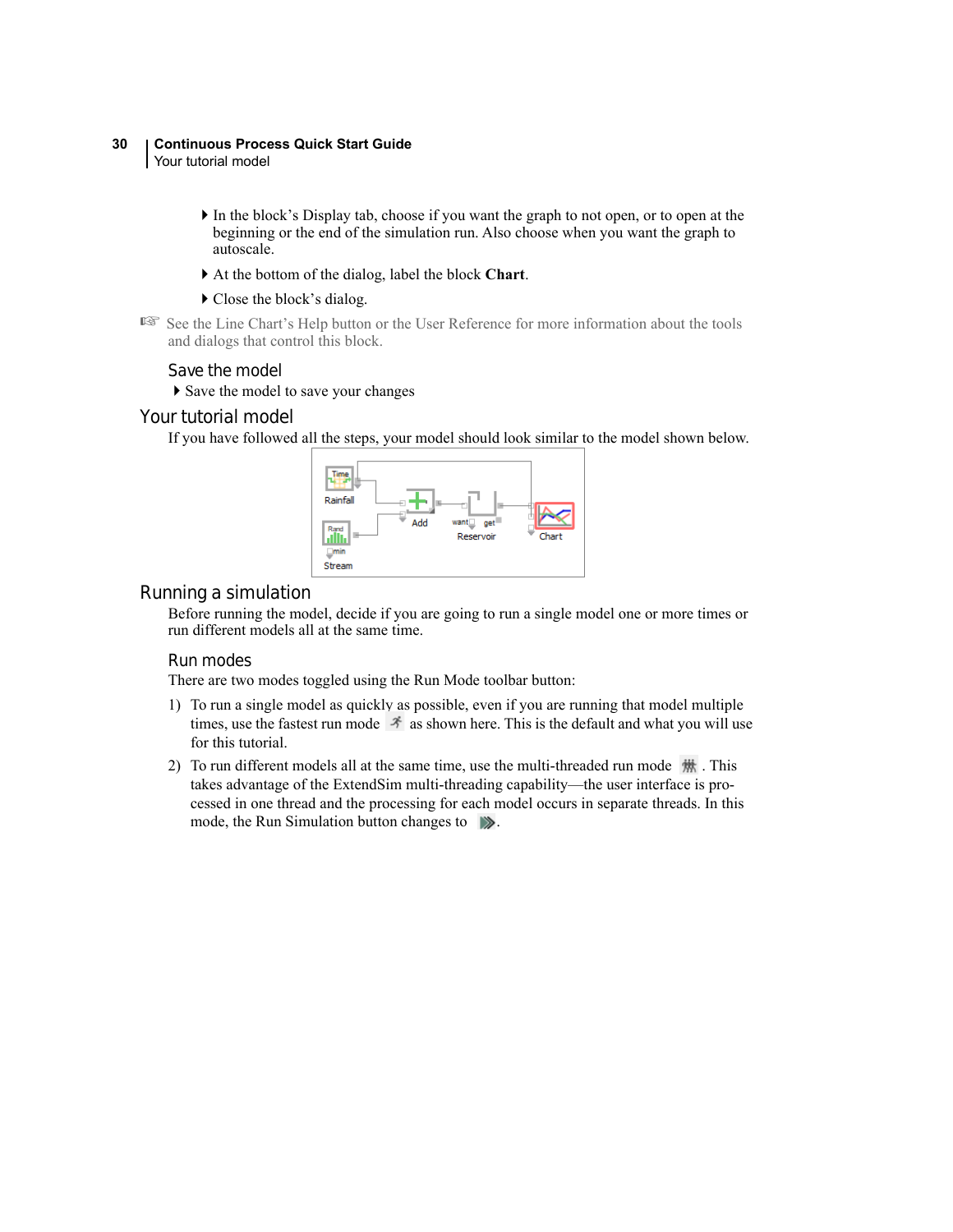Your tutorial model

- In the block's Display tab, choose if you want the graph to not open, or to open at the beginning or the end of the simulation run. Also choose when you want the graph to autoscale.
- At the bottom of the dialog, label the block **Chart**.
- Close the block's dialog.
- ☞ See the Line Chart's Help button or the User Reference for more information about the tools and dialogs that control this block.

# Save the model

Save the model to save your changes

# <span id="page-33-0"></span>Your tutorial model

If you have followed all the steps, your model should look similar to the model shown below.



# <span id="page-33-1"></span>Running a simulation

Before running the model, decide if you are going to run a single model one or more times or run different models all at the same time.

# Run modes

There are two modes toggled using the Run Mode toolbar button:

- <span id="page-33-4"></span>1) To run a single model as quickly as possible, even if you are running that model multiple times, use the fastest run mode  $\hat{\mathcal{F}}$  as shown here. This is the default and what you will use for this tutorial.
- <span id="page-33-3"></span><span id="page-33-2"></span>2) To run different models all at the same time, use the multi-threaded run mode  $\#$ . This takes advantage of the ExtendSim multi-threading capability—the user interface is processed in one thread and the processing for each model occurs in separate threads. In this mode, the Run Simulation button changes to  $\gg$ .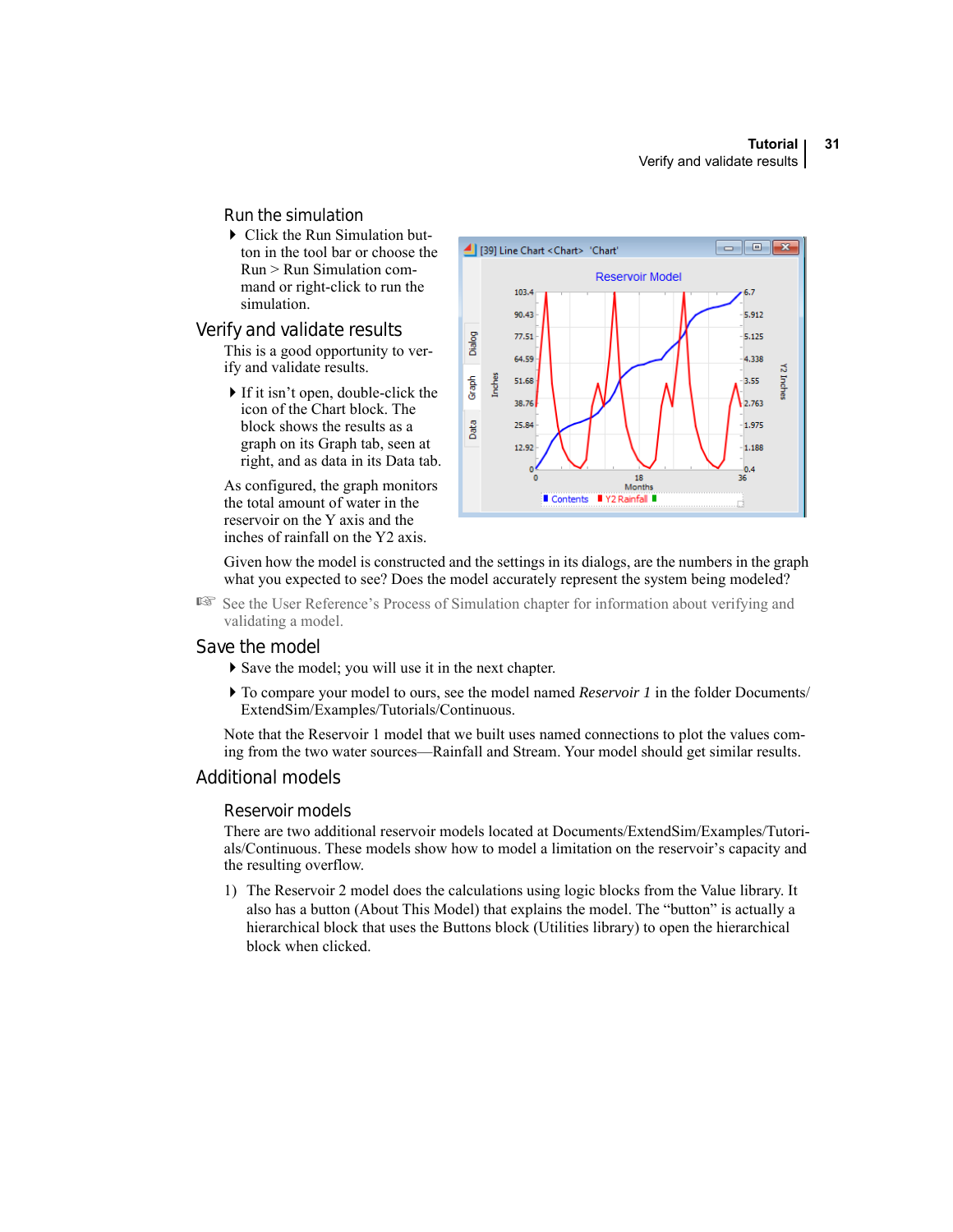## **Tutorial 31** Verify and validate results

# Run the simulation

 Click the Run Simulation button in the tool bar or choose the Run > Run Simulation command or right-click to run the simulation.

# <span id="page-34-0"></span>Verify and validate results

This is a good opportunity to verify and validate results.

If it isn't open, double-click the icon of the Chart block. The block shows the results as a graph on its Graph tab, seen at right, and as data in its Data tab.

As configured, the graph monitors the total amount of water in the reservoir on the Y axis and the inches of rainfall on the Y2 axis.



Given how the model is constructed and the settings in its dialogs, are the numbers in the graph what you expected to see? Does the model accurately represent the system being modeled?

☞ See the User Reference's Process of Simulation chapter for information about verifying and validating a model.

### <span id="page-34-1"></span>Save the model

- Save the model; you will use it in the next chapter.
- To compare your model to ours, see the model named *Reservoir 1* in the folder Documents/ ExtendSim/Examples/Tutorials/Continuous.

Note that the Reservoir 1 model that we built uses named connections to plot the values coming from the two water sources—Rainfall and Stream. Your model should get similar results.

# <span id="page-34-2"></span>Additional models

#### Reservoir models

There are two additional reservoir models located at Documents/ExtendSim/Examples/Tutorials/Continuous. These models show how to model a limitation on the reservoir's capacity and the resulting overflow.

<span id="page-34-3"></span>1) The Reservoir 2 model does the calculations using logic blocks from the Value library. It also has a button (About This Model) that explains the model. The "button" is actually a hierarchical block that uses the Buttons block (Utilities library) to open the hierarchical block when clicked.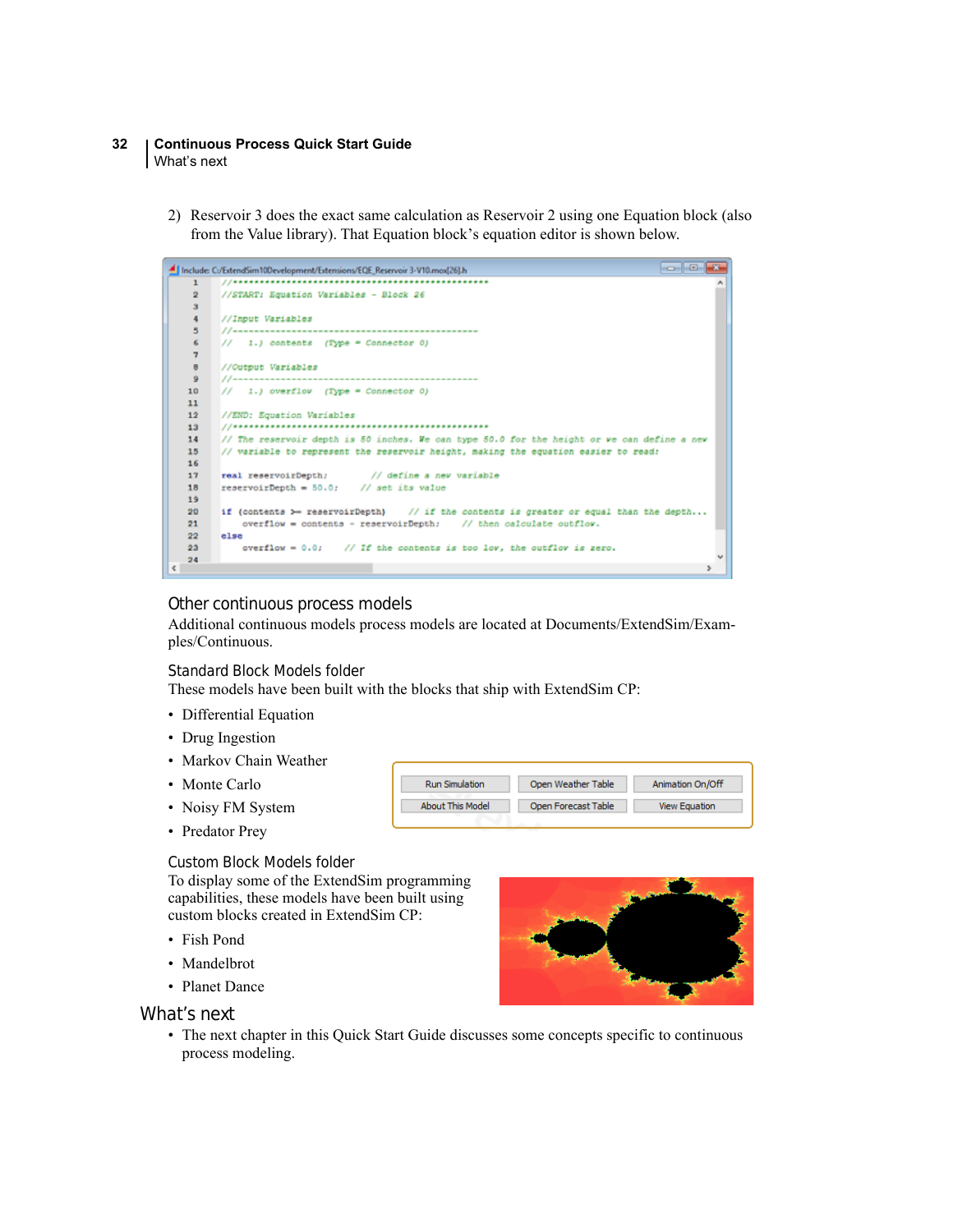## **32 Continuous Process Quick Start Guide** What's next

<span id="page-35-10"></span>2) Reservoir 3 does the exact same calculation as Reservoir 2 using one Equation block (also from the Value library). That Equation block's equation editor is shown below.



# Other continuous process models

Additional continuous models process models are located at Documents/ExtendSim/Examples/Continuous.

Run Simulation

**About This Model** 

## *Standard Block Models folder*

<span id="page-35-1"></span>These models have been built with the blocks that ship with ExtendSim CP:

- <span id="page-35-2"></span>• Differential Equation
- <span id="page-35-5"></span>• Drug Ingestion
- <span id="page-35-6"></span>• Markov Chain Weather
- <span id="page-35-7"></span>• Monte Carlo
- <span id="page-35-9"></span>• Noisy FM System
- Predator Prey

# *Custom Block Models folder*

To display some of the ExtendSim programming capabilities, these models have been built using custom blocks created in ExtendSim CP:

- <span id="page-35-4"></span><span id="page-35-3"></span>• Fish Pond
- <span id="page-35-8"></span>• Mandelbrot
- Planet Dance

### <span id="page-35-0"></span>What's next

• The next chapter in this Quick Start Guide discusses some concepts specific to continuous process modeling.



Animation On/Off

**View Equation** 

Open Weather Table

Open Forecast Table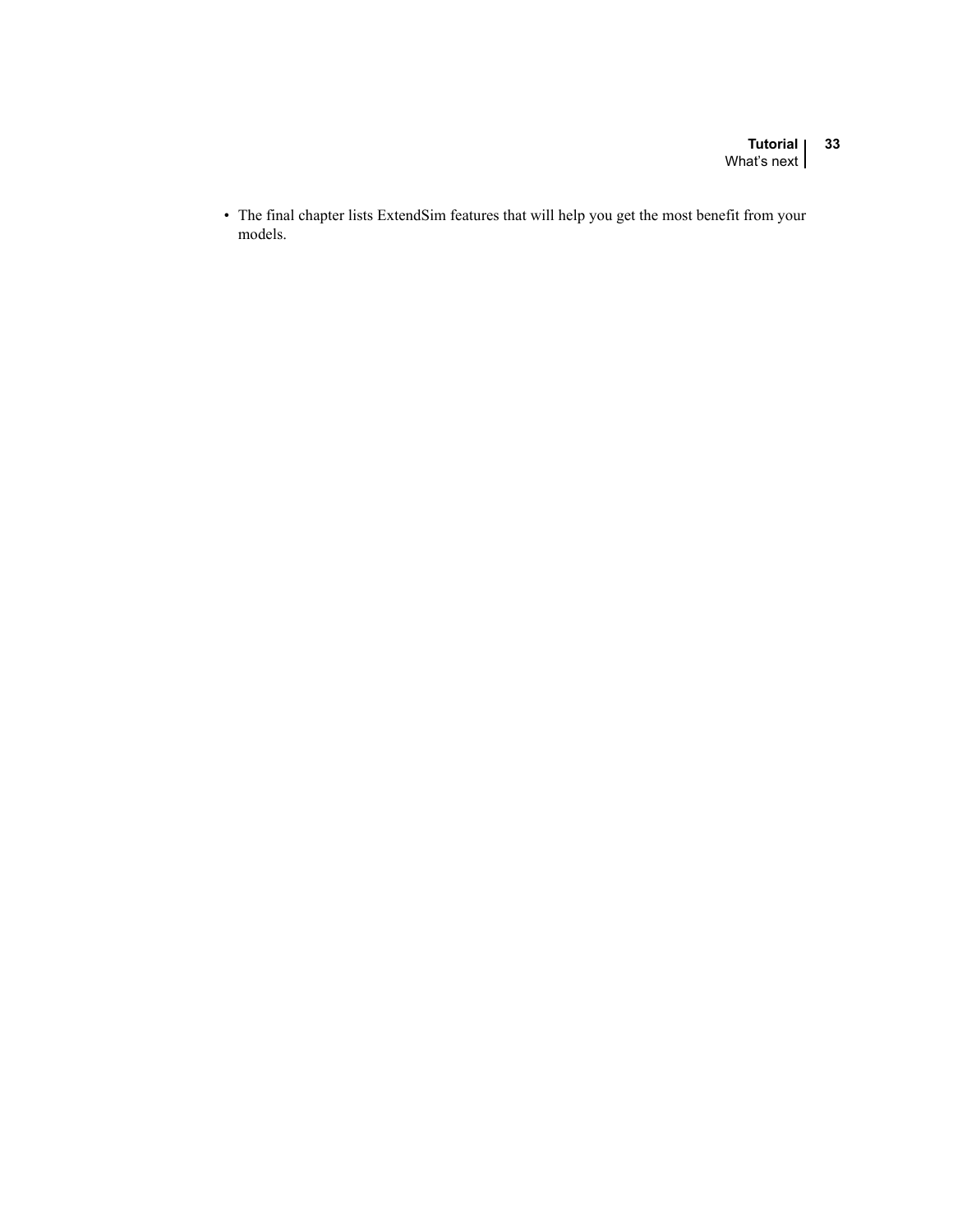• The final chapter lists ExtendSim features that will help you get the most benefit from your models.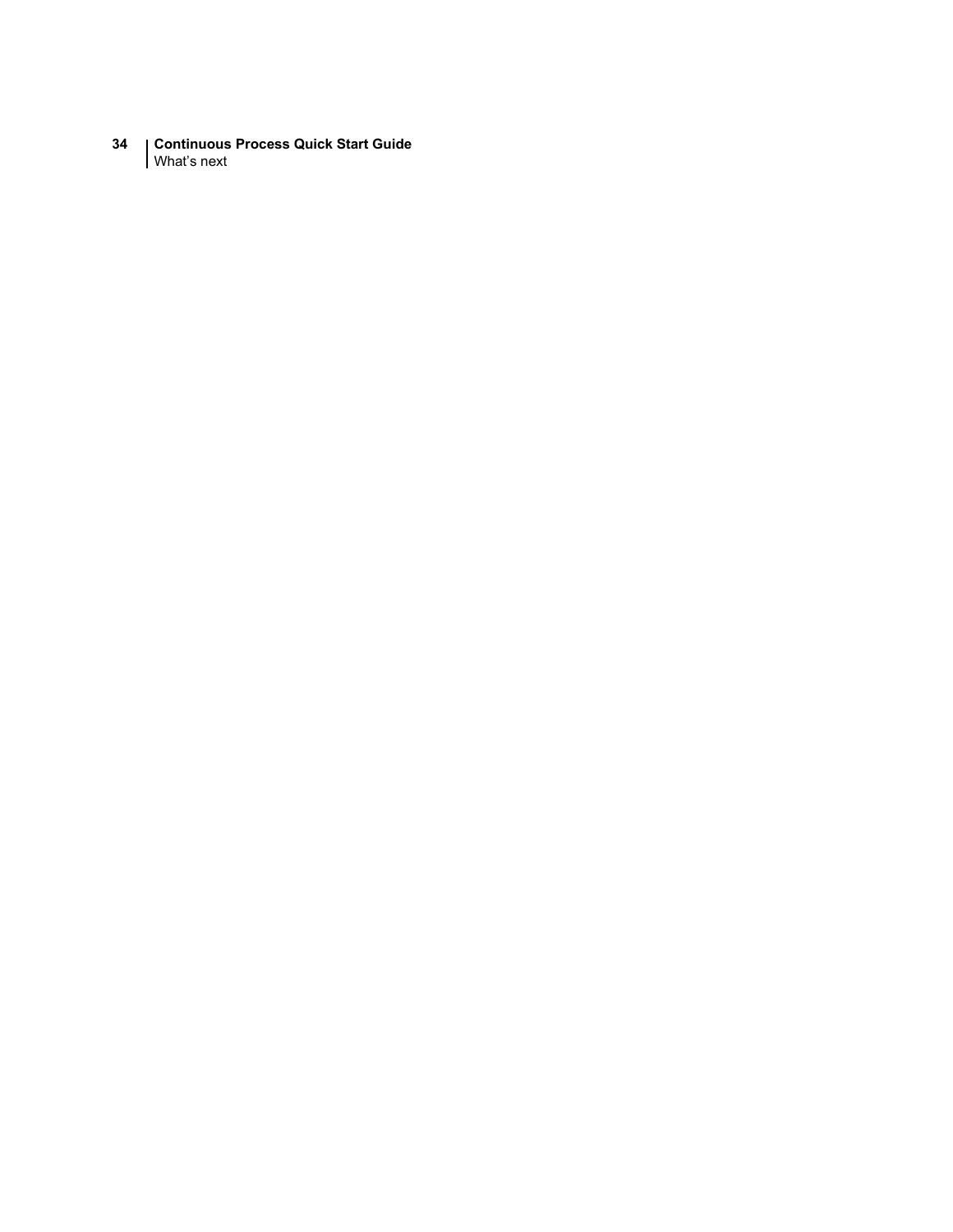**34 Continuous Process Quick Start Guide** What's next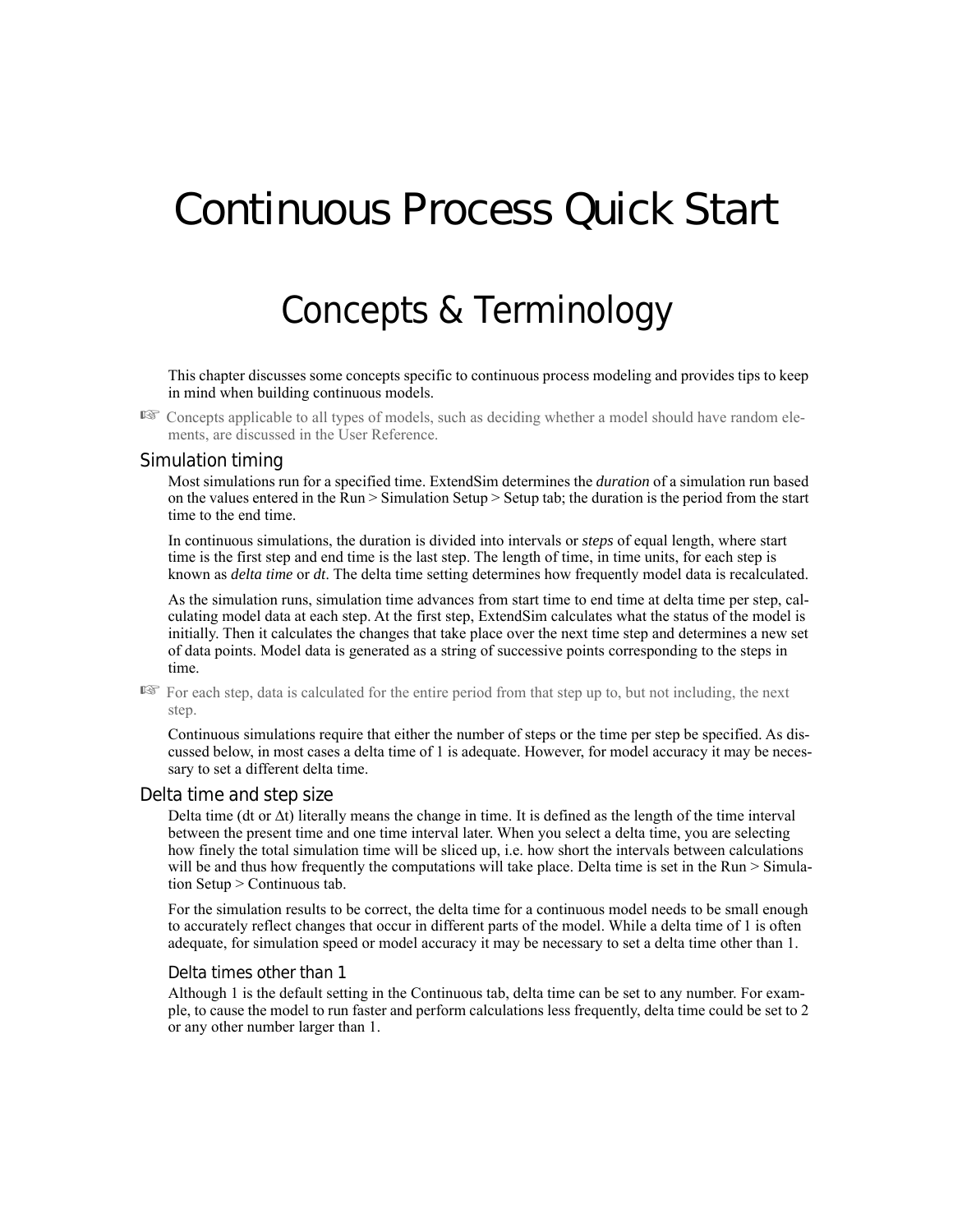# <span id="page-38-7"></span>Concepts & Terminology

<span id="page-38-0"></span>This chapter discusses some concepts specific to continuous process modeling and provides tips to keep in mind when building continuous models.

☞ Concepts applicable to all types of models, such as deciding whether a model should have random elements, are discussed in the User Reference.

#### <span id="page-38-1"></span>Simulation timing

Most simulations run for a specified time. ExtendSim determines the *duration* of a simulation run based on the values entered in the Run > Simulation Setup > Setup tab; the duration is the period from the start time to the end time.

<span id="page-38-3"></span>In continuous simulations, the duration is divided into intervals or *steps* of equal length, where start time is the first step and end time is the last step. The length of time, in time units, for each step is known as *delta time* or *dt*. The delta time setting determines how frequently model data is recalculated.

As the simulation runs, simulation time advances from start time to end time at delta time per step, calculating model data at each step. At the first step, ExtendSim calculates what the status of the model is initially. Then it calculates the changes that take place over the next time step and determines a new set of data points. Model data is generated as a string of successive points corresponding to the steps in time.

☞ For each step, data is calculated for the entire period from that step up to, but not including, the next step.

Continuous simulations require that either the number of steps or the time per step be specified. As discussed below, in most cases a delta time of 1 is adequate. However, for model accuracy it may be necessary to set a different delta time.

#### <span id="page-38-2"></span>Delta time and step size

<span id="page-38-6"></span><span id="page-38-4"></span>Delta time (dt or  $\Delta t$ ) literally means the change in time. It is defined as the length of the time interval between the present time and one time interval later. When you select a delta time, you are selecting how finely the total simulation time will be sliced up, i.e. how short the intervals between calculations will be and thus how frequently the computations will take place. Delta time is set in the Run  $>$  Simulation Setup > Continuous tab.

For the simulation results to be correct, the delta time for a continuous model needs to be small enough to accurately reflect changes that occur in different parts of the model. While a delta time of 1 is often adequate, for simulation speed or model accuracy it may be necessary to set a delta time other than 1.

### <span id="page-38-5"></span>Delta times other than 1

Although 1 is the default setting in the Continuous tab, delta time can be set to any number. For example, to cause the model to run faster and perform calculations less frequently, delta time could be set to 2 or any other number larger than 1.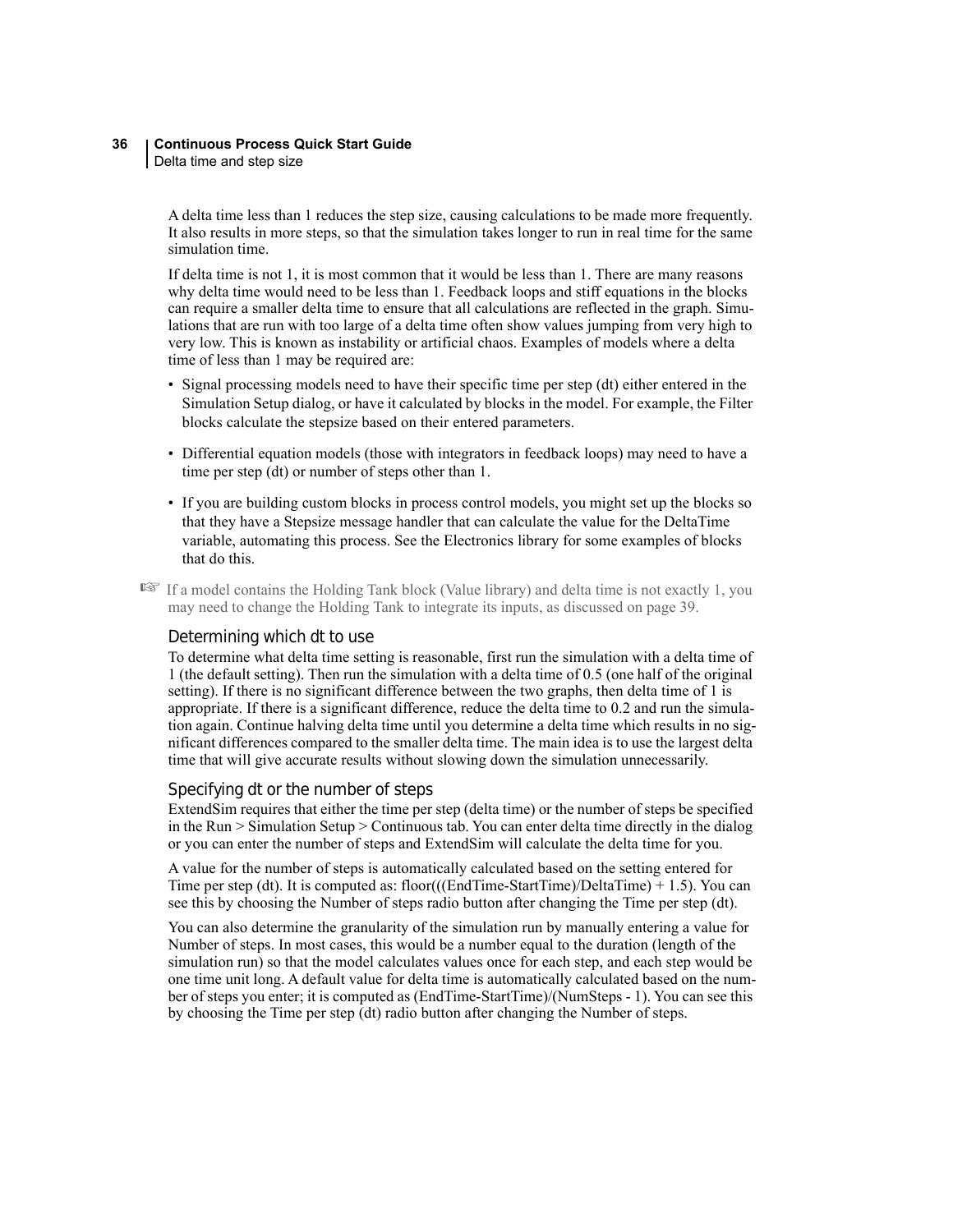#### **36 Continuous Process Quick Start Guide** Delta time and step size

<span id="page-39-1"></span>A delta time less than 1 reduces the step size, causing calculations to be made more frequently. It also results in more steps, so that the simulation takes longer to run in real time for the same simulation time.

If delta time is not 1, it is most common that it would be less than 1. There are many reasons why delta time would need to be less than 1. Feedback loops and stiff equations in the blocks can require a smaller delta time to ensure that all calculations are reflected in the graph. Simulations that are run with too large of a delta time often show values jumping from very high to very low. This is known as instability or artificial chaos. Examples of models where a delta time of less than 1 may be required are:

- Signal processing models need to have their specific time per step (dt) either entered in the Simulation Setup dialog, or have it calculated by blocks in the model. For example, the Filter blocks calculate the stepsize based on their entered parameters.
- <span id="page-39-4"></span>• Differential equation models (those with integrators in feedback loops) may need to have a time per step (dt) or number of steps other than 1.
- If you are building custom blocks in process control models, you might set up the blocks so that they have a Stepsize message handler that can calculate the value for the DeltaTime variable, automating this process. See the Electronics library for some examples of blocks that do this.
- ☞ If a model contains the Holding Tank block (Value library) and delta time is not exactly 1, you may need to change the Holding Tank to integrate its inputs, as discussed on [page 39.](#page-42-0)

# <span id="page-39-3"></span><span id="page-39-0"></span>Determining which dt to use

To determine what delta time setting is reasonable, first run the simulation with a delta time of 1 (the default setting). Then run the simulation with a delta time of 0.5 (one half of the original setting). If there is no significant difference between the two graphs, then delta time of 1 is appropriate. If there is a significant difference, reduce the delta time to 0.2 and run the simulation again. Continue halving delta time until you determine a delta time which results in no significant differences compared to the smaller delta time. The main idea is to use the largest delta time that will give accurate results without slowing down the simulation unnecessarily.

#### <span id="page-39-2"></span>Specifying dt or the number of steps

ExtendSim requires that either the time per step (delta time) or the number of steps be specified in the Run > Simulation Setup > Continuous tab. You can enter delta time directly in the dialog or you can enter the number of steps and ExtendSim will calculate the delta time for you.

A value for the number of steps is automatically calculated based on the setting entered for Time per step (dt). It is computed as: floor(((EndTime-StartTime)/DeltaTime) + 1.5). You can see this by choosing the Number of steps radio button after changing the Time per step (dt).

You can also determine the granularity of the simulation run by manually entering a value for Number of steps. In most cases, this would be a number equal to the duration (length of the simulation run) so that the model calculates values once for each step, and each step would be one time unit long. A default value for delta time is automatically calculated based on the number of steps you enter; it is computed as (EndTime-StartTime)/(NumSteps - 1). You can see this by choosing the Time per step (dt) radio button after changing the Number of steps.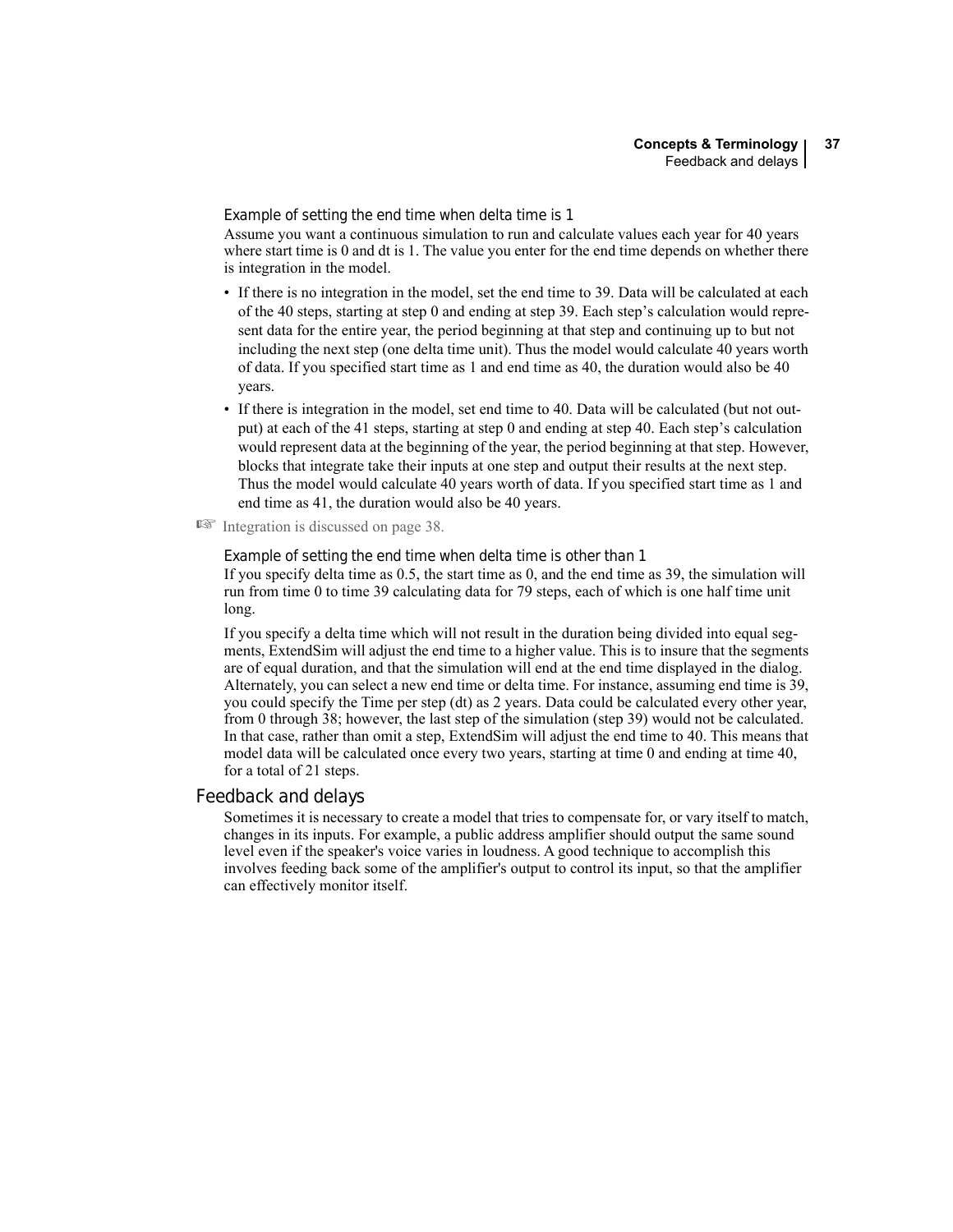#### *Example of setting the end time when delta time is 1*

Assume you want a continuous simulation to run and calculate values each year for 40 years where start time is 0 and dt is 1. The value you enter for the end time depends on whether there is integration in the model.

- If there is no integration in the model, set the end time to 39. Data will be calculated at each of the 40 steps, starting at step 0 and ending at step 39. Each step's calculation would represent data for the entire year, the period beginning at that step and continuing up to but not including the next step (one delta time unit). Thus the model would calculate 40 years worth of data. If you specified start time as 1 and end time as 40, the duration would also be 40 years.
- If there is integration in the model, set end time to 40. Data will be calculated (but not output) at each of the 41 steps, starting at step 0 and ending at step 40. Each step's calculation would represent data at the beginning of the year, the period beginning at that step. However, blocks that integrate take their inputs at one step and output their results at the next step. Thus the model would calculate 40 years worth of data. If you specified start time as 1 and end time as 41, the duration would also be 40 years.
- ☞ Integration is discussed on [page 38](#page-41-0).

## *Example of setting the end time when delta time is other than 1*

If you specify delta time as 0.5, the start time as 0, and the end time as 39, the simulation will run from time 0 to time 39 calculating data for 79 steps, each of which is one half time unit long.

If you specify a delta time which will not result in the duration being divided into equal segments, ExtendSim will adjust the end time to a higher value. This is to insure that the segments are of equal duration, and that the simulation will end at the end time displayed in the dialog. Alternately, you can select a new end time or delta time. For instance, assuming end time is 39, you could specify the Time per step (dt) as 2 years. Data could be calculated every other year, from 0 through 38; however, the last step of the simulation (step 39) would not be calculated. In that case, rather than omit a step, ExtendSim will adjust the end time to 40. This means that model data will be calculated once every two years, starting at time 0 and ending at time 40, for a total of 21 steps.

#### <span id="page-40-0"></span>Feedback and delays

Sometimes it is necessary to create a model that tries to compensate for, or vary itself to match, changes in its inputs. For example, a public address amplifier should output the same sound level even if the speaker's voice varies in loudness. A good technique to accomplish this involves feeding back some of the amplifier's output to control its input, so that the amplifier can effectively monitor itself.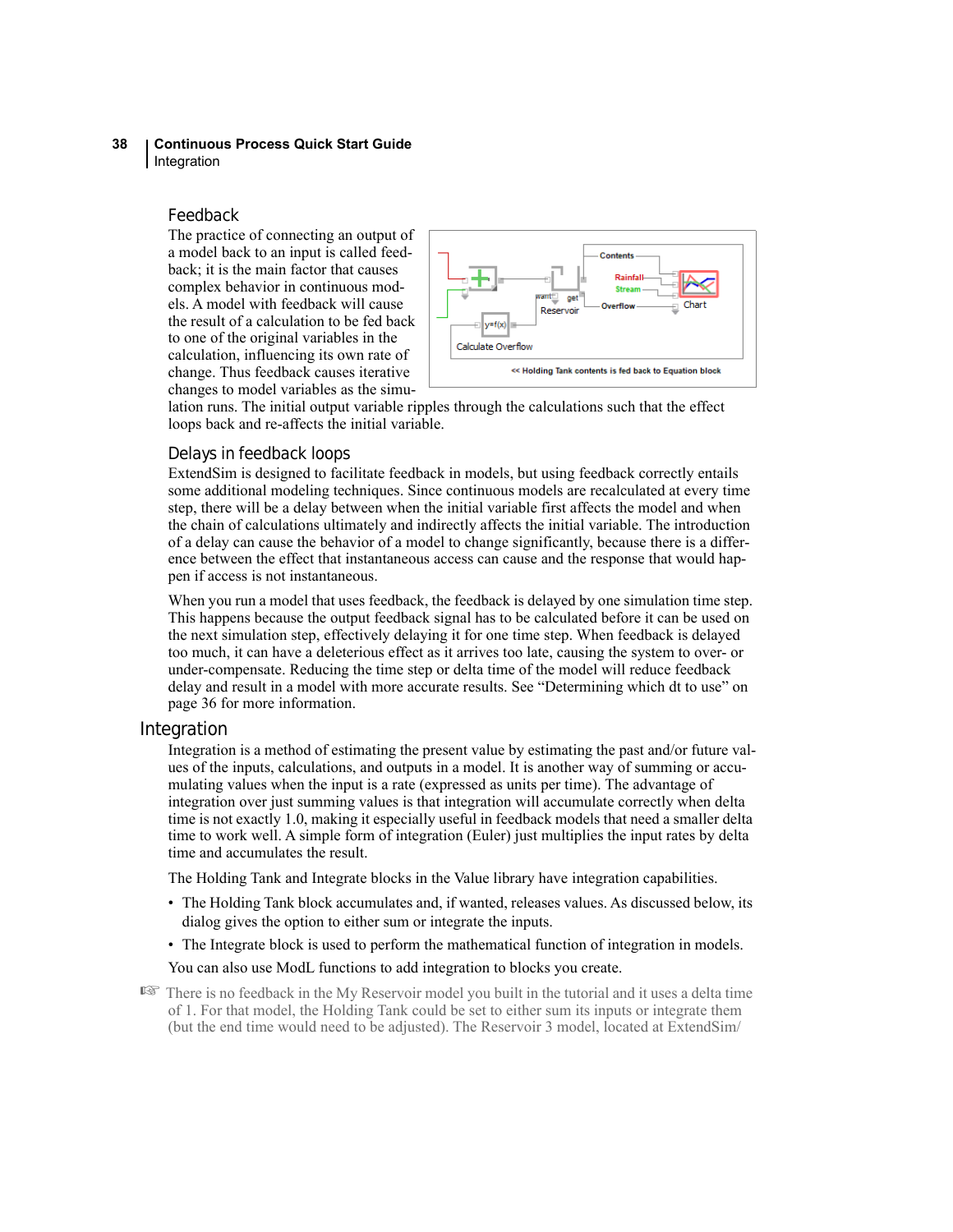#### **38 Continuous Process Quick Start Guide** Integration

# Feedback

The practice of connecting an output of a model back to an input is called feedback; it is the main factor that causes complex behavior in continuous models. A model with feedback will cause the result of a calculation to be fed back to one of the original variables in the calculation, influencing its own rate of change. Thus feedback causes iterative changes to model variables as the simu-

<span id="page-41-2"></span>

lation runs. The initial output variable ripples through the calculations such that the effect loops back and re-affects the initial variable.

# <span id="page-41-4"></span>Delays in feedback loops

ExtendSim is designed to facilitate feedback in models, but using feedback correctly entails some additional modeling techniques. Since continuous models are recalculated at every time step, there will be a delay between when the initial variable first affects the model and when the chain of calculations ultimately and indirectly affects the initial variable. The introduction of a delay can cause the behavior of a model to change significantly, because there is a difference between the effect that instantaneous access can cause and the response that would happen if access is not instantaneous.

When you run a model that uses feedback, the feedback is delayed by one simulation time step. This happens because the output feedback signal has to be calculated before it can be used on the next simulation step, effectively delaying it for one time step. When feedback is delayed too much, it can have a deleterious effect as it arrives too late, causing the system to over- or under-compensate. Reducing the time step or delta time of the model will reduce feedback delay and result in a model with more accurate results. See ["Determining which dt to use" on](#page-39-0)  [page 36](#page-39-0) for more information.

# <span id="page-41-1"></span><span id="page-41-0"></span>Integration

<span id="page-41-3"></span>Integration is a method of estimating the present value by estimating the past and/or future values of the inputs, calculations, and outputs in a model. It is another way of summing or accumulating values when the input is a rate (expressed as units per time). The advantage of integration over just summing values is that integration will accumulate correctly when delta time is not exactly 1.0, making it especially useful in feedback models that need a smaller delta time to work well. A simple form of integration (Euler) just multiplies the input rates by delta time and accumulates the result.

The Holding Tank and Integrate blocks in the Value library have integration capabilities.

- The Holding Tank block accumulates and, if wanted, releases values. As discussed below, its dialog gives the option to either sum or integrate the inputs.
- The Integrate block is used to perform the mathematical function of integration in models.

You can also use ModL functions to add integration to blocks you create.

☞ There is no feedback in the My Reservoir model you built in the tutorial and it uses a delta time of 1. For that model, the Holding Tank could be set to either sum its inputs or integrate them (but the end time would need to be adjusted). The Reservoir 3 model, located at ExtendSim/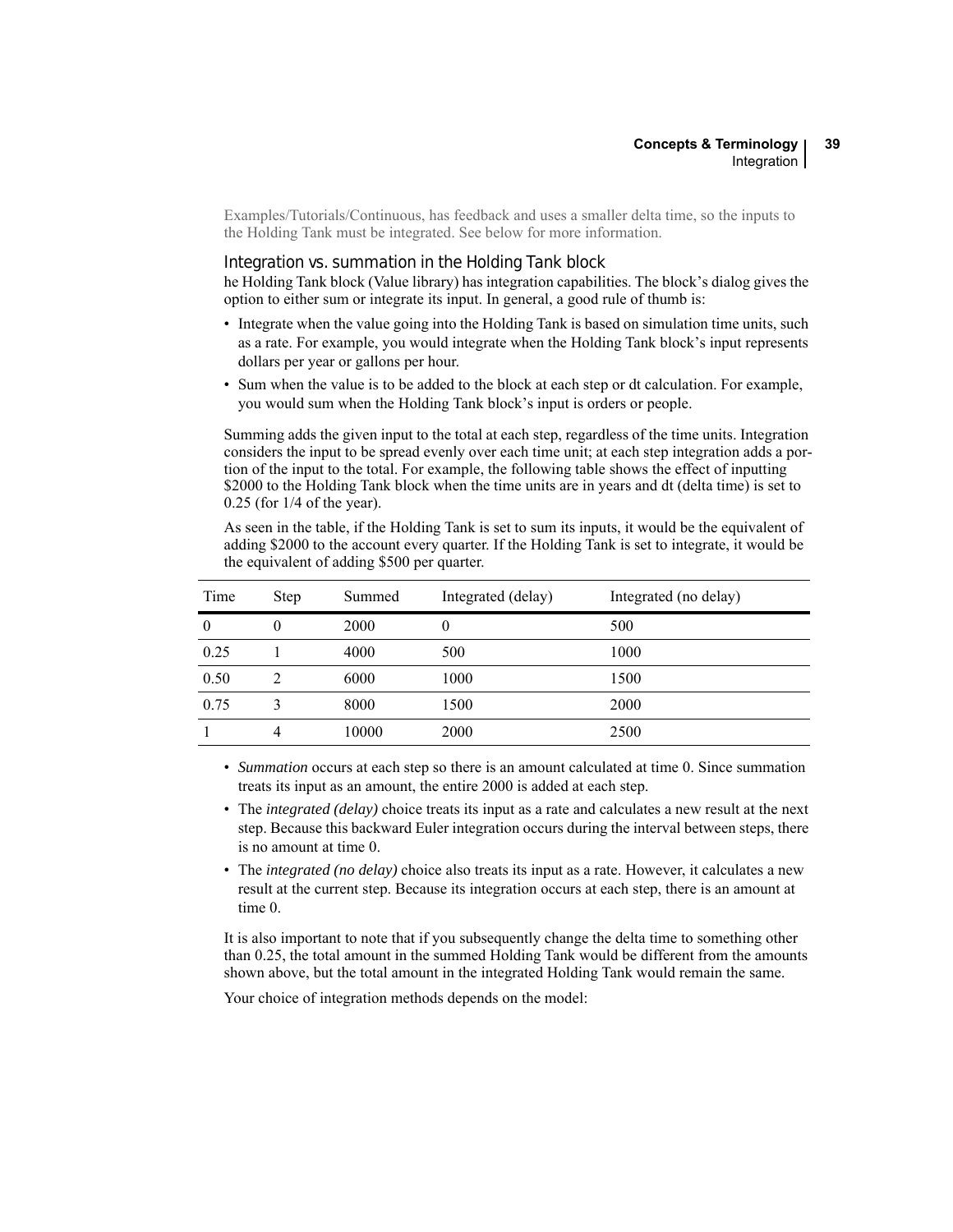Examples/Tutorials/Continuous, has feedback and uses a smaller delta time, so the inputs to the Holding Tank must be integrated. See below for more information.

#### <span id="page-42-3"></span><span id="page-42-2"></span><span id="page-42-0"></span>Integration vs. summation in the Holding Tank block

he Holding Tank block (Value library) has integration capabilities. The block's dialog gives the option to either sum or integrate its input. In general, a good rule of thumb is:

- Integrate when the value going into the Holding Tank is based on simulation time units, such as a rate. For example, you would integrate when the Holding Tank block's input represents dollars per year or gallons per hour.
- Sum when the value is to be added to the block at each step or dt calculation. For example, you would sum when the Holding Tank block's input is orders or people.

Summing adds the given input to the total at each step, regardless of the time units. Integration considers the input to be spread evenly over each time unit; at each step integration adds a portion of the input to the total. For example, the following table shows the effect of inputting \$2000 to the Holding Tank block when the time units are in years and dt (delta time) is set to 0.25 (for 1/4 of the year).

As seen in the table, if the Holding Tank is set to sum its inputs, it would be the equivalent of adding \$2000 to the account every quarter. If the Holding Tank is set to integrate, it would be the equivalent of adding \$500 per quarter.

| Time     | Step | Summed | Integrated (delay) | Integrated (no delay) |
|----------|------|--------|--------------------|-----------------------|
| $\theta$ | 0    | 2000   | 0                  | 500                   |
| 0.25     |      | 4000   | 500                | 1000                  |
| 0.50     |      | 6000   | 1000               | 1500                  |
| 0.75     |      | 8000   | 1500               | 2000                  |
|          | 4    | 10000  | 2000               | 2500                  |

- *Summation* occurs at each step so there is an amount calculated at time 0. Since summation treats its input as an amount, the entire 2000 is added at each step.
- <span id="page-42-1"></span>• The *integrated (delay)* choice treats its input as a rate and calculates a new result at the next step. Because this backward Euler integration occurs during the interval between steps, there is no amount at time 0.
- The *integrated (no delay)* choice also treats its input as a rate. However, it calculates a new result at the current step. Because its integration occurs at each step, there is an amount at time 0.

It is also important to note that if you subsequently change the delta time to something other than 0.25, the total amount in the summed Holding Tank would be different from the amounts shown above, but the total amount in the integrated Holding Tank would remain the same.

<span id="page-42-4"></span>Your choice of integration methods depends on the model: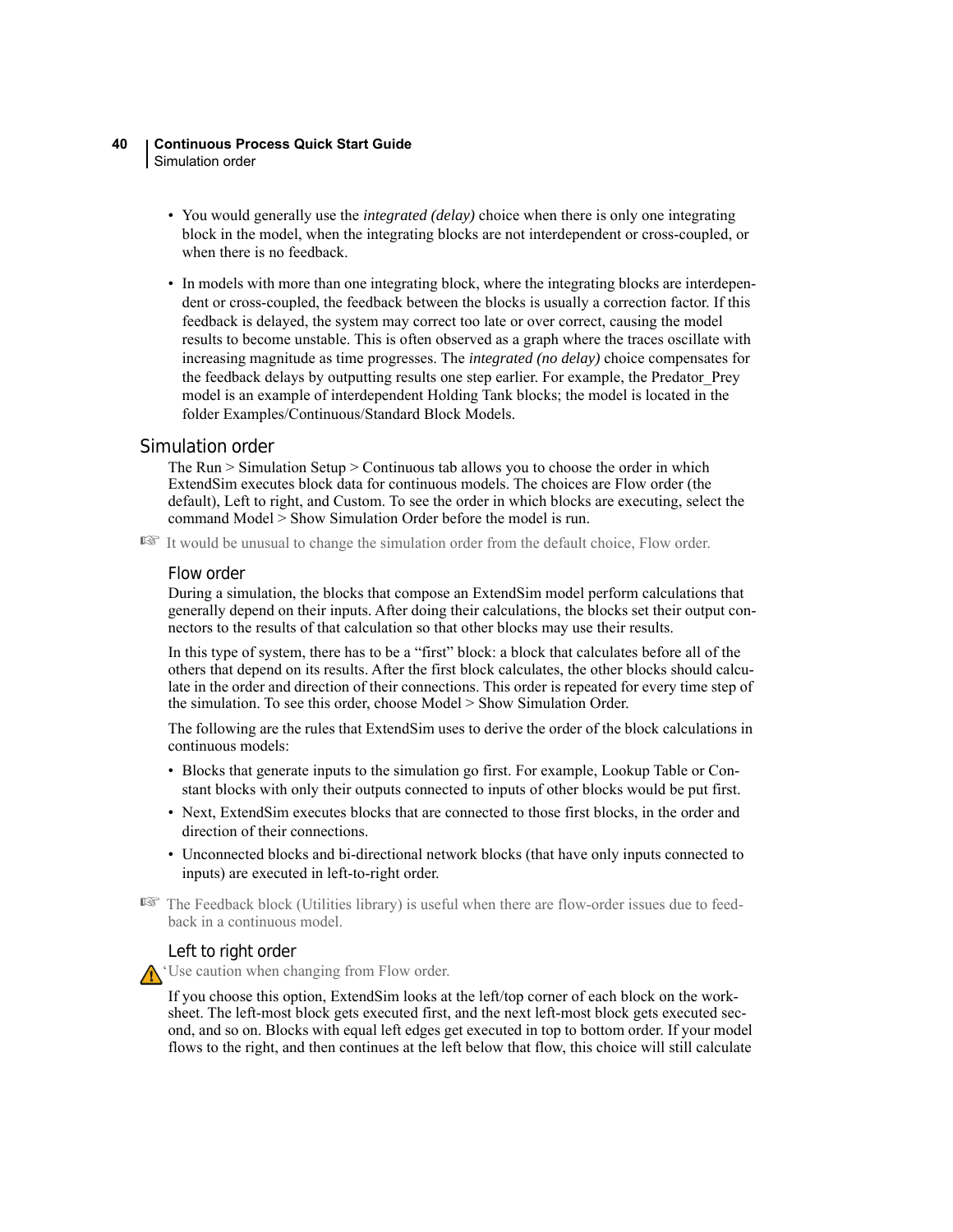## **40 Continuous Process Quick Start Guide** Simulation order

- You would generally use the *integrated (delay)* choice when there is only one integrating block in the model, when the integrating blocks are not interdependent or cross-coupled, or when there is no feedback.
- In models with more than one integrating block, where the integrating blocks are interdependent or cross-coupled, the feedback between the blocks is usually a correction factor. If this feedback is delayed, the system may correct too late or over correct, causing the model results to become unstable. This is often observed as a graph where the traces oscillate with increasing magnitude as time progresses. The *integrated (no delay)* choice compensates for the feedback delays by outputting results one step earlier. For example, the Predator\_Prey model is an example of interdependent Holding Tank blocks; the model is located in the folder Examples/Continuous/Standard Block Models.

# <span id="page-43-0"></span>Simulation order

<span id="page-43-3"></span>The Run > Simulation Setup > Continuous tab allows you to choose the order in which ExtendSim executes block data for continuous models. The choices are Flow order (the default), Left to right, and Custom. To see the order in which blocks are executing, select the command Model > Show Simulation Order before the model is run.

☞ It would be unusual to change the simulation order from the default choice, Flow order.

# <span id="page-43-1"></span>Flow order

During a simulation, the blocks that compose an ExtendSim model perform calculations that generally depend on their inputs. After doing their calculations, the blocks set their output connectors to the results of that calculation so that other blocks may use their results.

In this type of system, there has to be a "first" block: a block that calculates before all of the others that depend on its results. After the first block calculates, the other blocks should calculate in the order and direction of their connections. This order is repeated for every time step of the simulation. To see this order, choose Model > Show Simulation Order.

The following are the rules that ExtendSim uses to derive the order of the block calculations in continuous models:

- Blocks that generate inputs to the simulation go first. For example, Lookup Table or Constant blocks with only their outputs connected to inputs of other blocks would be put first.
- Next, ExtendSim executes blocks that are connected to those first blocks, in the order and direction of their connections.
- Unconnected blocks and bi-directional network blocks (that have only inputs connected to inputs) are executed in left-to-right order.
- ☞ The Feedback block (Utilities library) is useful when there are flow-order issues due to feedback in a continuous model.

#### Left to right order

'Use caution when changing from Flow order.

<span id="page-43-2"></span>If you choose this option, ExtendSim looks at the left/top corner of each block on the worksheet. The left-most block gets executed first, and the next left-most block gets executed second, and so on. Blocks with equal left edges get executed in top to bottom order. If your model flows to the right, and then continues at the left below that flow, this choice will still calculate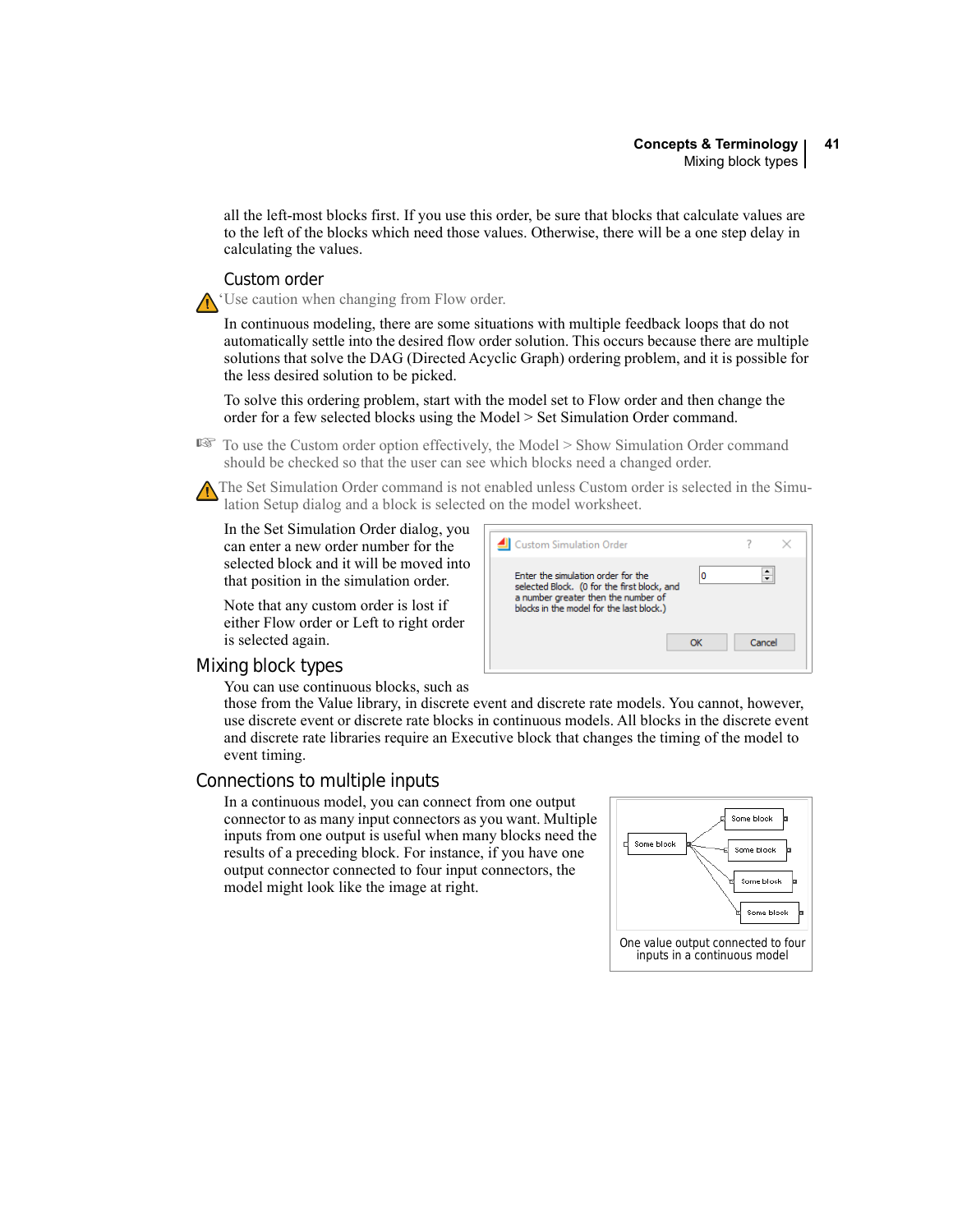all the left-most blocks first. If you use this order, be sure that blocks that calculate values are to the left of the blocks which need those values. Otherwise, there will be a one step delay in calculating the values.

# Custom order

'Use caution when changing from Flow order.

<span id="page-44-4"></span>In continuous modeling, there are some situations with multiple feedback loops that do not automatically settle into the desired flow order solution. This occurs because there are multiple solutions that solve the DAG (Directed Acyclic Graph) ordering problem, and it is possible for the less desired solution to be picked.

To solve this ordering problem, start with the model set to Flow order and then change the order for a few selected blocks using the Model > Set Simulation Order command.

☞ To use the Custom order option effectively, the Model > Show Simulation Order command should be checked so that the user can see which blocks need a changed order.

The Set Simulation Order command is not enabled unless Custom order is selected in the Simulation Setup dialog and a block is selected on the model worksheet.

In the Set Simulation Order dialog, you can enter a new order number for the selected block and it will be moved into that position in the simulation order.

Note that any custom order is lost if either Flow order or Left to right order is selected again.

# <span id="page-44-0"></span>Mixing block types

<span id="page-44-2"></span>You can use continuous blocks, such as

those from the Value library, in discrete event and discrete rate models. You cannot, however, use discrete event or discrete rate blocks in continuous models. All blocks in the discrete event and discrete rate libraries require an Executive block that changes the timing of the model to event timing.

### <span id="page-44-1"></span>Connections to multiple inputs

In a continuous model, you can connect from one output connector to as many input connectors as you want. Multiple inputs from one output is useful when many blocks need the results of a preceding block. For instance, if you have one output connector connected to four input connectors, the model might look like the image at right.

<span id="page-44-3"></span>

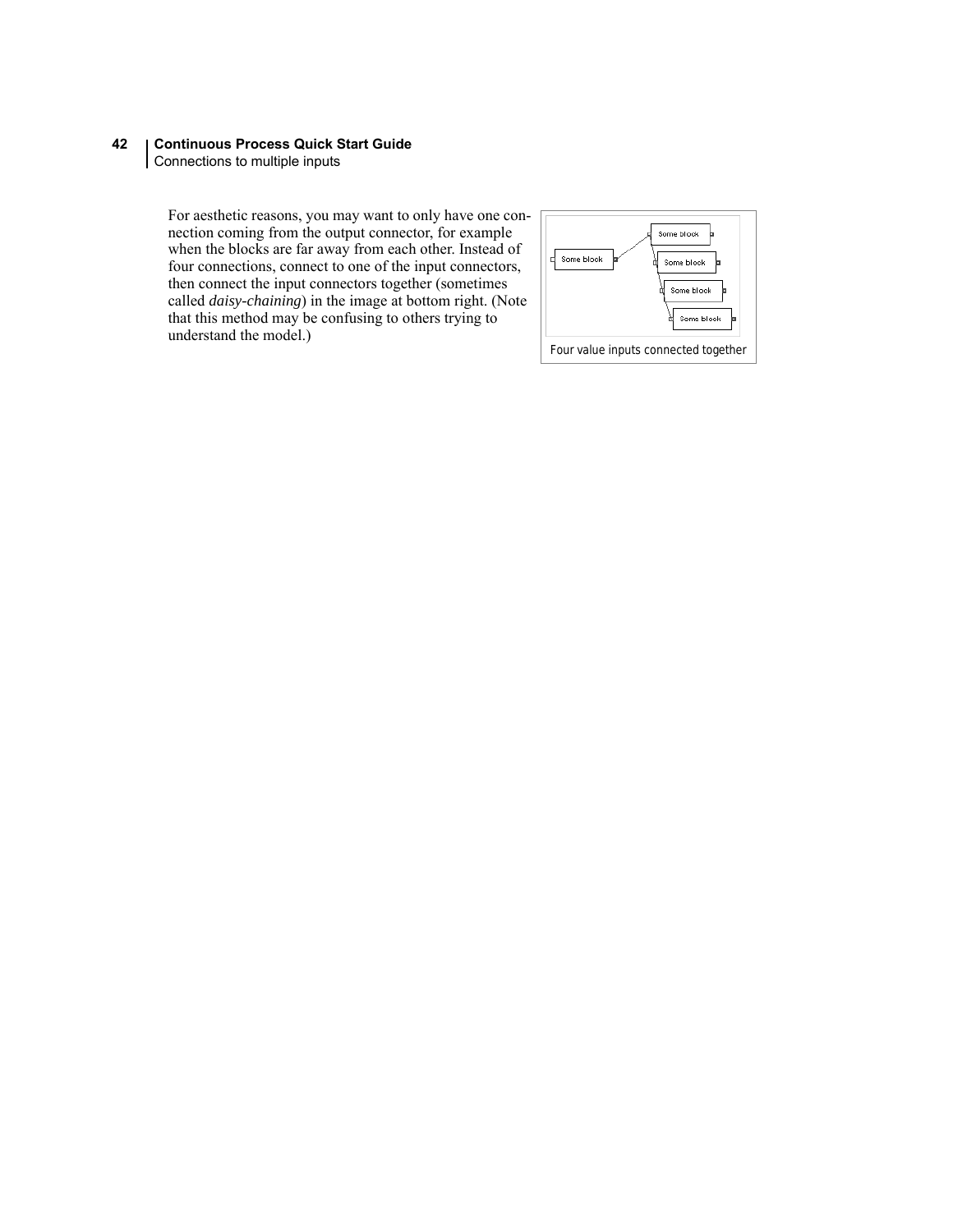# **42 Continuous Process Quick Start Guide** Connections to multiple inputs

<span id="page-45-0"></span>For aesthetic reasons, you may want to only have one connection coming from the output connector, for example when the blocks are far away from each other. Instead of four connections, connect to one of the input connectors, then connect the input connectors together (sometimes called *daisy-chaining*) in the image at bottom right. (Note that this method may be confusing to others trying to understand the model.)

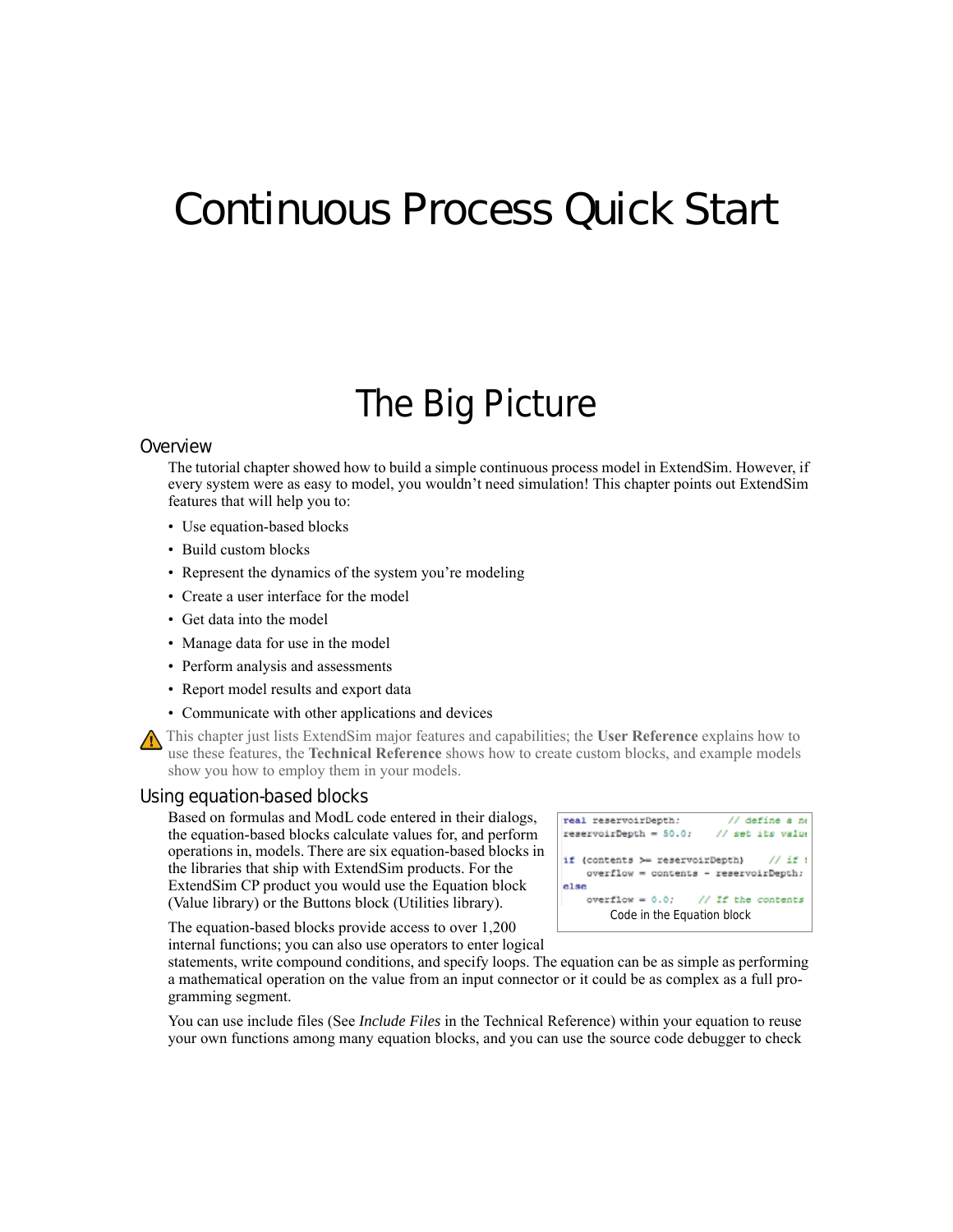# <span id="page-46-4"></span>The Big Picture

# <span id="page-46-1"></span><span id="page-46-0"></span>**Overview**

The tutorial chapter showed how to build a simple continuous process model in ExtendSim. However, if every system were as easy to model, you wouldn't need simulation! This chapter points out ExtendSim features that will help you to:

- Use equation-based blocks
- Build custom blocks
- Represent the dynamics of the system you're modeling
- Create a user interface for the model
- Get data into the model
- Manage data for use in the model
- <span id="page-46-3"></span>• Perform analysis and assessments
- Report model results and export data
- Communicate with other applications and devices

 This chapter just lists ExtendSim major features and capabilities; the **User Reference** explains how to use these features, the **Technical Reference** shows how to create custom blocks, and example models show you how to employ them in your models.

#### <span id="page-46-2"></span>Using equation-based blocks

<span id="page-46-5"></span>Based on formulas and ModL code entered in their dialogs, the equation-based blocks calculate values for, and perform operations in, models. There are six equation-based blocks in the libraries that ship with ExtendSim products. For the ExtendSim CP product you would use the Equation block (Value library) or the Buttons block (Utilities library).

| real reservoirDepth:                         | // define a ne |
|----------------------------------------------|----------------|
| reservoirDepth = $50.0;$ // set its value    |                |
|                                              |                |
| if (contents $\succ$ reservoirDepth) // if ( |                |
| $overflow = contents - reservoirDepth;$      |                |
| else                                         |                |
| overflow = $0.0$ ; // If the contents        |                |
| Code in the Equation block                   |                |
|                                              |                |

The equation-based blocks provide access to over 1,200 internal functions; you can also use operators to enter logical

statements, write compound conditions, and specify loops. The equation can be as simple as performing a mathematical operation on the value from an input connector or it could be as complex as a full programming segment.

You can use include files (See *Include Files* in the Technical Reference) within your equation to reuse your own functions among many equation blocks, and you can use the source code debugger to check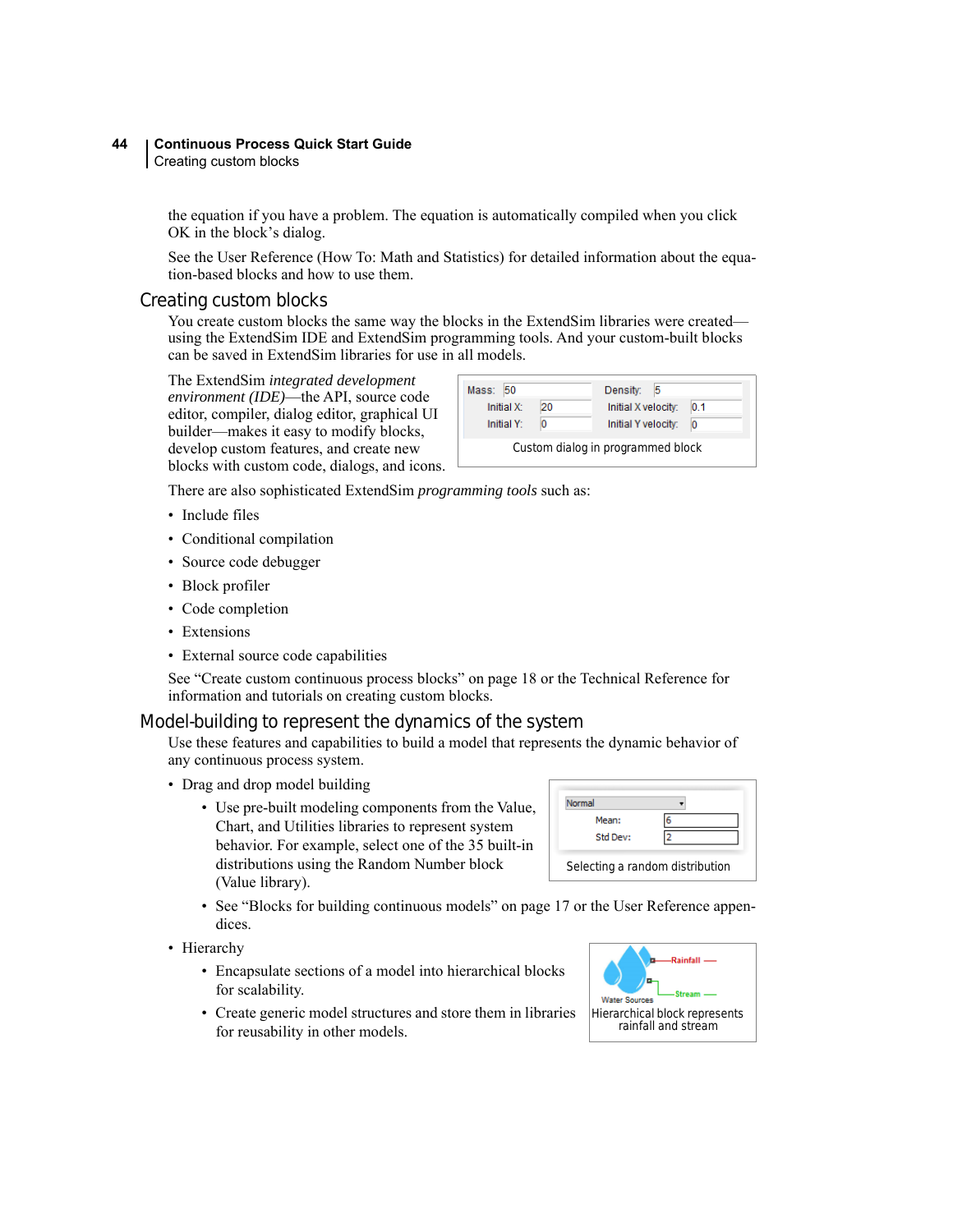Creating custom blocks

the equation if you have a problem. The equation is automatically compiled when you click OK in the block's dialog.

See the User Reference (How To: Math and Statistics) for detailed information about the equation-based blocks and how to use them.

# <span id="page-47-2"></span><span id="page-47-0"></span>Creating custom blocks

You create custom blocks the same way the blocks in the ExtendSim libraries were created using the ExtendSim IDE and ExtendSim programming tools. And your custom-built blocks can be saved in ExtendSim libraries for use in all models.

<span id="page-47-5"></span>The ExtendSim *integrated development environment (IDE)*—the API, source code editor, compiler, dialog editor, graphical UI builder—makes it easy to modify blocks, develop custom features, and create new blocks with custom code, dialogs, and icons.

<span id="page-47-6"></span>

There are also sophisticated ExtendSim *programming tools* such as:

- Include files
- Conditional compilation
- Source code debugger
- Block profiler
- Code completion
- Extensions
- External source code capabilities

See ["Create custom continuous process blocks" on page 18](#page-21-1) or the Technical Reference for information and tutorials on creating custom blocks.

# <span id="page-47-1"></span>Model-building to represent the dynamics of the system

<span id="page-47-4"></span>Use these features and capabilities to build a model that represents the dynamic behavior of any continuous process system.

- Drag and drop model building
	- Use pre-built modeling components from the Value, Chart, and Utilities libraries to represent system behavior. For example, select one of the 35 built-in distributions using the Random Number block (Value library).

| Normal            |                                 |
|-------------------|---------------------------------|
| Mean:<br>Std Dev: |                                 |
|                   | Selecting a random distribution |

- <span id="page-47-7"></span>• See ["Blocks for building continuous models" on page 17](#page-20-1) or the User Reference appendices.
- Hierarchy
	- Encapsulate sections of a model into hierarchical blocks for scalability.
	- Create generic model structures and store them in libraries for reusability in other models.

<span id="page-47-3"></span>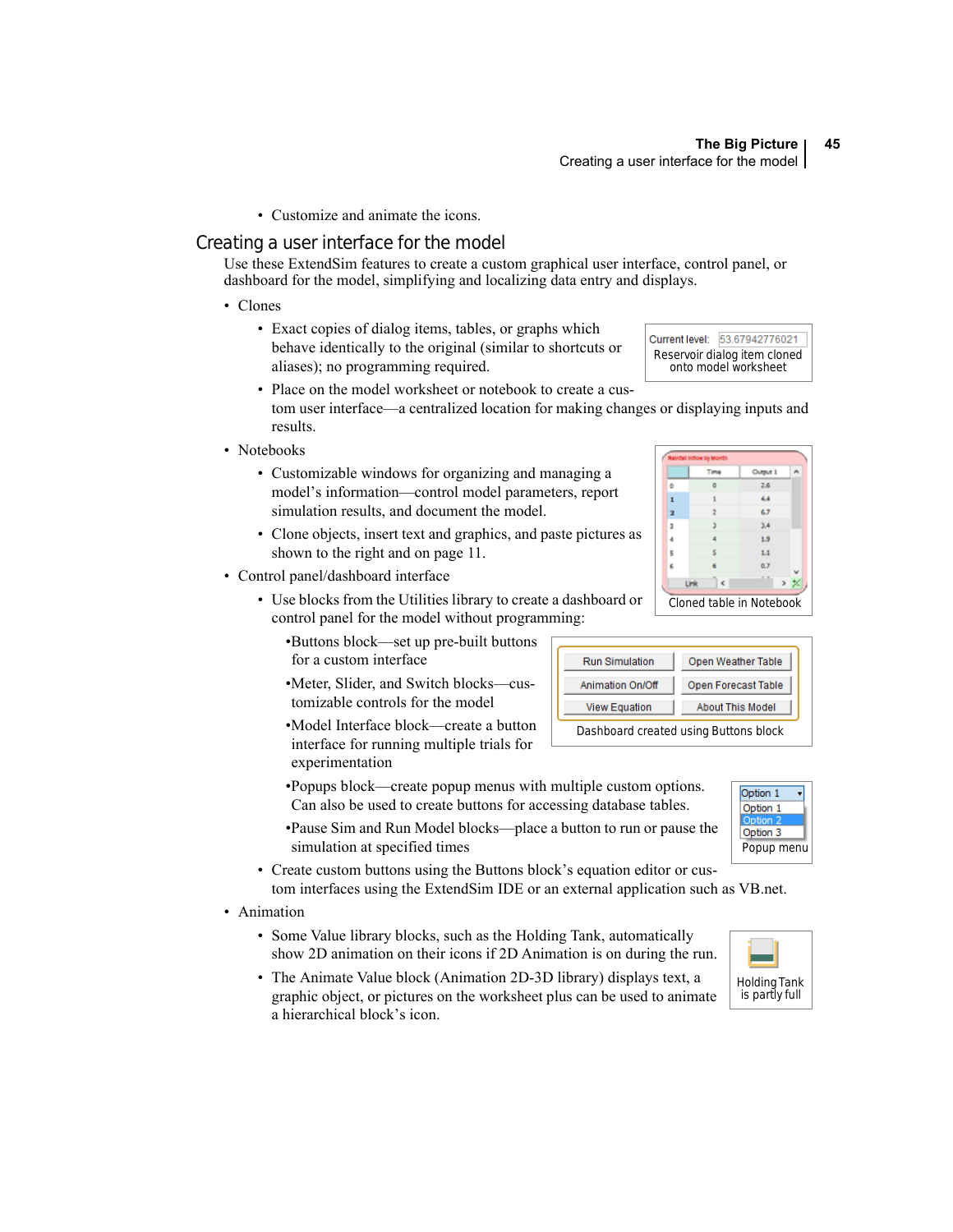#### **The Big Picture | 45** Creating a user interface for the model

• Customize and animate the icons.

# <span id="page-48-0"></span>Creating a user interface for the model

<span id="page-48-10"></span>Use these ExtendSim features to create a custom graphical user interface, control panel, or dashboard for the model, simplifying and localizing data entry and displays.

- Clones
	- Exact copies of dialog items, tables, or graphs which behave identically to the original (similar to shortcuts or aliases); no programming required.
	- Place on the model worksheet or notebook to create a custom user interface—a centralized location for making changes or displaying inputs and results.
- <span id="page-48-13"></span><span id="page-48-2"></span>• Notebooks
	- Customizable windows for organizing and managing a model's information—control model parameters, report simulation results, and document the model.
	- Clone objects, insert text and graphics, and paste pictures as shown to the right and on [page 11.](#page-14-1)
- <span id="page-48-11"></span><span id="page-48-9"></span><span id="page-48-7"></span><span id="page-48-6"></span><span id="page-48-1"></span>• Control panel/dashboard interface
	- Use blocks from the Utilities library to create a dashboard or control panel for the model without programming:
		- •Buttons block—set up pre-built buttons for a custom interface
		- •Meter, Slider, and Switch blocks—customizable controls for the model
		- •Model Interface block—create a button interface for running multiple trials for experimentation

<span id="page-48-18"></span>

| <b>Run Simulation</b>                          | Open Weather Table                    |  |
|------------------------------------------------|---------------------------------------|--|
| Open Forecast Table<br><b>Animation On/Off</b> |                                       |  |
| <b>View Equation</b>                           | <b>About This Model</b>               |  |
|                                                | Dashboard created using Buttons block |  |

- <span id="page-48-17"></span><span id="page-48-14"></span><span id="page-48-12"></span>•Popups block—create popup menus with multiple custom options. Can also be used to create buttons for accessing database tables.
- <span id="page-48-19"></span><span id="page-48-16"></span>•Pause Sim and Run Model blocks—place a button to run or pause the simulation at specified times
- <span id="page-48-15"></span><span id="page-48-4"></span>• Create custom buttons using the Buttons block's equation editor or custom interfaces using the ExtendSim IDE or an external application such as VB.net.
- <span id="page-48-5"></span><span id="page-48-3"></span>• Animation
	- Some Value library blocks, such as the Holding Tank, automatically show 2D animation on their icons if 2D Animation is on during the run.
	- The Animate Value block (Animation 2D-3D library) displays text, a graphic object, or pictures on the worksheet plus can be used to animate a hierarchical block's icon.



Popup menu

Option 1 Option 1 Option 3



Reservoir dialog item cloned onto model worksheet

<span id="page-48-8"></span>Current level: 53.67942776021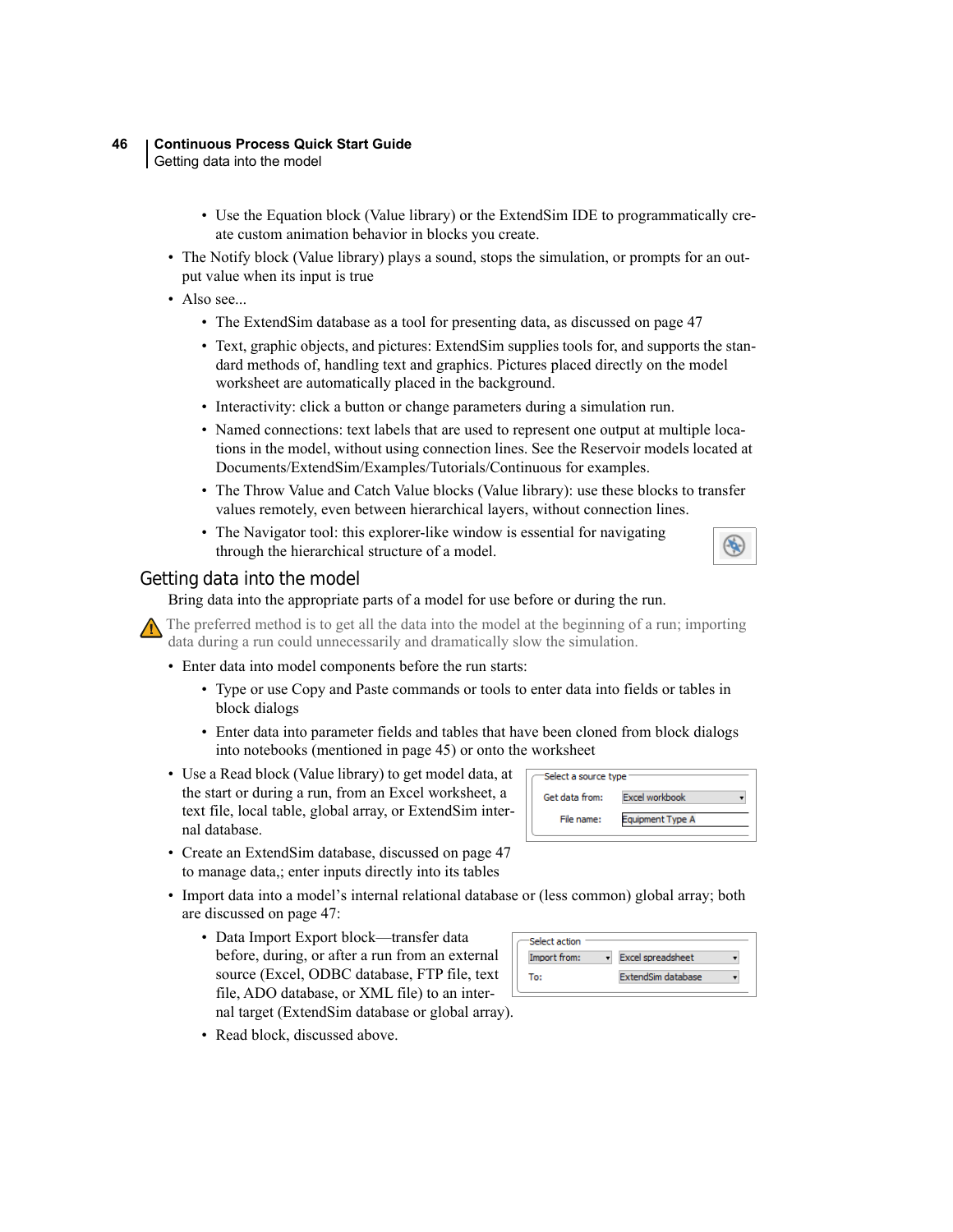Getting data into the model

- <span id="page-49-7"></span>• Use the Equation block (Value library) or the ExtendSim IDE to programmatically create custom animation behavior in blocks you create.
- <span id="page-49-2"></span>• The Notify block (Value library) plays a sound, stops the simulation, or prompts for an output value when its input is true
- Also see...
	- The ExtendSim database as a tool for presenting data, as discussed on [page 47](#page-50-2)
	- Text, graphic objects, and pictures: ExtendSim supplies tools for, and supports the standard methods of, handling text and graphics. Pictures placed directly on the model worksheet are automatically placed in the background.
	- Interactivity: click a button or change parameters during a simulation run.
	- Named connections: text labels that are used to represent one output at multiple locations in the model, without using connection lines. See the Reservoir models located at Documents/ExtendSim/Examples/Tutorials/Continuous for examples.
	- The Throw Value and Catch Value blocks (Value library): use these blocks to transfer values remotely, even between hierarchical layers, without connection lines.
	- The Navigator tool: this explorer-like window is essential for navigating through the hierarchical structure of a model.

# <span id="page-49-0"></span>Getting data into the model

<span id="page-49-6"></span><span id="page-49-4"></span><span id="page-49-3"></span>Bring data into the appropriate parts of a model for use before or during the run.

The preferred method is to get all the data into the model at the beginning of a run; importing data during a run could unnecessarily and dramatically slow the simulation.

- Enter data into model components before the run starts:
	- Type or use Copy and Paste commands or tools to enter data into fields or tables in block dialogs
	- Enter data into parameter fields and tables that have been cloned from block dialogs into notebooks (mentioned in [page 45\)](#page-48-2) or onto the worksheet
- <span id="page-49-8"></span>• Use a Read block (Value library) to get model data, at the start or during a run, from an Excel worksheet, a text file, local table, global array, or ExtendSim internal database.



- Create an ExtendSim database, discussed on [page 47](#page-50-2) to manage data,; enter inputs directly into its tables
- <span id="page-49-5"></span><span id="page-49-1"></span>• Import data into a model's internal relational database or (less common) global array; both are discussed on [page 47](#page-50-2):
	- Data Import Export block—transfer data before, during, or after a run from an external source (Excel, ODBC database, FTP file, text file, ADO database, or XML file) to an internal target (ExtendSim database or global array).
- Select action Excel spreadsheet Import from: ExtendSim database To:
- Read block, discussed above.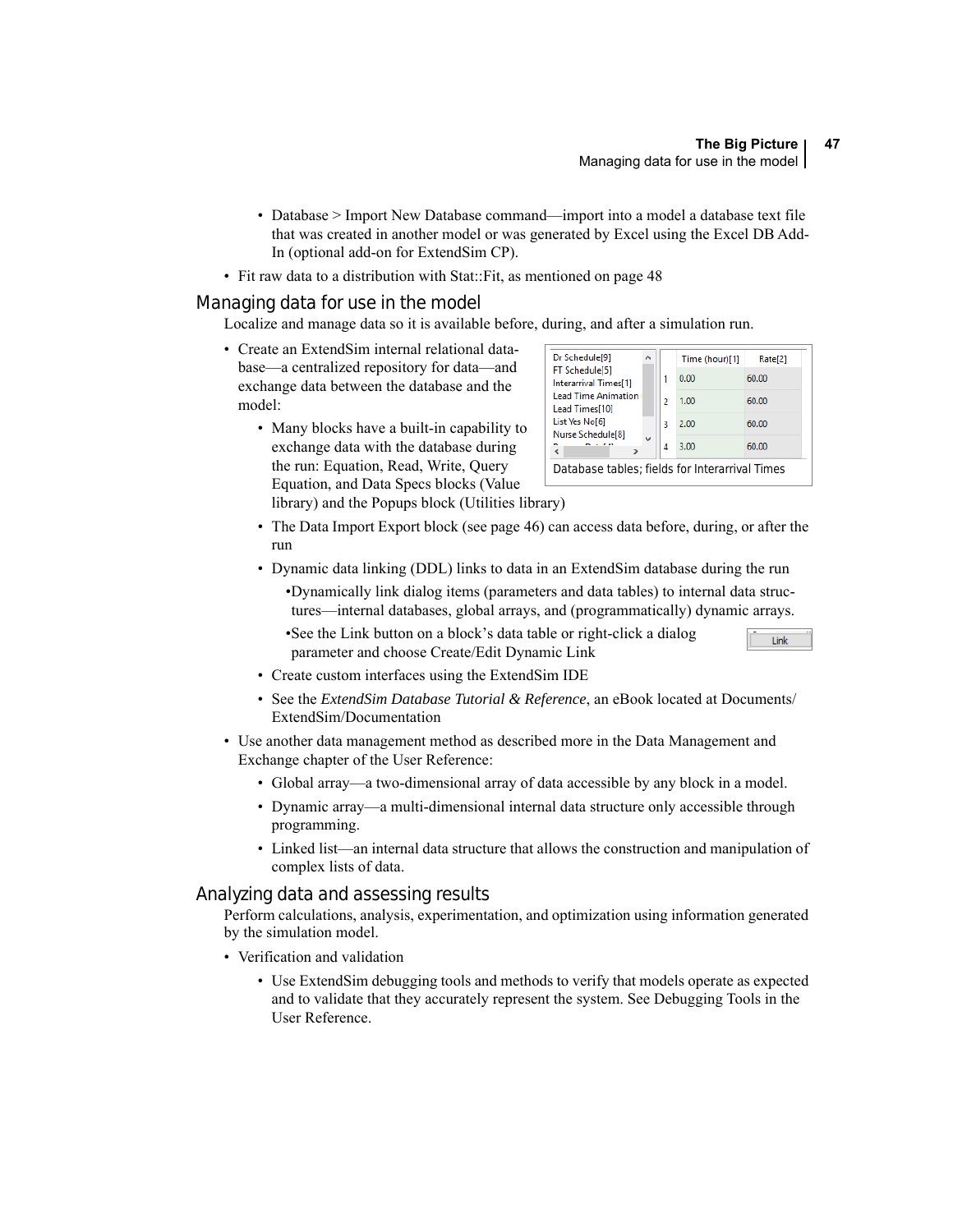#### The Big Picture | 47 Managing data for use in the model

- <span id="page-50-11"></span>• Database > Import New Database command—import into a model a database text file that was created in another model or was generated by Excel using the Excel DB Add-In (optional add-on for ExtendSim CP).
- Fit raw data to a distribution with Stat::Fit, as mentioned on [page 48](#page-51-0)

# <span id="page-50-0"></span>Managing data for use in the model

<span id="page-50-4"></span>Localize and manage data so it is available before, during, and after a simulation run.

- <span id="page-50-6"></span><span id="page-50-2"></span>• Create an ExtendSim internal relational database—a centralized repository for data—and exchange data between the database and the model:
	- Many blocks have a built-in capability to exchange data with the database during the run: Equation, Read, Write, Query Equation, and Data Specs blocks (Value library) and the Popups block (Utilities library)

<span id="page-50-15"></span>

- <span id="page-50-14"></span><span id="page-50-5"></span>• The Data Import Export block (see [page 46\)](#page-49-1) can access data before, during, or after the run
- <span id="page-50-7"></span>• Dynamic data linking (DDL) links to data in an ExtendSim database during the run
	- •Dynamically link dialog items (parameters and data tables) to internal data structures—internal databases, global arrays, and (programmatically) dynamic arrays.
	- •See the Link button on a block's data table or right-click a dialog parameter and choose Create/Edit Dynamic Link



- Create custom interfaces using the ExtendSim IDE
- See the *ExtendSim Database Tutorial & Reference*, an eBook located at Documents/ ExtendSim/Documentation
- <span id="page-50-10"></span><span id="page-50-9"></span><span id="page-50-8"></span>• Use another data management method as described more in the Data Management and Exchange chapter of the User Reference:
	- Global array—a two-dimensional array of data accessible by any block in a model.
	- Dynamic array—a multi-dimensional internal data structure only accessible through programming.
	- Linked list—an internal data structure that allows the construction and manipulation of complex lists of data.

# <span id="page-50-1"></span>Analyzing data and assessing results

<span id="page-50-12"></span><span id="page-50-3"></span>Perform calculations, analysis, experimentation, and optimization using information generated by the simulation model.

- <span id="page-50-13"></span>• Verification and validation
	- Use ExtendSim debugging tools and methods to verify that models operate as expected and to validate that they accurately represent the system. See Debugging Tools in the User Reference.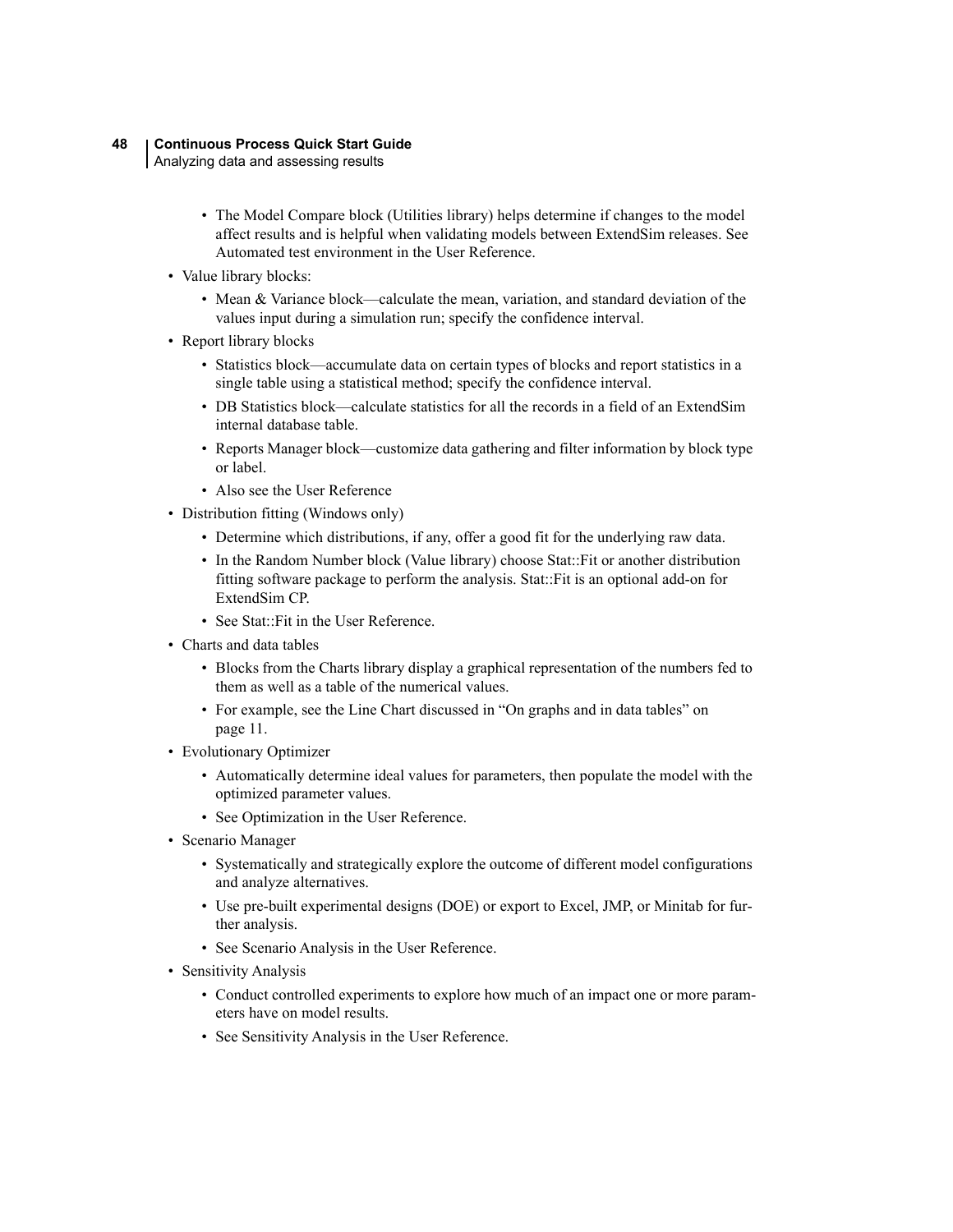Analyzing data and assessing results

- <span id="page-51-9"></span>• The Model Compare block (Utilities library) helps determine if changes to the model affect results and is helpful when validating models between ExtendSim releases. See Automated test environment in the User Reference.
- <span id="page-51-8"></span>• Value library blocks:
	- Mean & Variance block—calculate the mean, variation, and standard deviation of the values input during a simulation run; specify the confidence interval.
- <span id="page-51-11"></span><span id="page-51-3"></span>• Report library blocks
	- Statistics block—accumulate data on certain types of blocks and report statistics in a single table using a statistical method; specify the confidence interval.
	- DB Statistics block—calculate statistics for all the records in a field of an ExtendSim internal database table.
	- Reports Manager block—customize data gathering and filter information by block type or label.
	- Also see the User Reference
- <span id="page-51-10"></span><span id="page-51-4"></span><span id="page-51-0"></span>• Distribution fitting (Windows only)
	- Determine which distributions, if any, offer a good fit for the underlying raw data.
	- In the Random Number block (Value library) choose Stat::Fit or another distribution fitting software package to perform the analysis. Stat::Fit is an optional add-on for ExtendSim CP.
	- See Stat::Fit in the User Reference.
- <span id="page-51-1"></span>• Charts and data tables
	- Blocks from the Charts library display a graphical representation of the numbers fed to them as well as a table of the numerical values.
	- For example, see the Line Chart discussed in ["On graphs and in data tables" on](#page-14-2)  [page 11.](#page-14-2)
- <span id="page-51-5"></span>• Evolutionary Optimizer
	- Automatically determine ideal values for parameters, then populate the model with the optimized parameter values.
	- See Optimization in the User Reference.
- <span id="page-51-6"></span><span id="page-51-2"></span>• Scenario Manager
	- Systematically and strategically explore the outcome of different model configurations and analyze alternatives.
	- Use pre-built experimental designs (DOE) or export to Excel, JMP, or Minitab for further analysis.
	- See Scenario Analysis in the User Reference.
- <span id="page-51-7"></span>• Sensitivity Analysis
	- Conduct controlled experiments to explore how much of an impact one or more parameters have on model results.
	- See Sensitivity Analysis in the User Reference.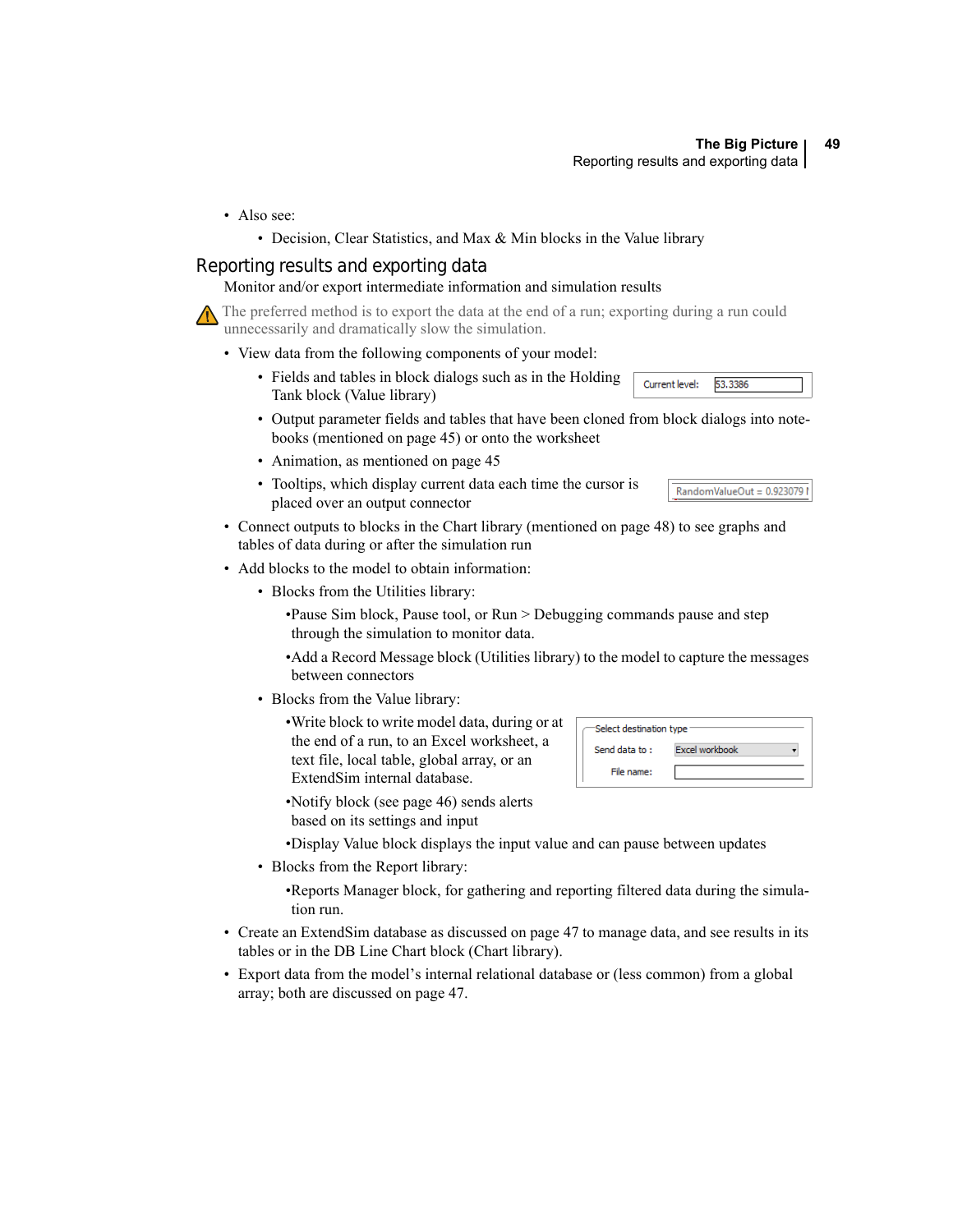# The Big Picture | 49

Reporting results and exporting data

Current level:

53.3386

RandomValueOut = 0.923079 M

- Also see:
	- Decision, Clear Statistics, and Max & Min blocks in the Value library

# <span id="page-52-0"></span>Reporting results and exporting data

<span id="page-52-1"></span>Monitor and/or export intermediate information and simulation results

 The preferred method is to export the data at the end of a run; exporting during a run could unnecessarily and dramatically slow the simulation.

- View data from the following components of your model:
	- Fields and tables in block dialogs such as in the Holding Tank block (Value library)
	- Output parameter fields and tables that have been cloned from block dialogs into notebooks (mentioned on [page 45\)](#page-48-2) or onto the worksheet
	- Animation, as mentioned on [page 45](#page-48-3)
	- Tooltips, which display current data each time the cursor is placed over an output connector
- <span id="page-52-6"></span>• Connect outputs to blocks in the Chart library (mentioned on [page 48](#page-51-1)) to see graphs and tables of data during or after the simulation run
- Add blocks to the model to obtain information:
	- Blocks from the Utilities library:

<span id="page-52-4"></span>•Pause Sim block, Pause tool, or Run > Debugging commands pause and step through the simulation to monitor data.

<span id="page-52-5"></span>•Add a Record Message block (Utilities library) to the model to capture the messages between connectors

<span id="page-52-7"></span>• Blocks from the Value library:

•Write block to write model data, during or at the end of a run, to an Excel worksheet, a text file, local table, global array, or an ExtendSim internal database.

<span id="page-52-2"></span>

| Select destination type |                |  |
|-------------------------|----------------|--|
| Send data to:           | Excel workbook |  |
| File name:              |                |  |

•Notify block (see [page 46](#page-49-2)) sends alerts

<span id="page-52-3"></span>based on its settings and input

•Display Value block displays the input value and can pause between updates

• Blocks from the Report library:

•Reports Manager block, for gathering and reporting filtered data during the simulation run.

- Create an ExtendSim database as discussed on [page 47](#page-50-2) to manage data, and see results in its tables or in the DB Line Chart block (Chart library).
- Export data from the model's internal relational database or (less common) from a global array; both are discussed on [page 47](#page-50-0).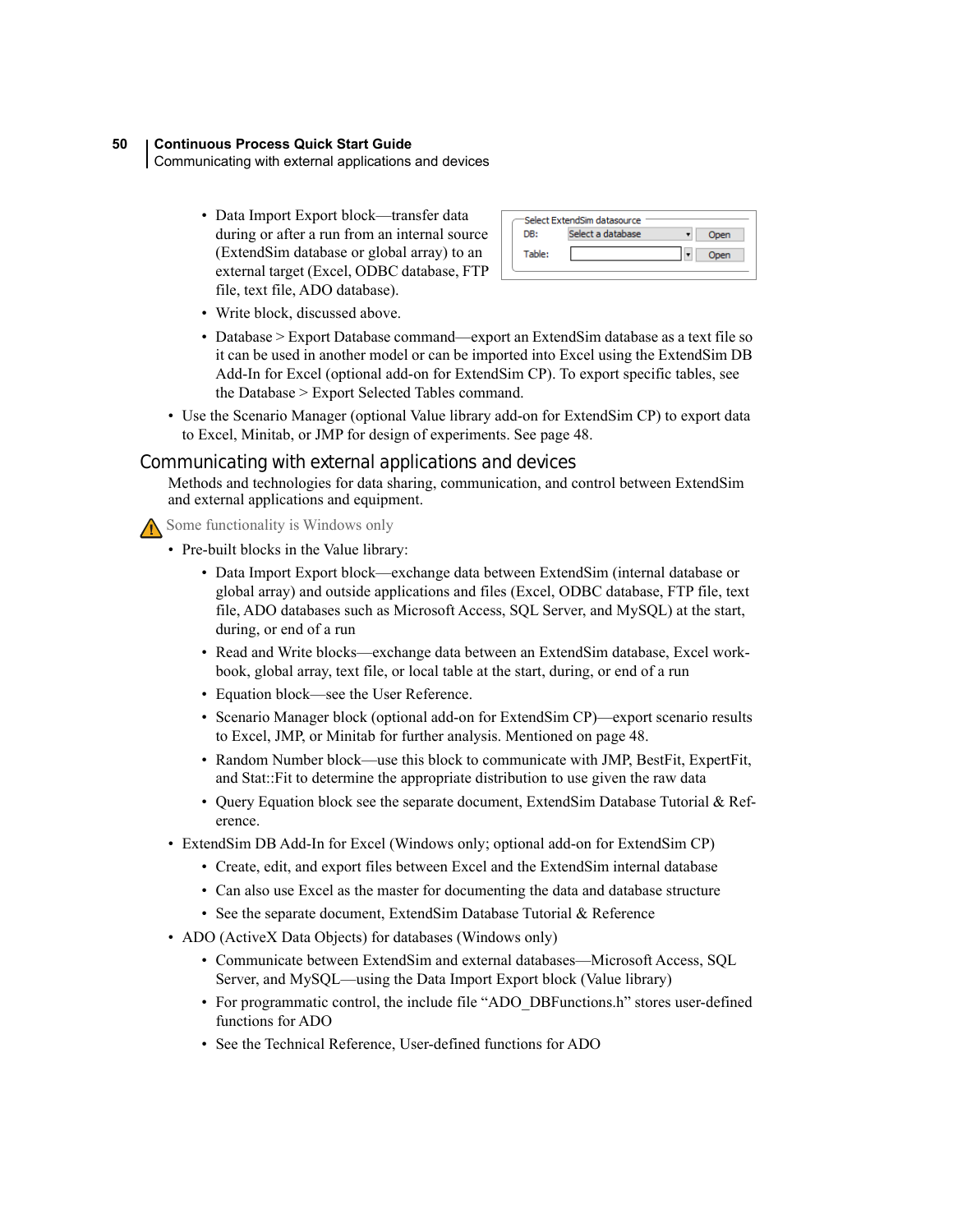Communicating with external applications and devices

<span id="page-53-3"></span>• Data Import Export block—transfer data during or after a run from an internal source (ExtendSim database or global array) to an external target (Excel, ODBC database, FTP file, text file, ADO database).

|      | Select ExtendSim datasource. |                  |
|------|------------------------------|------------------|
| Doen | Select a database            | D <sub>B</sub> : |
| )pen |                              | Table:           |
|      |                              |                  |

- <span id="page-53-4"></span>• Write block, discussed above.
- <span id="page-53-5"></span>• Database > Export Database command—export an ExtendSim database as a text file so it can be used in another model or can be imported into Excel using the ExtendSim DB Add-In for Excel (optional add-on for ExtendSim CP). To export specific tables, see the Database > Export Selected Tables command.
- Use the Scenario Manager (optional Value library add-on for ExtendSim CP) to export data to Excel, Minitab, or JMP for design of experiments. See [page 48.](#page-51-2)

# <span id="page-53-0"></span>Communicating with external applications and devices

<span id="page-53-2"></span>Methods and technologies for data sharing, communication, and control between ExtendSim and external applications and equipment.

Some functionality is Windows only

- Pre-built blocks in the Value library:
	- Data Import Export block—exchange data between ExtendSim (internal database or global array) and outside applications and files (Excel, ODBC database, FTP file, text file, ADO databases such as Microsoft Access, SQL Server, and MySQL) at the start, during, or end of a run
	- Read and Write blocks—exchange data between an ExtendSim database, Excel workbook, global array, text file, or local table at the start, during, or end of a run
	- Equation block—see the User Reference.
	- Scenario Manager block (optional add-on for ExtendSim CP)—export scenario results to Excel, JMP, or Minitab for further analysis. Mentioned on [page 48.](#page-51-2)
	- Random Number block—use this block to communicate with JMP, BestFit, ExpertFit, and Stat::Fit to determine the appropriate distribution to use given the raw data
	- Query Equation block see the separate document, ExtendSim Database Tutorial & Reference.
- ExtendSim DB Add-In for Excel (Windows only; optional add-on for ExtendSim CP)
	- Create, edit, and export files between Excel and the ExtendSim internal database
	- Can also use Excel as the master for documenting the data and database structure
	- See the separate document, ExtendSim Database Tutorial & Reference
- <span id="page-53-1"></span>• ADO (ActiveX Data Objects) for databases (Windows only)
	- Communicate between ExtendSim and external databases—Microsoft Access, SQL Server, and MySQL—using the Data Import Export block (Value library)
	- For programmatic control, the include file "ADO\_DBFunctions.h" stores user-defined functions for ADO
	- See the Technical Reference, User-defined functions for ADO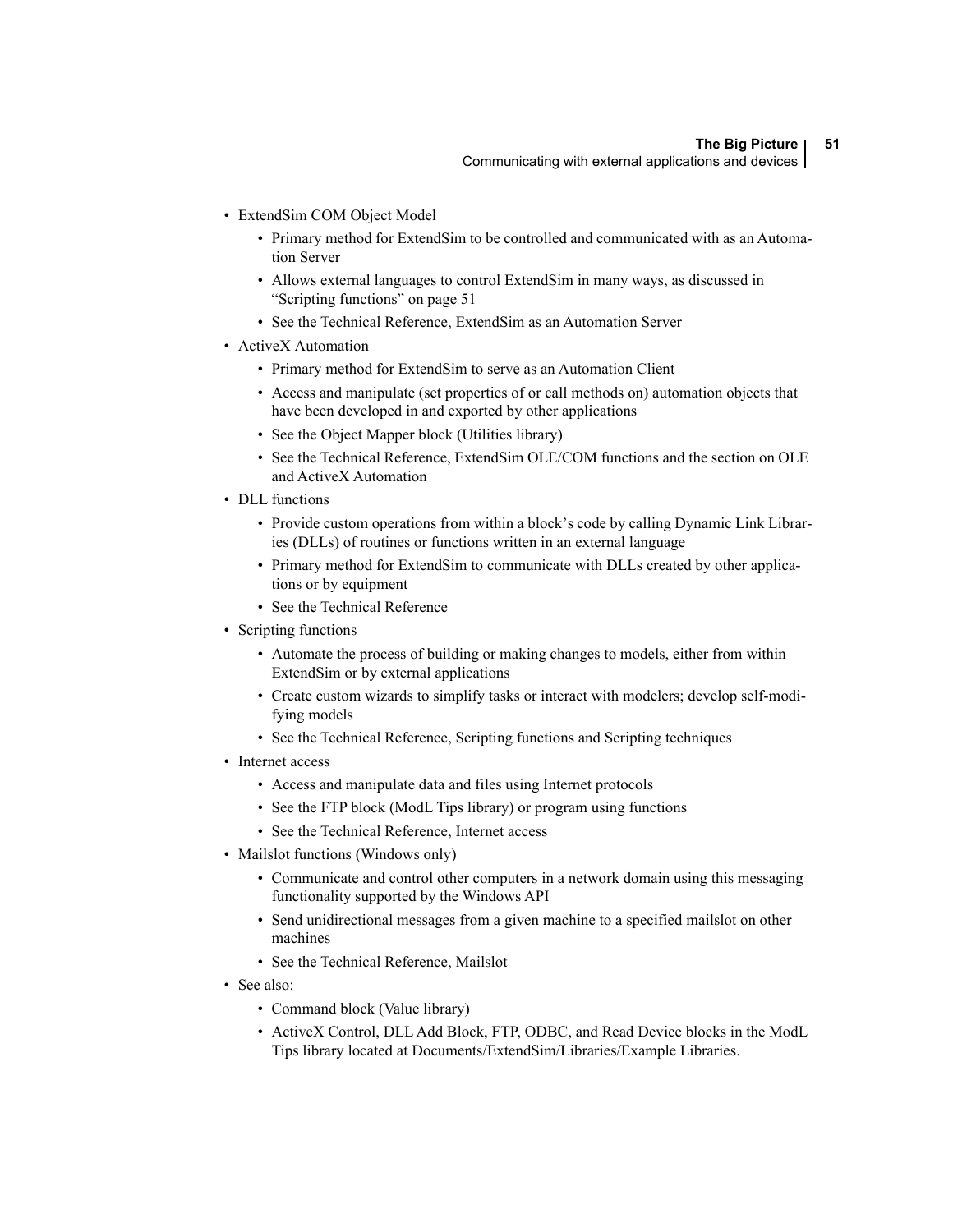#### <span id="page-54-3"></span>The Big Picture | 51

Communicating with external applications and devices

- <span id="page-54-2"></span>• ExtendSim COM Object Model
	- Primary method for ExtendSim to be controlled and communicated with as an Automation Server
	- Allows external languages to control ExtendSim in many ways, as discussed in ["Scripting functions" on page 51](#page-54-0)
	- See the Technical Reference, ExtendSim as an Automation Server
- <span id="page-54-1"></span>• ActiveX Automation
	- Primary method for ExtendSim to serve as an Automation Client
	- Access and manipulate (set properties of or call methods on) automation objects that have been developed in and exported by other applications
	- See the Object Mapper block (Utilities library)
	- See the Technical Reference, ExtendSim OLE/COM functions and the section on OLE and ActiveX Automation
- DLL functions
	- Provide custom operations from within a block's code by calling Dynamic Link Libraries (DLLs) of routines or functions written in an external language
	- Primary method for ExtendSim to communicate with DLLs created by other applications or by equipment
	- See the Technical Reference
- <span id="page-54-6"></span><span id="page-54-0"></span>• Scripting functions
	- Automate the process of building or making changes to models, either from within ExtendSim or by external applications
	- Create custom wizards to simplify tasks or interact with modelers; develop self-modifying models
	- See the Technical Reference, Scripting functions and Scripting techniques
- <span id="page-54-4"></span>• Internet access
	- Access and manipulate data and files using Internet protocols
	- See the FTP block (ModL Tips library) or program using functions
	- See the Technical Reference, Internet access
- <span id="page-54-5"></span>• Mailslot functions (Windows only)
	- Communicate and control other computers in a network domain using this messaging functionality supported by the Windows API
	- Send unidirectional messages from a given machine to a specified mailslot on other machines
	- See the Technical Reference, Mailslot
- See also:
	- Command block (Value library)
	- ActiveX Control, DLL Add Block, FTP, ODBC, and Read Device blocks in the ModL Tips library located at Documents/ExtendSim/Libraries/Example Libraries.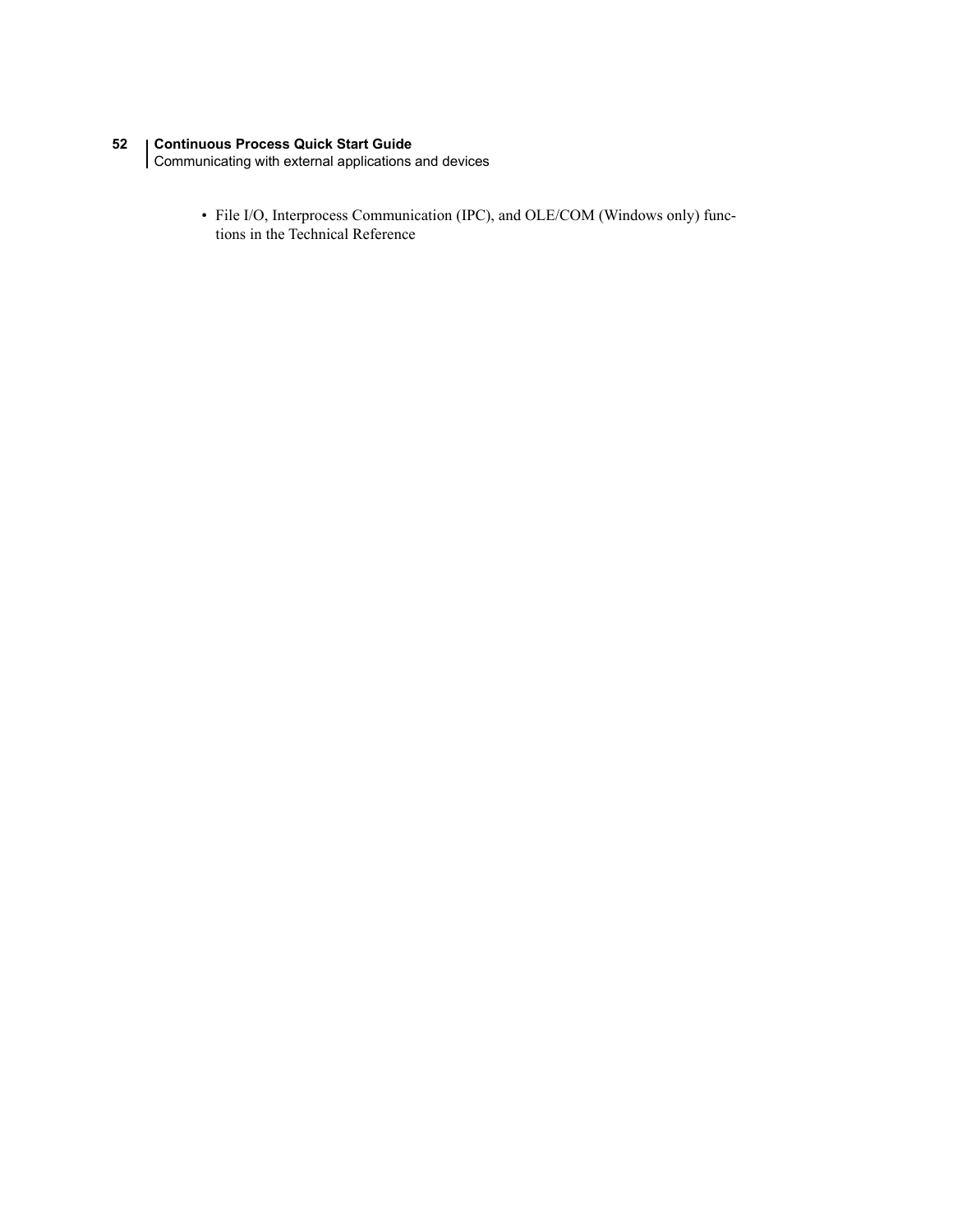Communicating with external applications and devices

• File I/O, Interprocess Communication (IPC), and OLE/COM (Windows only) functions in the Technical Reference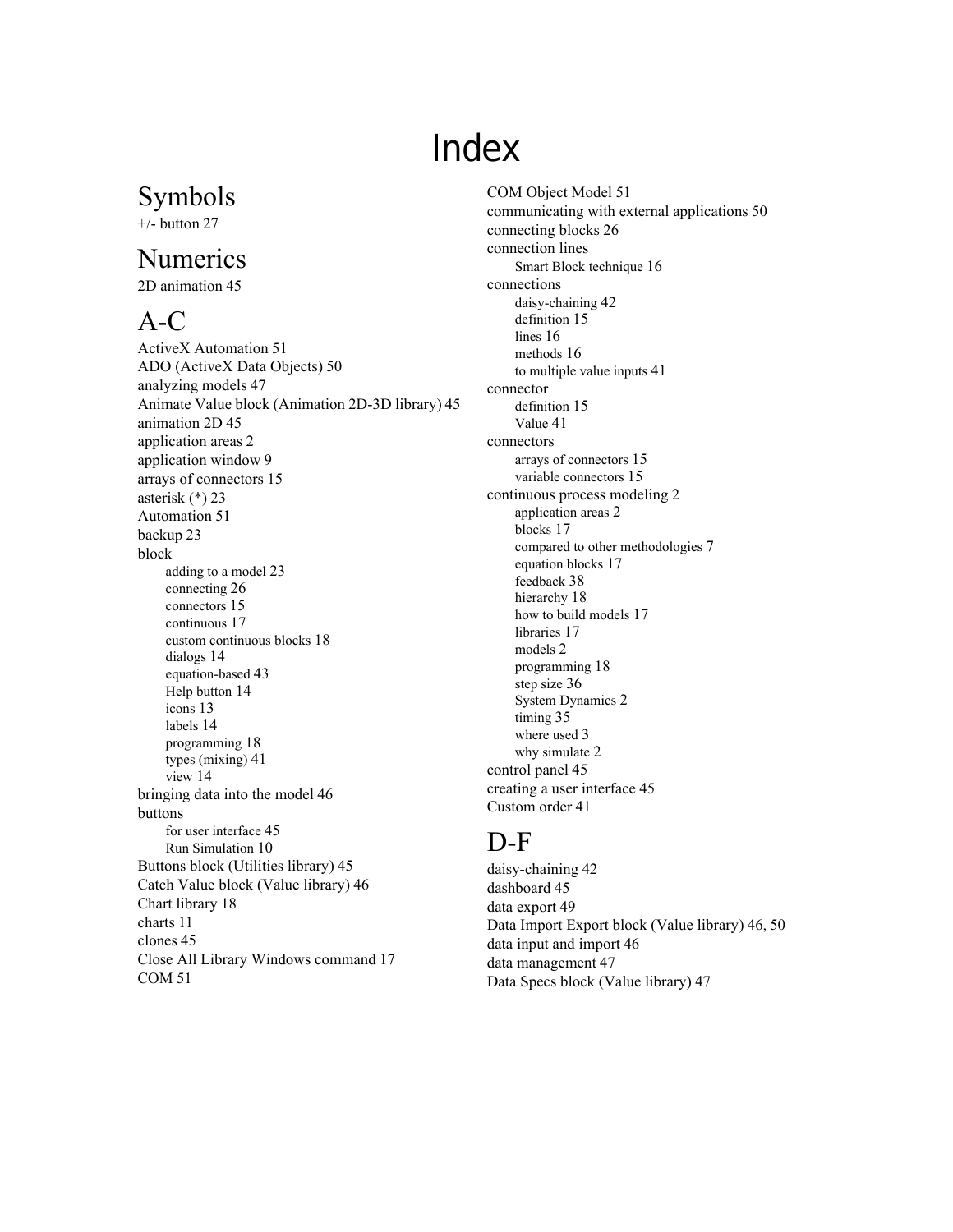# Index

# <span id="page-56-0"></span>Symbols

 $+/-$  button [27](#page-30-0)

# Numerics

2D animation [45](#page-48-4)

# $A-C$

ActiveX Automation [51](#page-54-1) ADO (ActiveX Data Objects) [50](#page-53-1) analyzing models [47](#page-50-3) Animate Value block (Animation 2D-3D library) [45](#page-48-5) animation 2D [45](#page-48-4) application areas [2](#page-5-3) application window [9](#page-12-3) arrays of connectors [15](#page-18-1) asterisk (\*) [23](#page-26-2) Automation [51](#page-54-1) backup [23](#page-26-3) block adding to a model [23](#page-26-4) connecting [26](#page-29-2) connectors [15](#page-18-2) continuous [17](#page-20-2) custom continuous blocks [18](#page-21-2) dialogs [14](#page-17-0) equation-based [43](#page-46-5) Help button [14](#page-17-1) icons [13](#page-16-1) labels [14](#page-17-1) programming [18](#page-21-2) types (mixing) [41](#page-44-2) view [14](#page-17-1) bringing data into the model [46](#page-49-3) buttons for user interface [45](#page-48-6) Run Simulation [10](#page-13-0) Buttons block (Utilities library) [45](#page-48-7) Catch Value block (Value library) [46](#page-49-4) Chart library [18](#page-21-3) charts [11](#page-14-3) clones [45](#page-48-8) Close All Library Windows command [17](#page-20-3) COM [51](#page-54-1)

COM Object Model [51](#page-54-2) communicating with external applications [50](#page-53-2) connecting blocks [26](#page-29-2) connection lines Smart Block technique [16](#page-19-2) connections daisy-chaining [42](#page-45-0) definition [15](#page-18-2) lines [16](#page-19-3) methods [16](#page-19-4) to multiple value inputs [41](#page-44-3) connector definition [15](#page-18-2) Value [41](#page-44-3) connectors arrays of connectors [15](#page-18-1) variable connectors [15](#page-18-1) continuous process modeling [2](#page-5-4) application areas [2](#page-5-3) blocks [17](#page-20-2) compared to other methodologies [7](#page-10-2) equation blocks [17](#page-20-4) feedback [38](#page-41-2) hierarchy [18](#page-21-4) how to build models [17](#page-20-5) libraries [17](#page-20-2) models [2](#page-5-4) programming [18](#page-21-2) step size [36](#page-39-1) System Dynamics [2](#page-5-5) timing [35](#page-38-3) where used [3](#page-6-1) why simulate [2](#page-5-5) control panel [45](#page-48-9) creating a user interface [45](#page-48-10) Custom order [41](#page-44-4)

# D-F

daisy-chaining [42](#page-45-0) dashboard [45](#page-48-9) data export [49](#page-52-1) Data Import Export block (Value library) [46](#page-49-5), [50](#page-53-3) data input and import [46](#page-49-3) data management [47](#page-50-4) Data Specs block (Value library) [47](#page-50-5)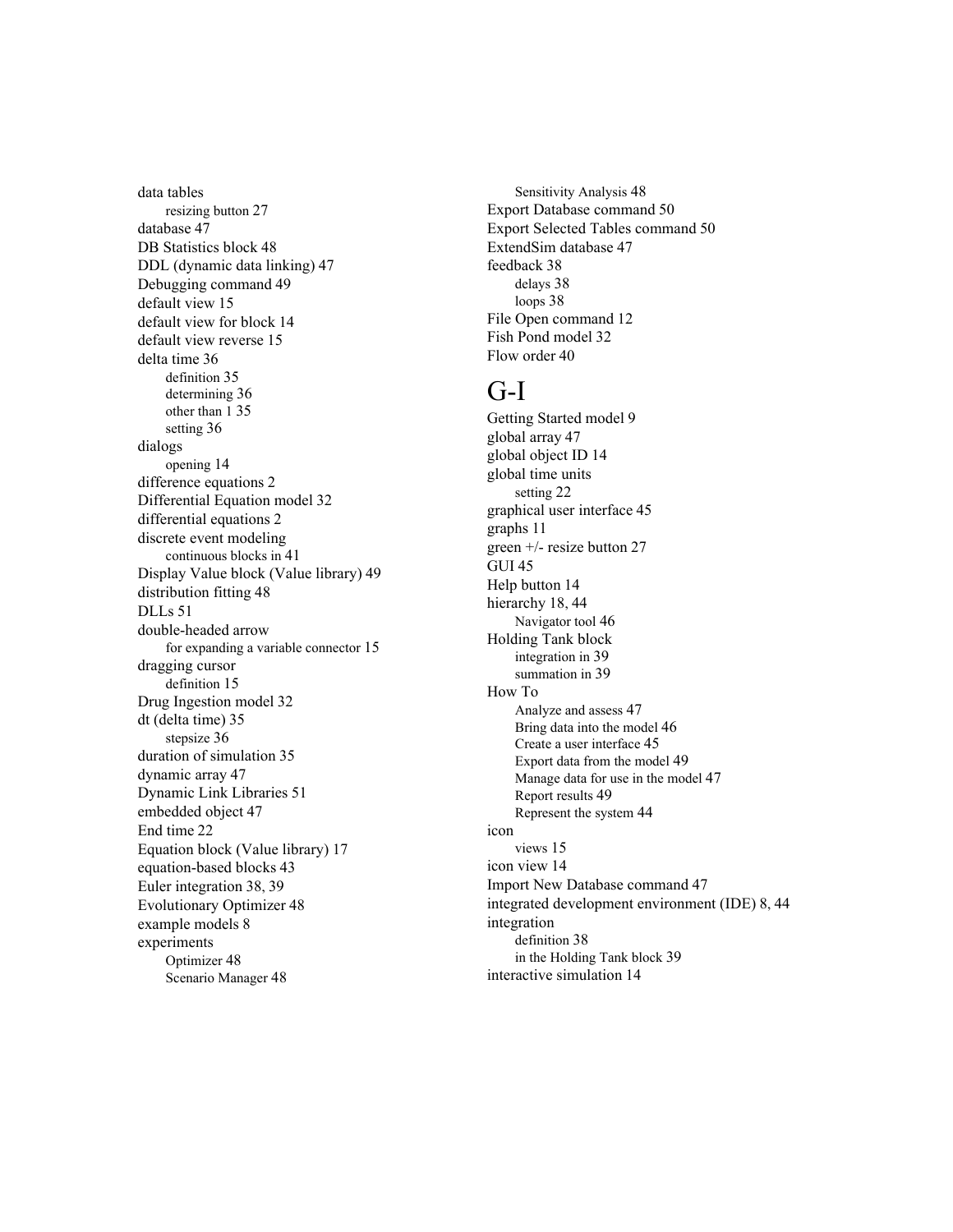data tables resizing button [27](#page-30-0) database [47](#page-50-6) DB Statistics block [48](#page-51-3) DDL (dynamic data linking) [47](#page-50-7) Debugging command [49](#page-52-2) default view [15](#page-18-3) default view for block [14](#page-17-1) default view reverse [15](#page-18-3) delta time [36](#page-39-2) definition [35](#page-38-4) determining [36](#page-39-3) other than 1 [35](#page-38-5) setting [36](#page-39-3) dialogs opening [14](#page-17-0) difference equations [2](#page-5-6) Differential Equation model [32](#page-35-1) differential equations [2](#page-5-7) discrete event modeling continuous blocks in [41](#page-44-2) Display Value block (Value library) [49](#page-52-3) distribution fitting [48](#page-51-4) DLLs [51](#page-54-3) double-headed arrow for expanding a variable connector [15](#page-18-4) dragging cursor definition [15](#page-18-4) Drug Ingestion model [32](#page-35-2) dt (delta time) [35](#page-38-6) stepsize [36](#page-39-2) duration of simulation [35](#page-38-7) dynamic array [47](#page-50-8) Dynamic Link Libraries [51](#page-54-3) embedded object [47](#page-50-9) End time [22](#page-25-2) Equation block (Value library) [17](#page-20-4) equation-based blocks [43](#page-46-5) Euler integration [38](#page-41-3), [39](#page-42-1) Evolutionary Optimizer [48](#page-51-5) example models [8](#page-11-0) experiments Optimizer [48](#page-51-5) Scenario Manager [48](#page-51-6)

Sensitivity Analysis [48](#page-51-7) Export Database command [50](#page-53-4) Export Selected Tables command [50](#page-53-5) ExtendSim database [47](#page-50-6) feedback [38](#page-41-2) delays [38](#page-41-4) loops [38](#page-41-4) File Open command [12](#page-15-1) Fish Pond model [32](#page-35-3) Flow order [40](#page-43-1)

# G-I

Getting Started model [9](#page-12-4) global array [47](#page-50-10) global object ID [14](#page-17-2) global time units setting [22](#page-25-3) graphical user interface [45](#page-48-10) graphs [11](#page-14-3) green +/- resize button [27](#page-30-1) GUI [45](#page-48-9) Help button [14](#page-17-1) hierarchy [18](#page-21-4), [44](#page-47-3) Navigator tool [46](#page-49-6) Holding Tank block integration in [39](#page-42-2) summation in [39](#page-42-2) How To Analyze and assess [47](#page-50-3) Bring data into the model [46](#page-49-3) Create a user interface [45](#page-48-10) Export data from the model [49](#page-52-1) Manage data for use in the model [47](#page-50-4) Report results [49](#page-52-1) Represent the system [44](#page-47-4) icon views [15](#page-18-3) icon view [14](#page-17-3) Import New Database command [47](#page-50-11) integrated development environment (IDE) [8](#page-11-1), [44](#page-47-5) integration definition [38](#page-41-3) in the Holding Tank block [39](#page-42-3) interactive simulation [14](#page-17-4)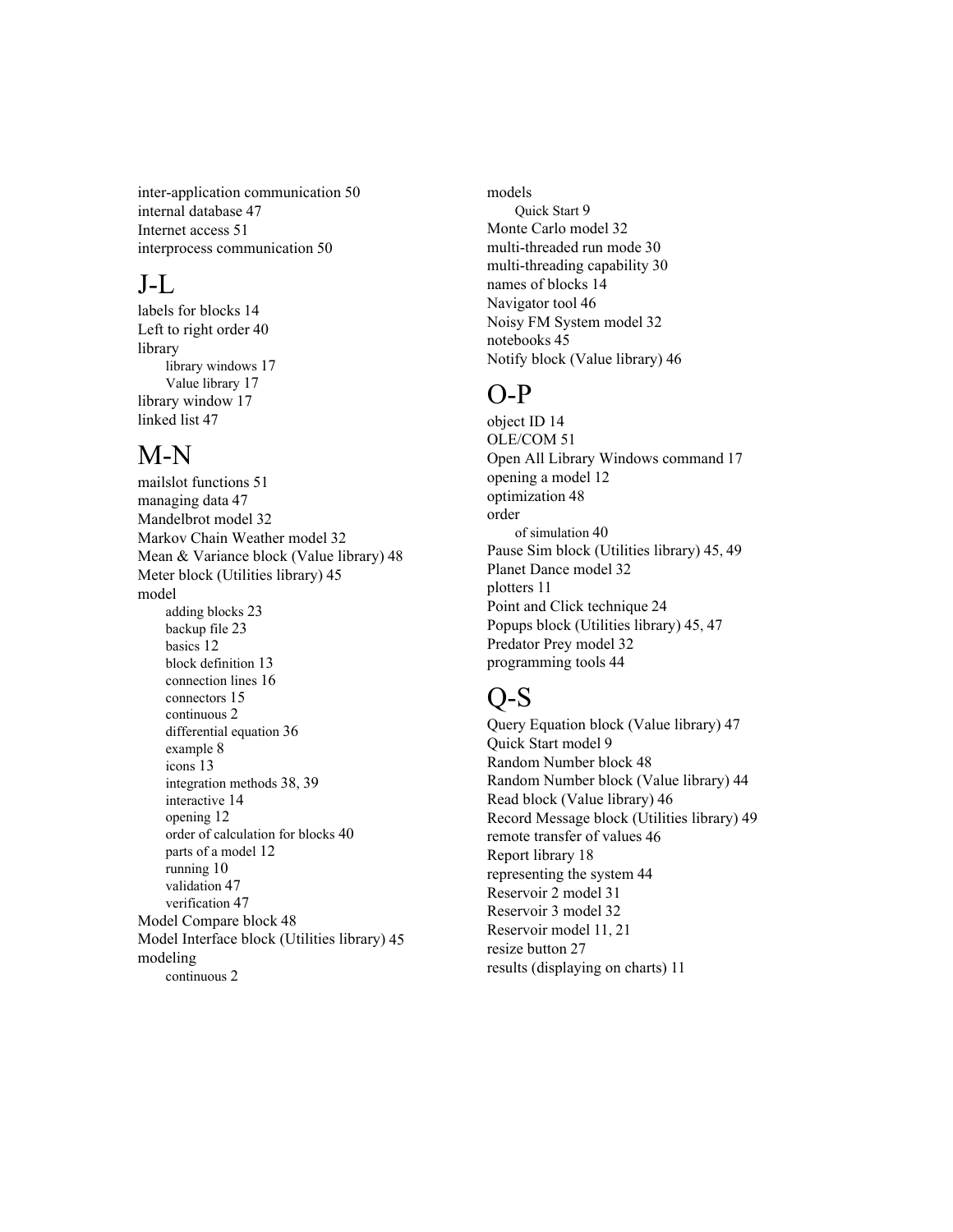inter-application communication [50](#page-53-2) internal database [47](#page-50-6) Internet access [51](#page-54-4) interprocess communication [50](#page-53-2)

# $J-I$ .

labels for blocks [14](#page-17-1) Left to right order [40](#page-43-2) library library windows [17](#page-20-6) Value library [17](#page-20-2) library window [17](#page-20-6) linked list [47](#page-50-12)

# M-N

mailslot functions [51](#page-54-5) managing data [47](#page-50-4) Mandelbrot model [32](#page-35-4) Markov Chain Weather model [32](#page-35-5) Mean & Variance block (Value library) [48](#page-51-8) Meter block (Utilities library) [45](#page-48-11) model adding blocks [23](#page-26-4) backup file [23](#page-26-3) basics [12](#page-15-1) block definition [13](#page-16-2) connection lines [16](#page-19-3) connectors [15](#page-18-2) continuous [2](#page-5-4) differential equation [36](#page-39-4) example [8](#page-11-0) icons [13](#page-16-1) integration methods [38](#page-41-3), [39](#page-42-4) interactive [14](#page-17-4) opening [12](#page-15-1) order of calculation for blocks [40](#page-43-3) parts of a model [12](#page-15-1) running [10](#page-13-0) validation [47](#page-50-13) verification [47](#page-50-13) Model Compare block [48](#page-51-9) Model Interface block (Utilities library) [45](#page-48-12) modeling continuous [2](#page-5-4)

models Quick Start [9](#page-12-4) Monte Carlo model [32](#page-35-6) multi-threaded run mode [30](#page-33-2) multi-threading capability [30](#page-33-3) names of blocks [14](#page-17-1) Navigator tool [46](#page-49-6) Noisy FM System model [32](#page-35-7) notebooks [45](#page-48-13) Notify block (Value library) [46](#page-49-7)

# O-P

object ID [14](#page-17-2) OLE/COM [51](#page-54-1) Open All Library Windows command [17](#page-20-7) opening a model [12](#page-15-1) optimization [48](#page-51-5) order of simulation [40](#page-43-3) Pause Sim block (Utilities library) [45](#page-48-14), [49](#page-52-4) Planet Dance model [32](#page-35-8) plotters [11](#page-14-3) Point and Click technique [24](#page-27-0) Popups block (Utilities library) [45,](#page-48-15) [47](#page-50-14) Predator Prey model [32](#page-35-9) programming tools [44](#page-47-6)

# Q-S

Query Equation block (Value library) [47](#page-50-15) Quick Start model [9](#page-12-4) Random Number block [48](#page-51-10) Random Number block (Value library) [44](#page-47-7) Read block (Value library) [46](#page-49-8) Record Message block (Utilities library) [49](#page-52-5) remote transfer of values [46](#page-49-4) Report library [18](#page-21-5) representing the system [44](#page-47-4) Reservoir 2 model [31](#page-34-3) Reservoir 3 model [32](#page-35-10) Reservoir model [11](#page-14-4), [21](#page-24-4) resize button [27](#page-30-0) results (displaying on charts) [11](#page-14-3)